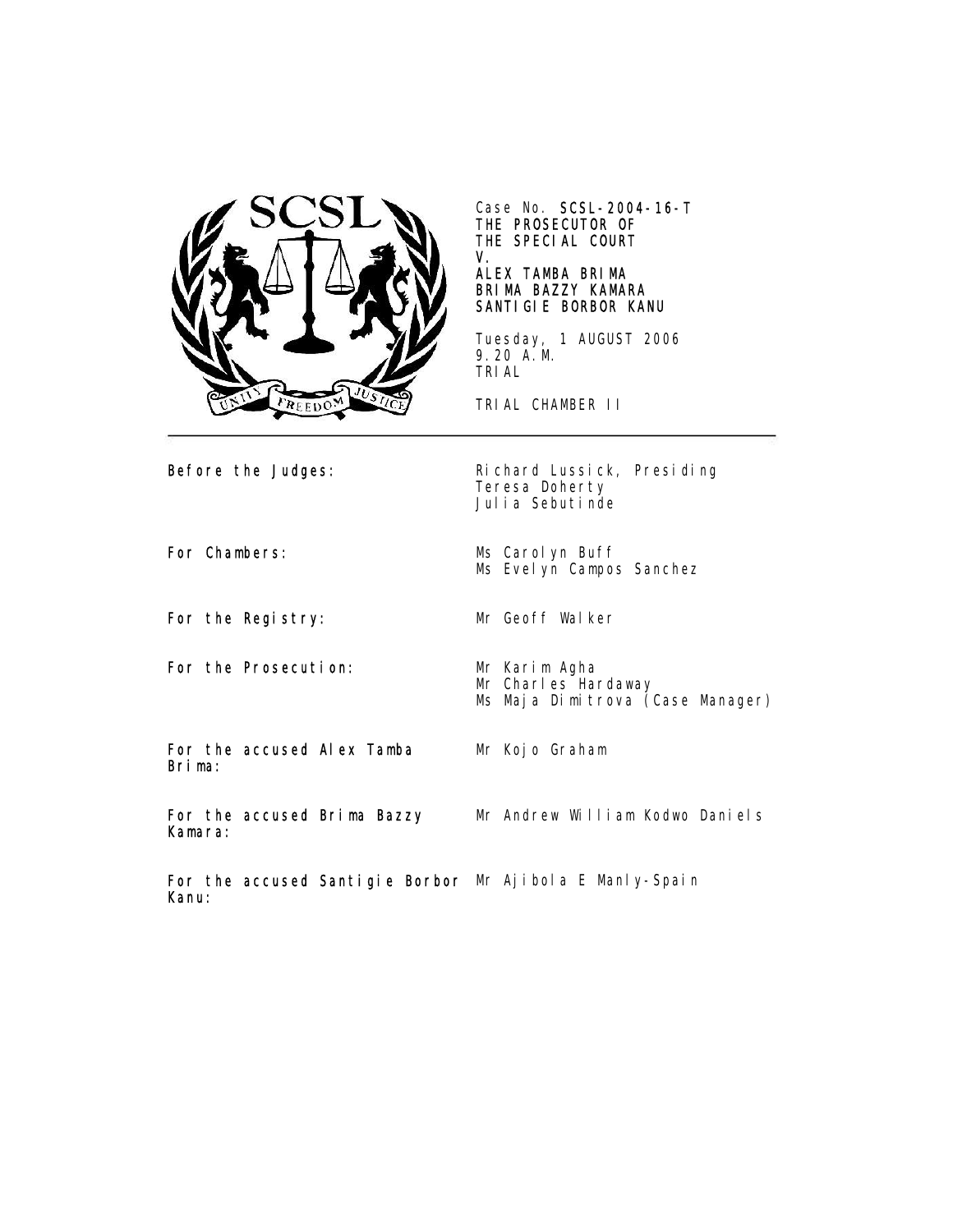

Case No. SCSL-2004-16-T THE PROSECUTOR OF THE SPECIAL COURT V.

# ALEX TAMBA BRIMA BRIMA BAZZY KAMARA SANTIGIE BORBOR KANU

Tuesday, 1 AUGUST 2006 9.20 A.M. TRIAL

TRIAL CHAMBER II

Before the Judges: Richard Lussick, Presiding Teresa Doherty Julia Sebutinde

Ms Evel yn Campos Sanchez

For Chambers: Ms Carolyn Buff

For the Registry: Mr Geoff Walker

For the Prosecution: Mr Karim Agha

Mr Charles Hardaway Ms Maja Dimitrova (Case Manager)

For the accused Alex Tamba Brima:

Mr Kojo Graham

For the accused Brima Bazzy Kamara: Mr Andrew William Kodwo Daniels

For the accused Santigie Borbor Mr Ajibola E Manly-SpainKanu: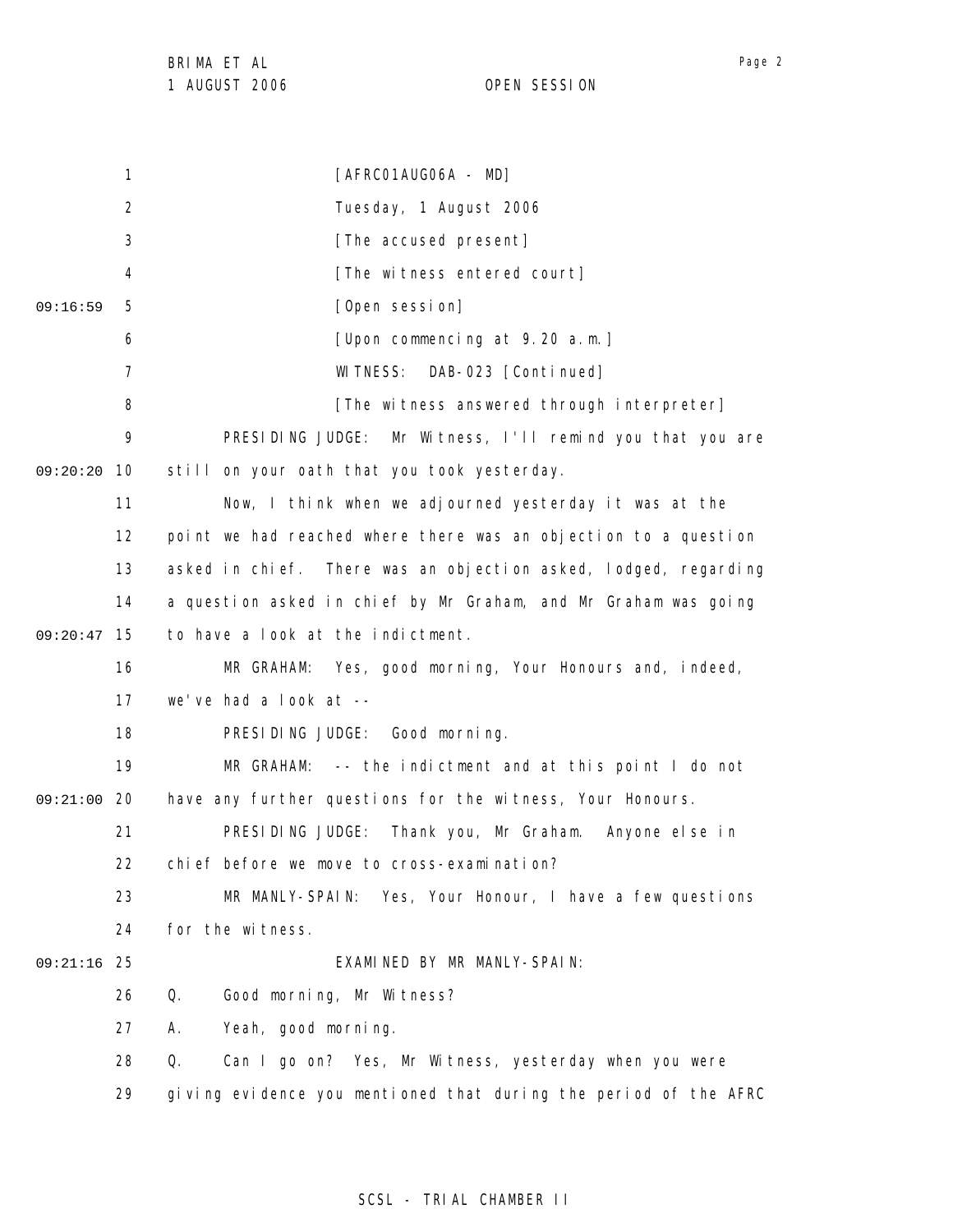1 2 3 4 5 6 7 8 9 09:20:20 10 11 12 13 14 15 09:20:47 16 17 18 19 09:21:00 20 21 22 23 24 25 09:21:16 26 27 28 29 09:16:59 [AFRC01AUG06A - MD] Tuesday, 1 August 2006 [The accused present] [The witness entered court] [Open session] [Upon commencing at 9.20 a.m.] WITNESS: DAB-023 [Continued] [The witness answered through interpreter] PRESIDING JUDGE: Mr Witness, I'll remind you that you are still on your oath that you took yesterday. Now, I think when we adjourned yesterday it was at the point we had reached where there was an objection to a question asked in chief. There was an objection asked, lodged, regarding a question asked in chief by Mr Graham, and Mr Graham was going to have a look at the indictment. MR GRAHAM: Yes, good morning, Your Honours and, indeed, we've had a look at -- PRESIDING JUDGE: Good morning. MR GRAHAM: -- the indictment and at this point I do not have any further questions for the witness, Your Honours. PRESIDING JUDGE: Thank you, Mr Graham. Anyone else in chief before we move to cross-examination? MR MANLY-SPAIN: Yes, Your Honour, I have a few questions for the witness. EXAMINED BY MR MANLY-SPAIN: Q. Good morning, Mr Witness? A. Yeah, good morning. Q. Can I go on? Yes, Mr Witness, yesterday when you were giving evidence you mentioned that during the period of the AFRC

# SCSL - TRIAL CHAMBER II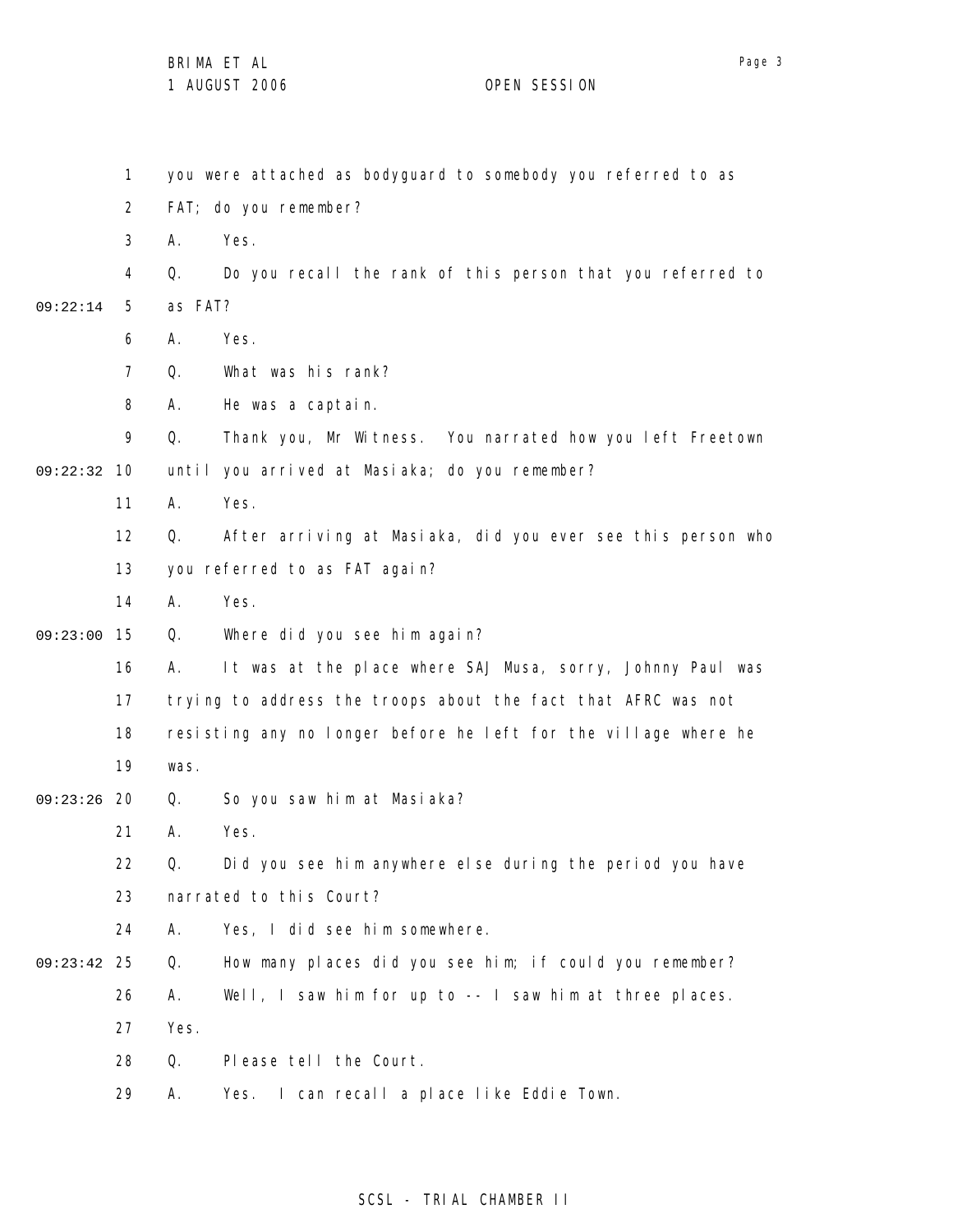1 2 3 4 5 6 7 8 9 09:22:32 10 11 12 13 14 15 09:23:00 16 17 18 19 09:23:26 20 21 22 23 24 25 09:23:42 26 27 28 29 09:22:14 you were attached as bodyguard to somebody you referred to as FAT; do you remember? A. Yes. Q. Do you recall the rank of this person that you referred to as FAT? A. Yes. Q. What was his rank? A. He was a captain. Q. Thank you, Mr Witness. You narrated how you left Freetown until you arrived at Masiaka; do you remember? A. Yes. Q. After arriving at Masiaka, did you ever see this person who you referred to as FAT again? A. Yes. Q. Where did you see him again? A. It was at the place where SAJ Musa, sorry, Johnny Paul was trying to address the troops about the fact that AFRC was not resisting any no longer before he left for the village where he was. Q. So you saw him at Masiaka? A. Yes. Q. Did you see him anywhere else during the period you have narrated to this Court? A. Yes, I did see him somewhere. Q. How many places did you see him; if could you remember? A. Well, I saw him for up to -- I saw him at three places. Yes. Q. Please tell the Court. A. Yes. I can recall a place like Eddie Town.

# SCSL - TRIAL CHAMBER II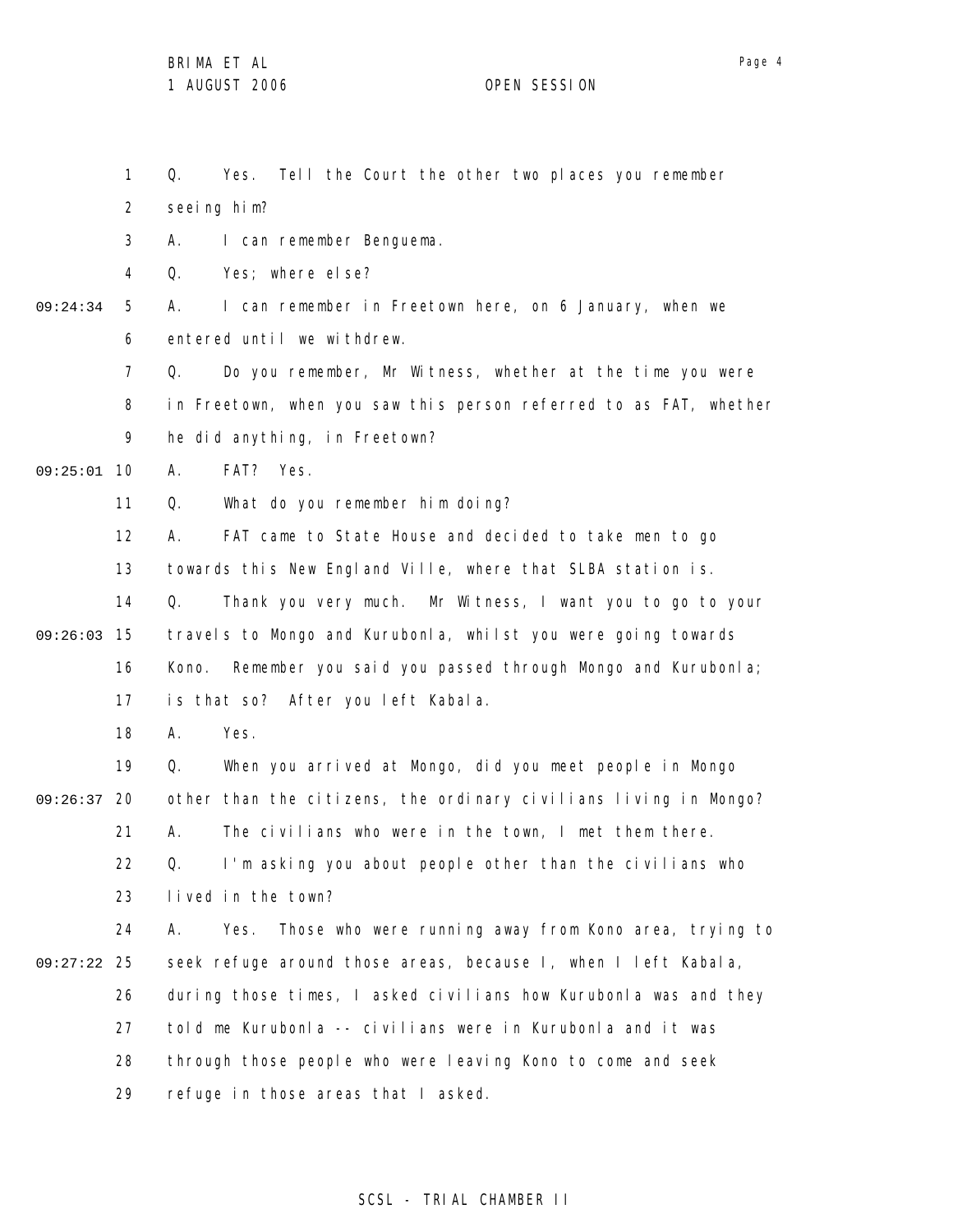1 2 3 4 5 6 7 8 9 09:25:01 10 11 12 13 14 15 09:26:03 16 17 18 19 09:26:37 20 21 22 23 24 25 09:27:22 26 27 28 29 09:24:34 Q. Yes. Tell the Court the other two places you remember seeing him? A. I can remember Benguema. Q. Yes; where else? A. I can remember in Freetown here, on 6 January, when we entered until we withdrew. Q. Do you remember, Mr Witness, whether at the time you were in Freetown, when you saw this person referred to as FAT, whether he did anything, in Freetown? A. FAT? Yes. Q. What do you remember him doing? A. FAT came to State House and decided to take men to go towards this New England Ville, where that SLBA station is. Q. Thank you very much. Mr Witness, I want you to go to your travels to Mongo and Kurubonla, whilst you were going towards Kono. Remember you said you passed through Mongo and Kurubonla; is that so? After you left Kabala. A. Yes. Q. When you arrived at Mongo, did you meet people in Mongo other than the citizens, the ordinary civilians living in Mongo? A. The civilians who were in the town, I met them there. Q. I'm asking you about people other than the civilians who lived in the town? A. Yes. Those who were running away from Kono area, trying to seek refuge around those areas, because I, when I left Kabala, during those times, I asked civilians how Kurubonla was and they told me Kurubonla -- civilians were in Kurubonla and it was through those people who were leaving Kono to come and seek refuge in those areas that I asked.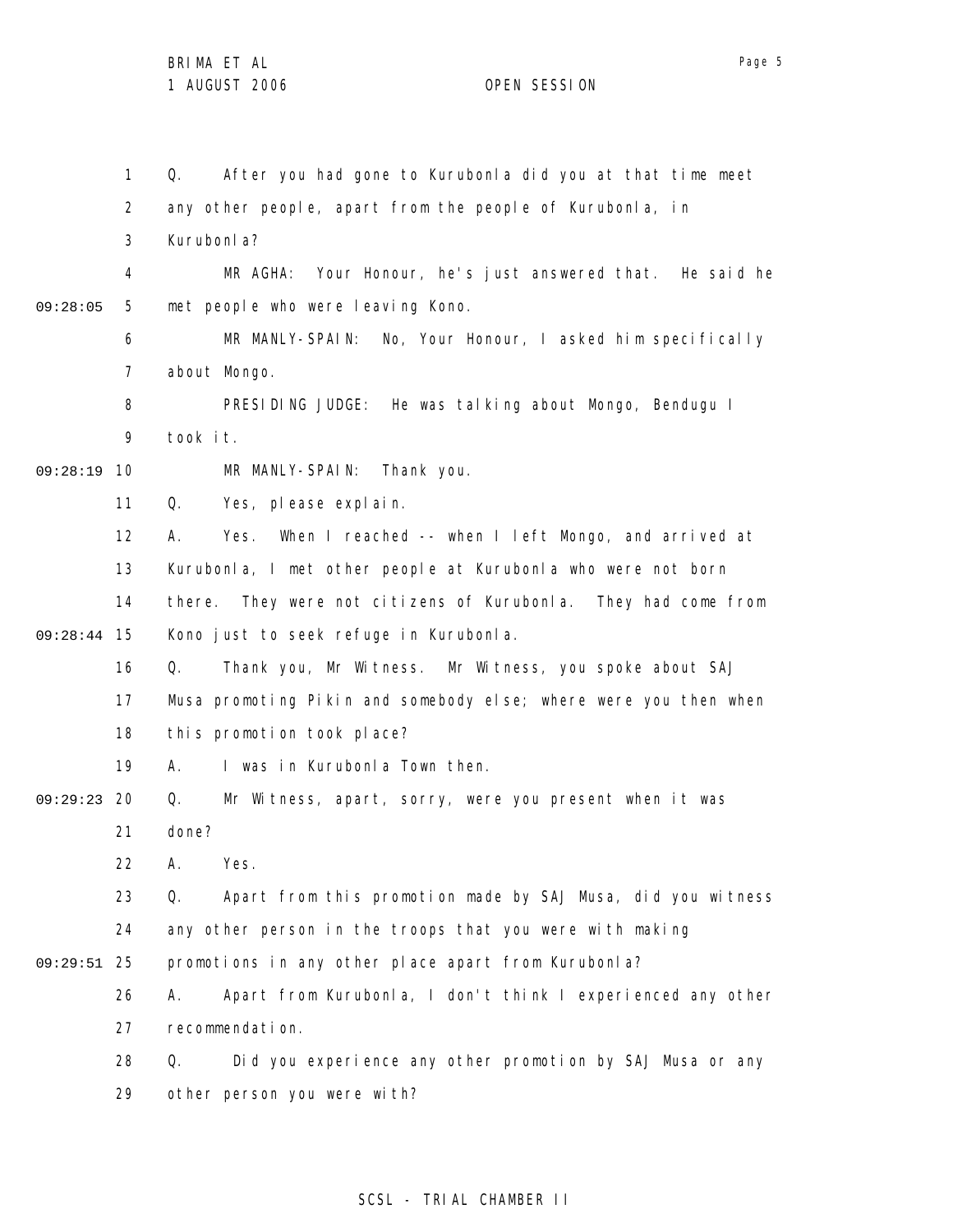1 2 3 4 5 6 7 8 9 09:28:19 10 11 12 13 14 15 09:28:44 16 17 18 19 09:29:23 20 21 22 23 24 25 09:29:51 26 27 28 29 09:28:05 Q. After you had gone to Kurubonla did you at that time meet any other people, apart from the people of Kurubonla, in Kurubonla? MR AGHA: Your Honour, he's just answered that. He said he met people who were leaving Kono. MR MANLY-SPAIN: No, Your Honour, I asked him specifically about Mongo. PRESIDING JUDGE: He was talking about Mongo, Bendugu I took it. MR MANLY-SPAIN: Thank you. Q. Yes, please explain. A. Yes. When I reached -- when I left Mongo, and arrived at Kurubonla, I met other people at Kurubonla who were not born there. They were not citizens of Kurubonla. They had come from Kono just to seek refuge in Kurubonla. Q. Thank you, Mr Witness. Mr Witness, you spoke about SAJ Musa promoting Pikin and somebody else; where were you then when this promotion took place? A. I was in Kurubonla Town then. Q. Mr Witness, apart, sorry, were you present when it was done? A. Yes. Q. Apart from this promotion made by SAJ Musa, did you witness any other person in the troops that you were with making promotions in any other place apart from Kurubonla? A. Apart from Kurubonla, I don't think I experienced any other recommendation. Q. Did you experience any other promotion by SAJ Musa or any other person you were with?

# SCSL - TRIAL CHAMBER II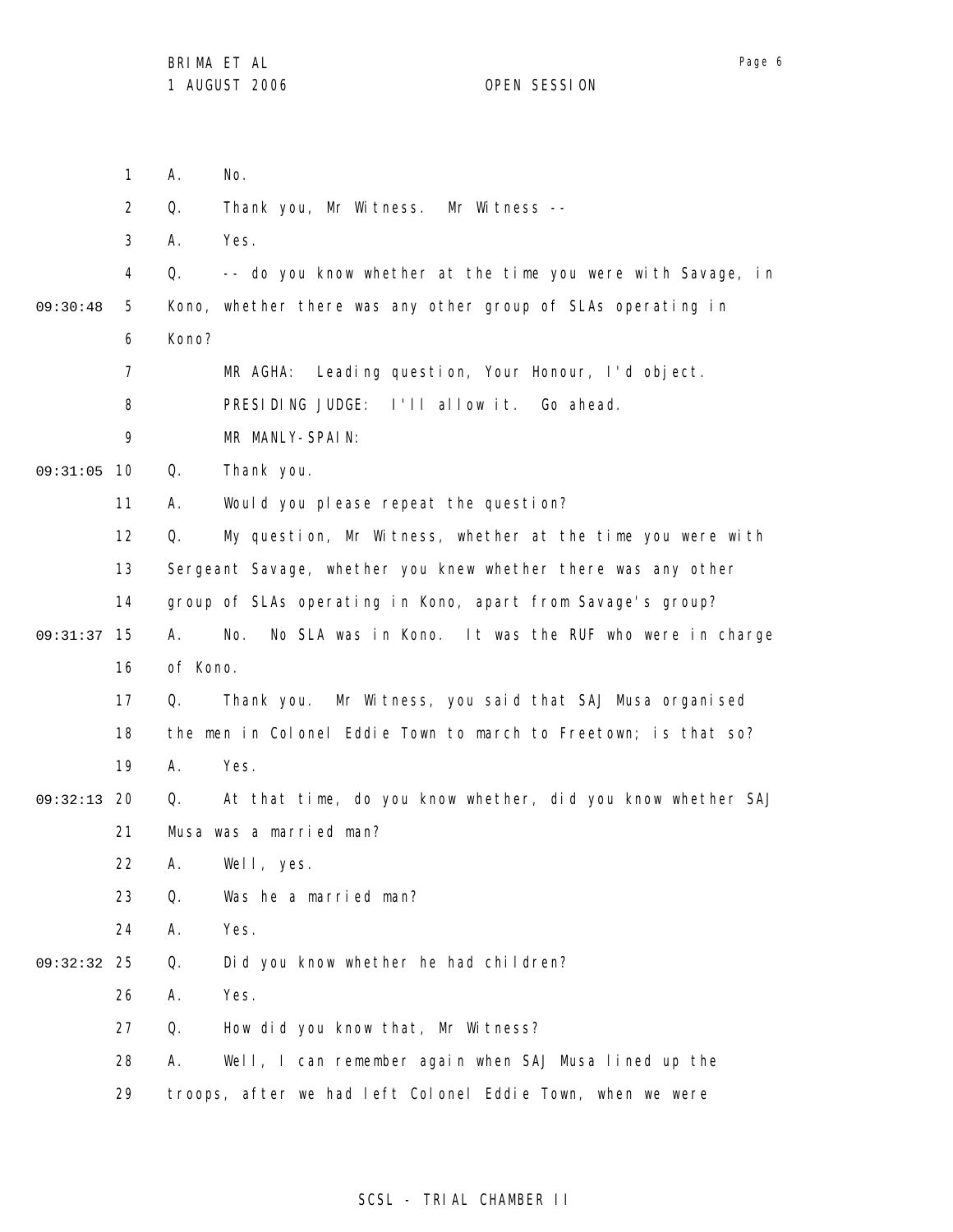1 2 3 4 5 6 7 8 9 09:31:05 10 11 12 13 14 09:31:37 15 16 17 18 19 09:32:13 20 21 22 23 24 25 09:32:32 26 27 28 29 09:30:48 A. No. Q. Thank you, Mr Witness. Mr Witness -- A. Yes. Q. -- do you know whether at the time you were with Savage, in Kono, whether there was any other group of SLAs operating in Kono? MR AGHA: Leading question, Your Honour, I'd object. PRESIDING JUDGE: I'll allow it. Go ahead. MR MANLY-SPAIN: Q. Thank you. A. Would you please repeat the question? Q. My question, Mr Witness, whether at the time you were with Sergeant Savage, whether you knew whether there was any other group of SLAs operating in Kono, apart from Savage's group? A. No. No SLA was in Kono. It was the RUF who were in charge of Kono. Q. Thank you. Mr Witness, you said that SAJ Musa organised the men in Colonel Eddie Town to march to Freetown; is that so? A. Yes. Q. At that time, do you know whether, did you know whether SAJ Musa was a married man? A. Well, yes. Q. Was he a married man? A. Yes. Q. Did you know whether he had children? A. Yes. Q. How did you know that, Mr Witness? A. Well, I can remember again when SAJ Musa lined up the troops, after we had left Colonel Eddie Town, when we were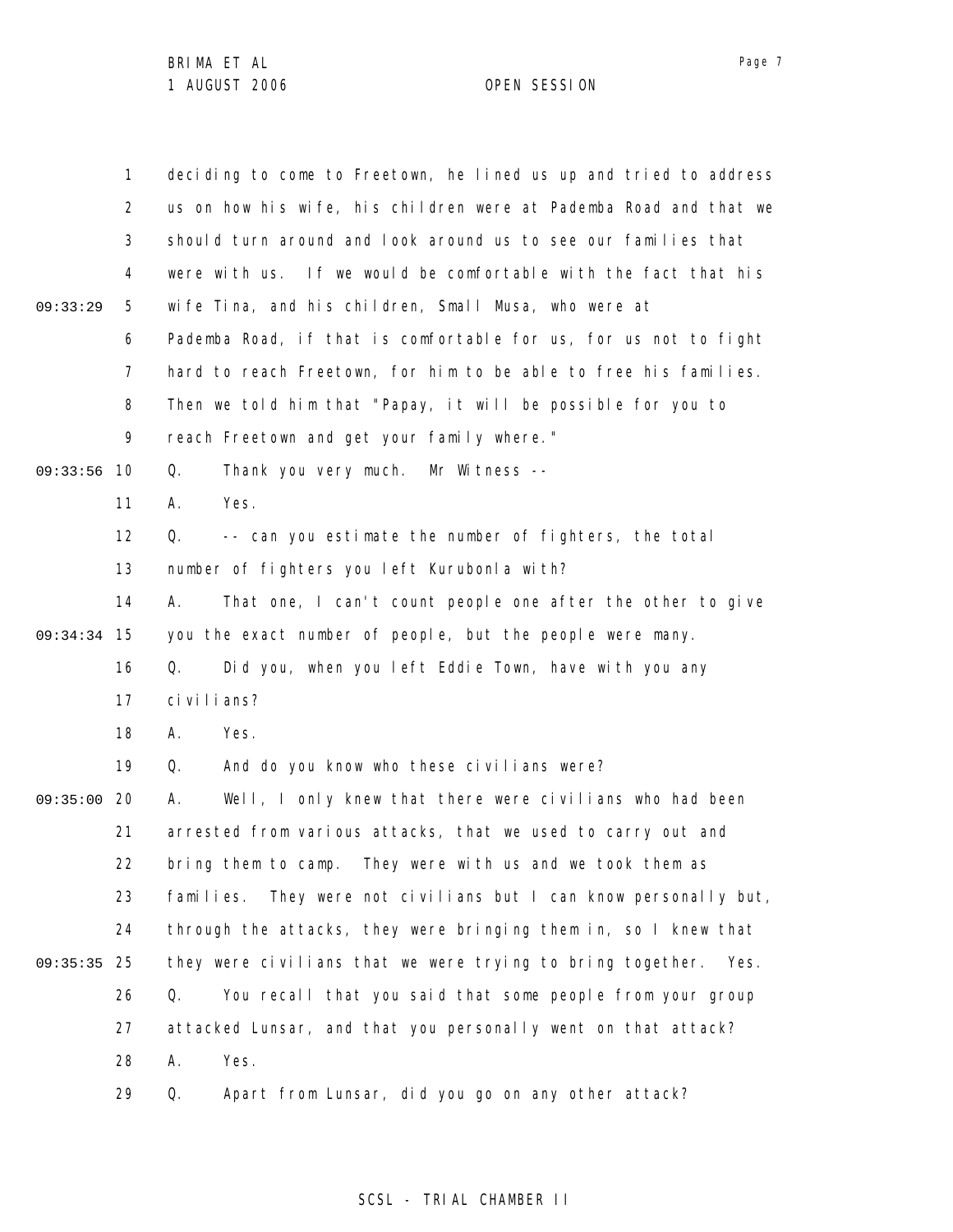|          | $\mathbf{1}$   | deciding to come to Freetown, he lined us up and tried to address   |
|----------|----------------|---------------------------------------------------------------------|
|          | $\overline{2}$ | us on how his wife, his children were at Pademba Road and that we   |
|          | 3              | should turn around and look around us to see our families that      |
|          | 4              | were with us. If we would be comfortable with the fact that his     |
| 09:33:29 | 5              | wife Tina, and his children, Small Musa, who were at                |
|          | 6              | Pademba Road, if that is comfortable for us, for us not to fight    |
|          | 7              | hard to reach Freetown, for him to be able to free his families.    |
|          | 8              | Then we told him that "Papay, it will be possible for you to        |
|          | 9              | reach Freetown and get your family where."                          |
| 09:33:56 | 10             | Thank you very much. Mr Witness --<br>Q.                            |
|          | 11             | Yes.<br>А.                                                          |
|          | 12             | -- can you estimate the number of fighters, the total<br>Q.         |
|          | 13             | number of fighters you left Kurubonla with?                         |
|          | 14             | That one, I can't count people one after the other to give<br>А.    |
| 09:34:34 | 15             | you the exact number of people, but the people were many.           |
|          | 16             | Did you, when you left Eddie Town, have with you any<br>Q.          |
|          | 17             | ci vi l i ans?                                                      |
|          | 18             | Yes.<br>А.                                                          |
|          | 19             | And do you know who these civilians were?<br>Q.                     |
| 09:35:00 | 20             | Well, I only knew that there were civilians who had been<br>А.      |
|          | 21             | arrested from various attacks, that we used to carry out and        |
|          | 22             | bring them to camp. They were with us and we took them as           |
|          | 23             | They were not civilians but I can know personally but,<br>families. |
|          | 24             | through the attacks, they were bringing them in, so I knew that     |
| 09:35:35 | 25             | they were civilians that we were trying to bring together. Yes.     |
|          | 26             | Q.<br>You recall that you said that some people from your group     |
|          | 27             | attacked Lunsar, and that you personally went on that attack?       |
|          | 28             | Yes.<br>Α.                                                          |
|          | 29             | Apart from Lunsar, did you go on any other attack?<br>Q.            |

SCSL - TRIAL CHAMBER II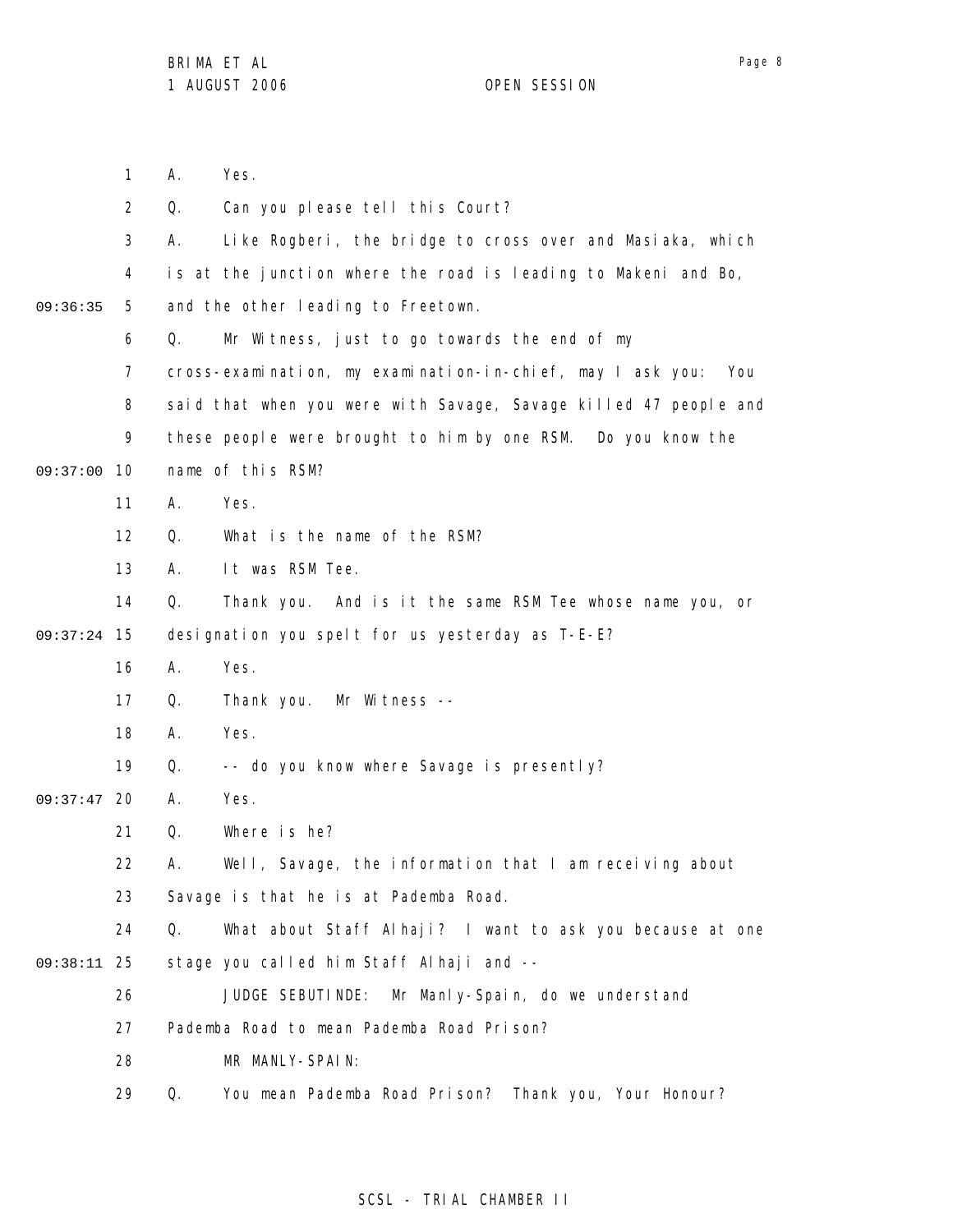1 2 3 4 5 6 7 8 9 09:37:00 10 11 12 13 14 15 09:37:24 16 17 18 19 09:37:47 20 21 22 23 24 25 09:38:11 26 27 28 29 09:36:35 A. Yes. Q. Can you please tell this Court? A. Like Rogberi, the bridge to cross over and Masiaka, which is at the junction where the road is leading to Makeni and Bo, and the other leading to Freetown. Q. Mr Witness, just to go towards the end of my cross-examination, my examination-in-chief, may I ask you: You said that when you were with Savage, Savage killed 47 people and these people were brought to him by one RSM. Do you know the name of this RSM? A. Yes. Q. What is the name of the RSM? A. It was RSM Tee. Q. Thank you. And is it the same RSM Tee whose name you, or designation you spelt for us yesterday as T-E-E? A. Yes. Q. Thank you. Mr Witness -- A. Yes. Q. -- do you know where Savage is presently? A. Yes. Q. Where is he? A. Well, Savage, the information that I am receiving about Savage is that he is at Pademba Road. Q. What about Staff Alhaji? I want to ask you because at one stage you called him Staff Alhaji and -- JUDGE SEBUTINDE: Mr Manly-Spain, do we understand Pademba Road to mean Pademba Road Prison? MR MANLY-SPAIN: Q. You mean Pademba Road Prison? Thank you, Your Honour?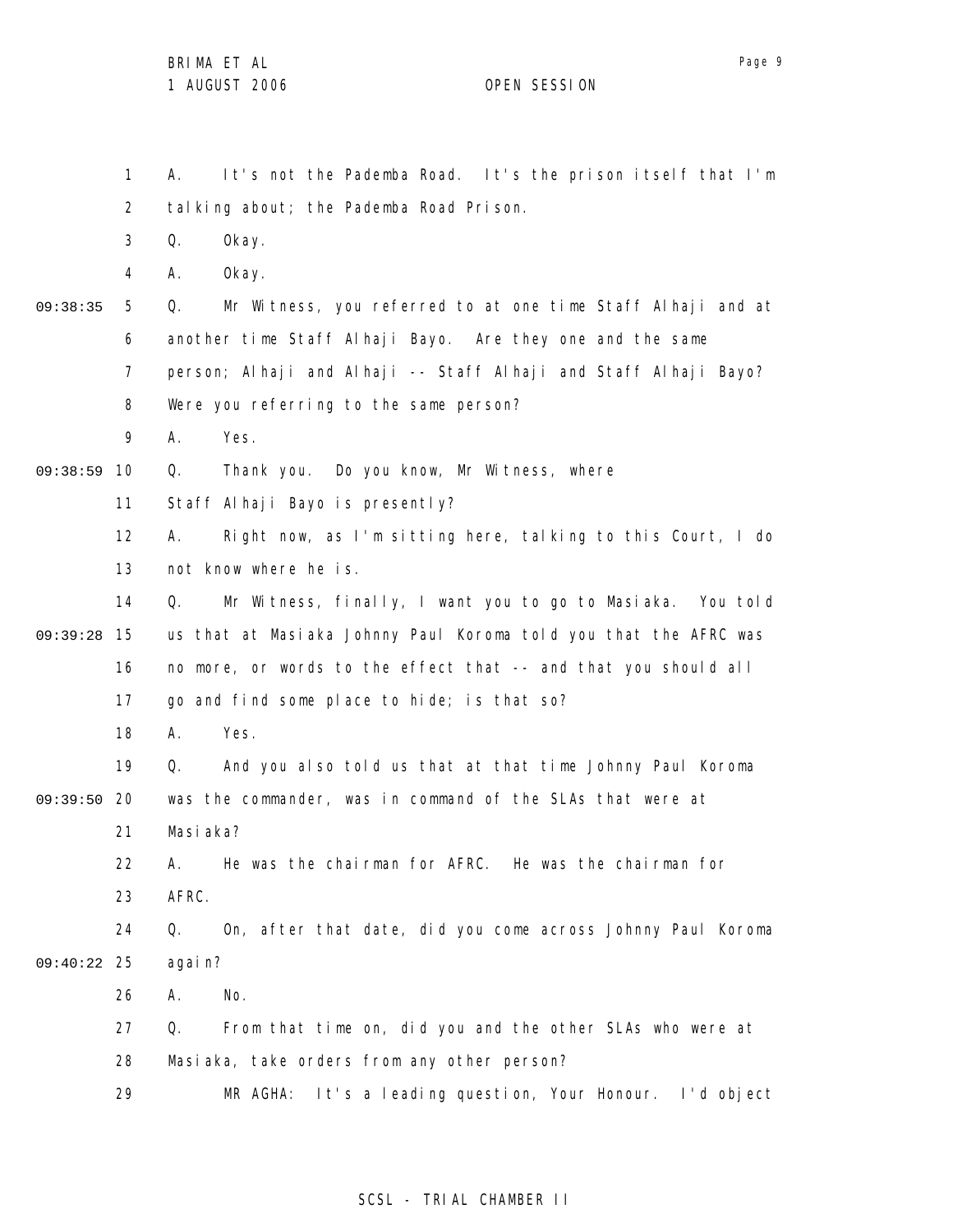1 2 3 4 5 6 7 8 9 09:38:59 10 11 12 13 14 15 09:39:28 16 17 18 19 09:39:50 20 21 22 23 24 25 09:40:22 26 27 28 29 09:38:35 A. It's not the Pademba Road. It's the prison itself that I'm talking about; the Pademba Road Prison. Q. Okay. A. Okay. Q. Mr Witness, you referred to at one time Staff Alhaji and at another time Staff Alhaji Bayo. Are they one and the same person; Alhaji and Alhaji -- Staff Alhaji and Staff Alhaji Bayo? Were you referring to the same person? A. Yes. Q. Thank you. Do you know, Mr Witness, where Staff Alhaji Bayo is presently? A. Right now, as I'm sitting here, talking to this Court, I do not know where he is. Q. Mr Witness, finally, I want you to go to Masiaka. You told us that at Masiaka Johnny Paul Koroma told you that the AFRC was no more, or words to the effect that -- and that you should all go and find some place to hide; is that so? A. Yes. Q. And you also told us that at that time Johnny Paul Koroma was the commander, was in command of the SLAs that were at Masiaka? A. He was the chairman for AFRC. He was the chairman for AFRC. Q. On, after that date, did you come across Johnny Paul Koroma again? A. No. Q. From that time on, did you and the other SLAs who were at Masiaka, take orders from any other person? MR AGHA: It's a leading question, Your Honour. I'd object

# SCSL - TRIAL CHAMBER II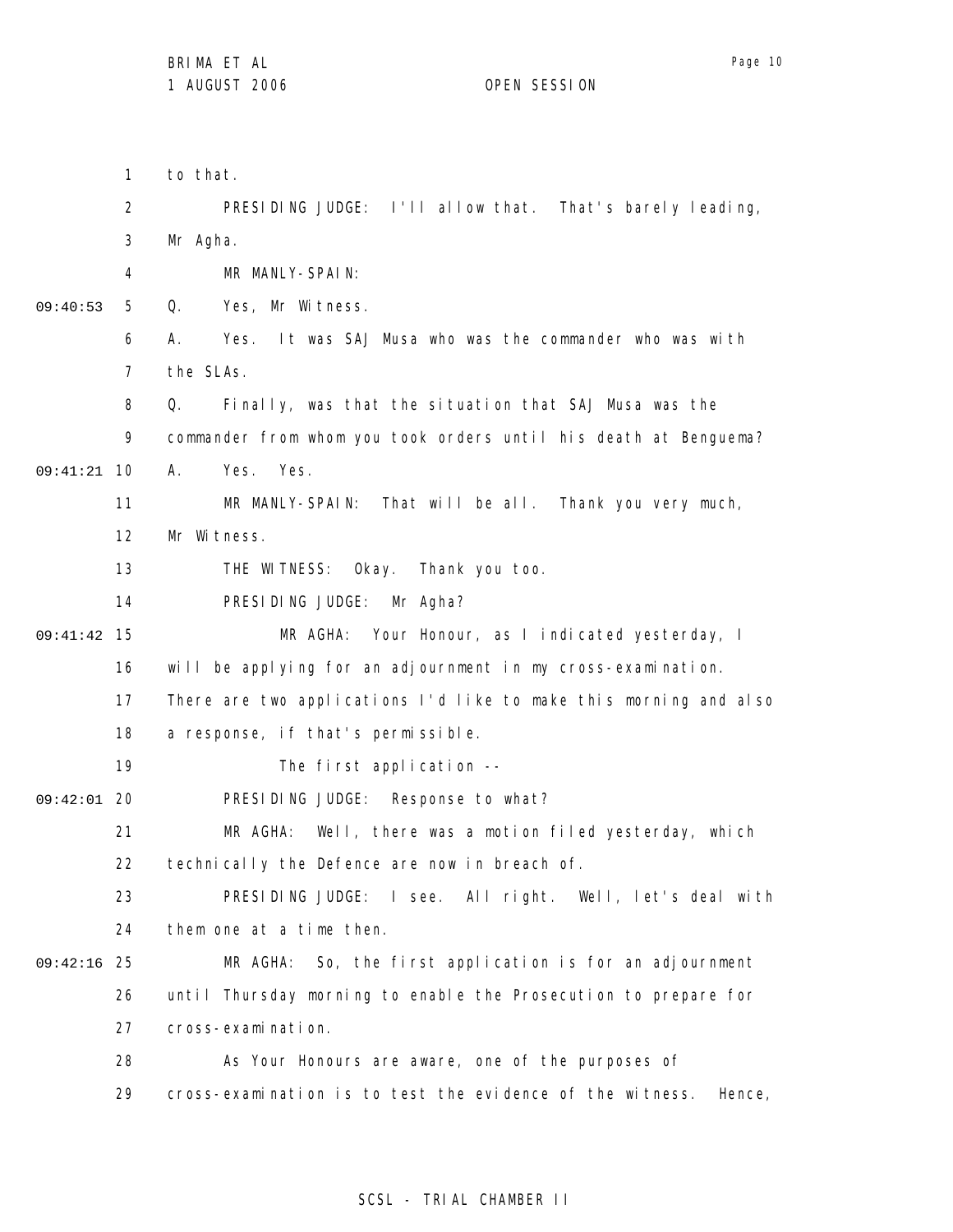1 2 3 4 5 6 7 8 9 10 09:41:21 11 12 13 14 15 09:41:42 16 17 18 19 09:42:01 20 21 22 23 24 25 09:42:16 26 27 28 29 09:40:53 to that. PRESIDING JUDGE: I'll allow that. That's barely leading, Mr Agha. MR MANLY-SPAIN: Q. Yes, Mr Witness. A. Yes. It was SAJ Musa who was the commander who was with the SLAs. Q. Finally, was that the situation that SAJ Musa was the commander from whom you took orders until his death at Benguema? A. Yes. Yes. MR MANLY-SPAIN: That will be all. Thank you very much, Mr Witness. THE WITNESS: Okay. Thank you too. PRESIDING JUDGE: Mr Agha? MR AGHA: Your Honour, as I indicated yesterday, I will be applying for an adjournment in my cross-examination. There are two applications I'd like to make this morning and also a response, if that's permissible. The first application -- PRESIDING JUDGE: Response to what? MR AGHA: Well, there was a motion filed yesterday, which technically the Defence are now in breach of. PRESIDING JUDGE: I see. All right. Well, let's deal with them one at a time then. MR AGHA: So, the first application is for an adjournment until Thursday morning to enable the Prosecution to prepare for cross-examination. As Your Honours are aware, one of the purposes of cross-examination is to test the evidence of the witness. Hence,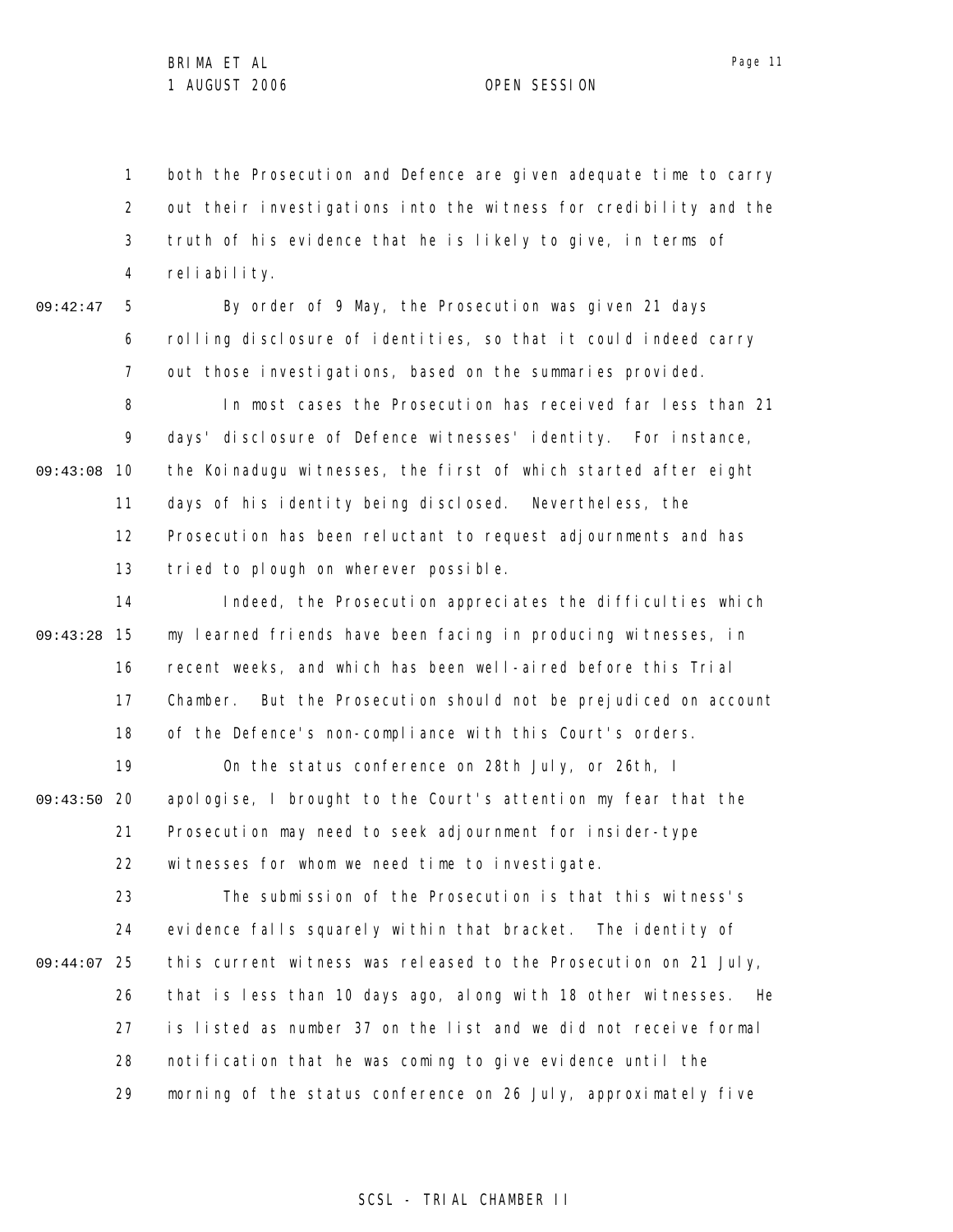1 2 3 4 both the Prosecution and Defence are given adequate time to carry out their investigations into the witness for credibility and the truth of his evidence that he is likely to give, in terms of reliability.

09:42:47

5 6 7 By order of 9 May, the Prosecution was given 21 days rolling disclosure of identities, so that it could indeed carry out those investigations, based on the summaries provided.

8 9 09:43:08 10 11 12 13 In most cases the Prosecution has received far less than 21 days' disclosure of Defence witnesses' identity. For instance, the Koinadugu witnesses, the first of which started after eight days of his identity being disclosed. Nevertheless, the Prosecution has been reluctant to request adjournments and has tried to plough on wherever possible.

14 15 09:43:28 16 17 18 Indeed, the Prosecution appreciates the difficulties which my learned friends have been facing in producing witnesses, in recent weeks, and which has been well-aired before this Trial Chamber. But the Prosecution should not be prejudiced on account of the Defence's non-compliance with this Court's orders.

19 09:43:50 20 21 22 On the status conference on 28th July, or 26th, I apologise, I brought to the Court's attention my fear that the Prosecution may need to seek adjournment for insider-type witnesses for whom we need time to investigate.

23 24 25 09:44:07 26 27 28 29 The submission of the Prosecution is that this witness's evidence falls squarely within that bracket. The identity of this current witness was released to the Prosecution on 21 July, that is less than 10 days ago, along with 18 other witnesses. He is listed as number 37 on the list and we did not receive formal notification that he was coming to give evidence until the morning of the status conference on 26 July, approximately five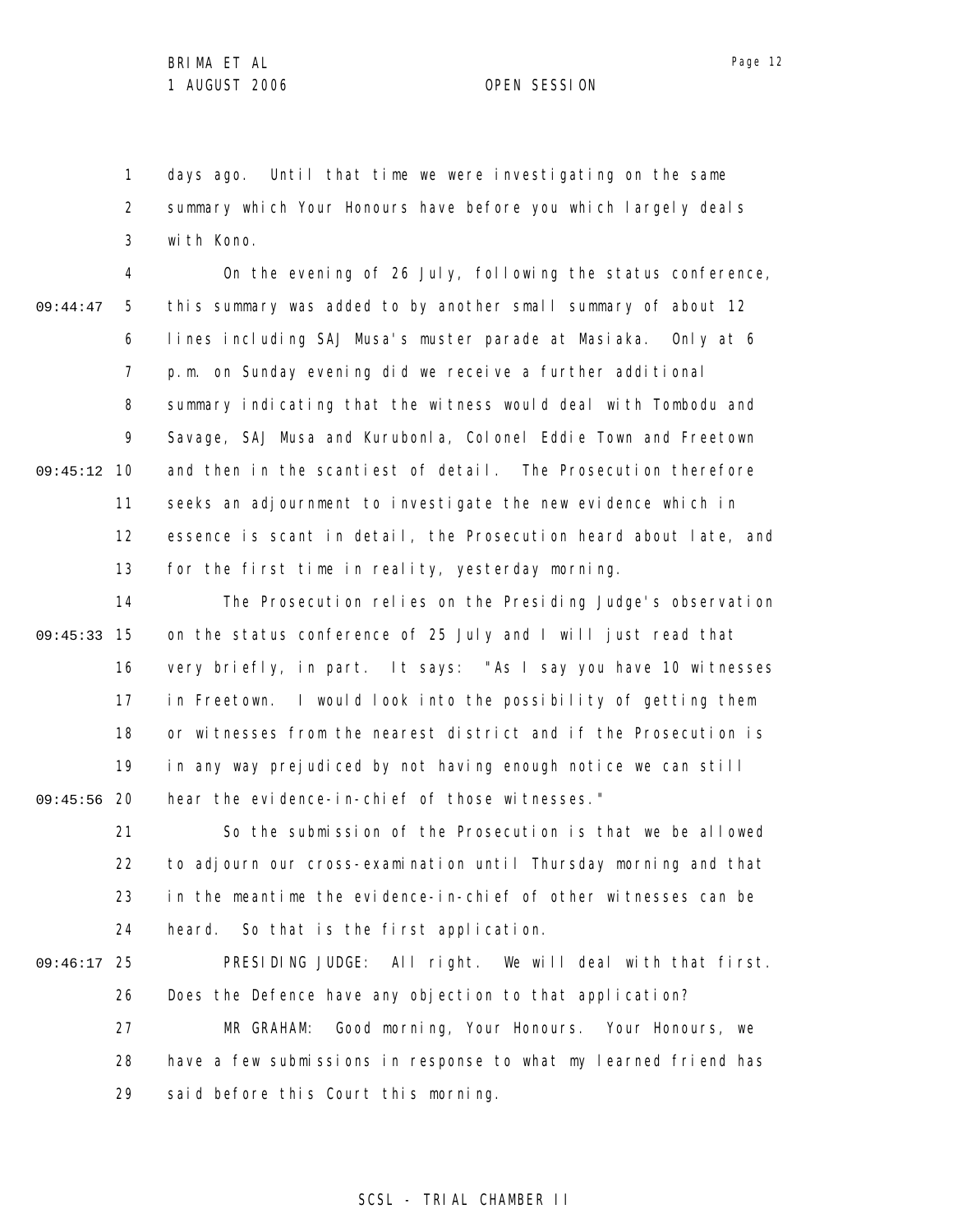1 2 3 days ago. Until that time we were investigating on the same summary which Your Honours have before you which largely deals with Kono.

4 5 6 7 8 9 09:45:12 10 11 12 13 09:44:47 On the evening of 26 July, following the status conference, this summary was added to by another small summary of about 12 lines including SAJ Musa's muster parade at Masiaka. Only at 6 p.m. on Sunday evening did we receive a further additional summary indicating that the witness would deal with Tombodu and Savage, SAJ Musa and Kurubonla, Colonel Eddie Town and Freetown and then in the scantiest of detail. The Prosecution therefore seeks an adjournment to investigate the new evidence which in essence is scant in detail, the Prosecution heard about late, and for the first time in reality, yesterday morning.

14 15 09:45:33 16 17 18 19 09:45:56 20 The Prosecution relies on the Presiding Judge's observation on the status conference of 25 July and I will just read that very briefly, in part. It says: "As I say you have 10 witnesses in Freetown. I would look into the possibility of getting them or witnesses from the nearest district and if the Prosecution is in any way prejudiced by not having enough notice we can still hear the evidence-in-chief of those witnesses."

21 22 23 24 So the submission of the Prosecution is that we be allowed to adjourn our cross-examination until Thursday morning and that in the meantime the evidence-in-chief of other witnesses can be heard. So that is the first application.

25 09:46:17 26 27 28 29 PRESIDING JUDGE: All right. We will deal with that first. Does the Defence have any objection to that application? MR GRAHAM: Good morning, Your Honours. Your Honours, we have a few submissions in response to what my learned friend has said before this Court this morning.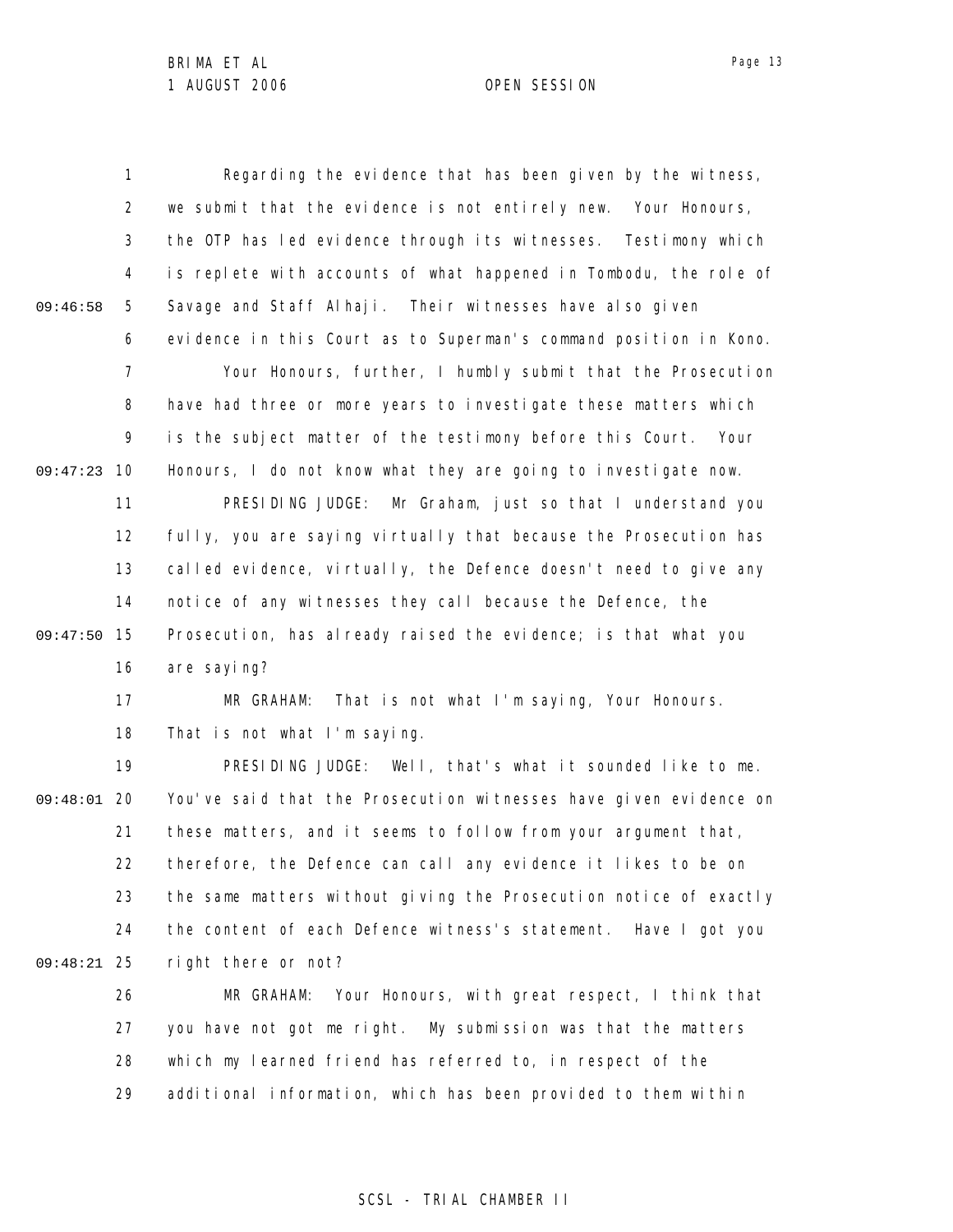1 2 3 4 5 6 7 8 9 09:47:23 10 11 12 13 14 15 09:47:50 16 17 18 19 09:48:01 20 21 22 23 24 25 09:48:21 26 27 28 29 09:46:58 Regarding the evidence that has been given by the witness, we submit that the evidence is not entirely new. Your Honours, the OTP has led evidence through its witnesses. Testimony which is replete with accounts of what happened in Tombodu, the role of Savage and Staff Alhaji. Their witnesses have also given evidence in this Court as to Superman's command position in Kono. Your Honours, further, I humbly submit that the Prosecution have had three or more years to investigate these matters which is the subject matter of the testimony before this Court. Your Honours, I do not know what they are going to investigate now. PRESIDING JUDGE: Mr Graham, just so that I understand you fully, you are saying virtually that because the Prosecution has called evidence, virtually, the Defence doesn't need to give any notice of any witnesses they call because the Defence, the Prosecution, has already raised the evidence; is that what you are saying? MR GRAHAM: That is not what I'm saying, Your Honours. That is not what I'm saying. PRESIDING JUDGE: Well, that's what it sounded like to me. You've said that the Prosecution witnesses have given evidence on these matters, and it seems to follow from your argument that, therefore, the Defence can call any evidence it likes to be on the same matters without giving the Prosecution notice of exactly the content of each Defence witness's statement. Have I got you right there or not? MR GRAHAM: Your Honours, with great respect, I think that you have not got me right. My submission was that the matters which my learned friend has referred to, in respect of the additional information, which has been provided to them within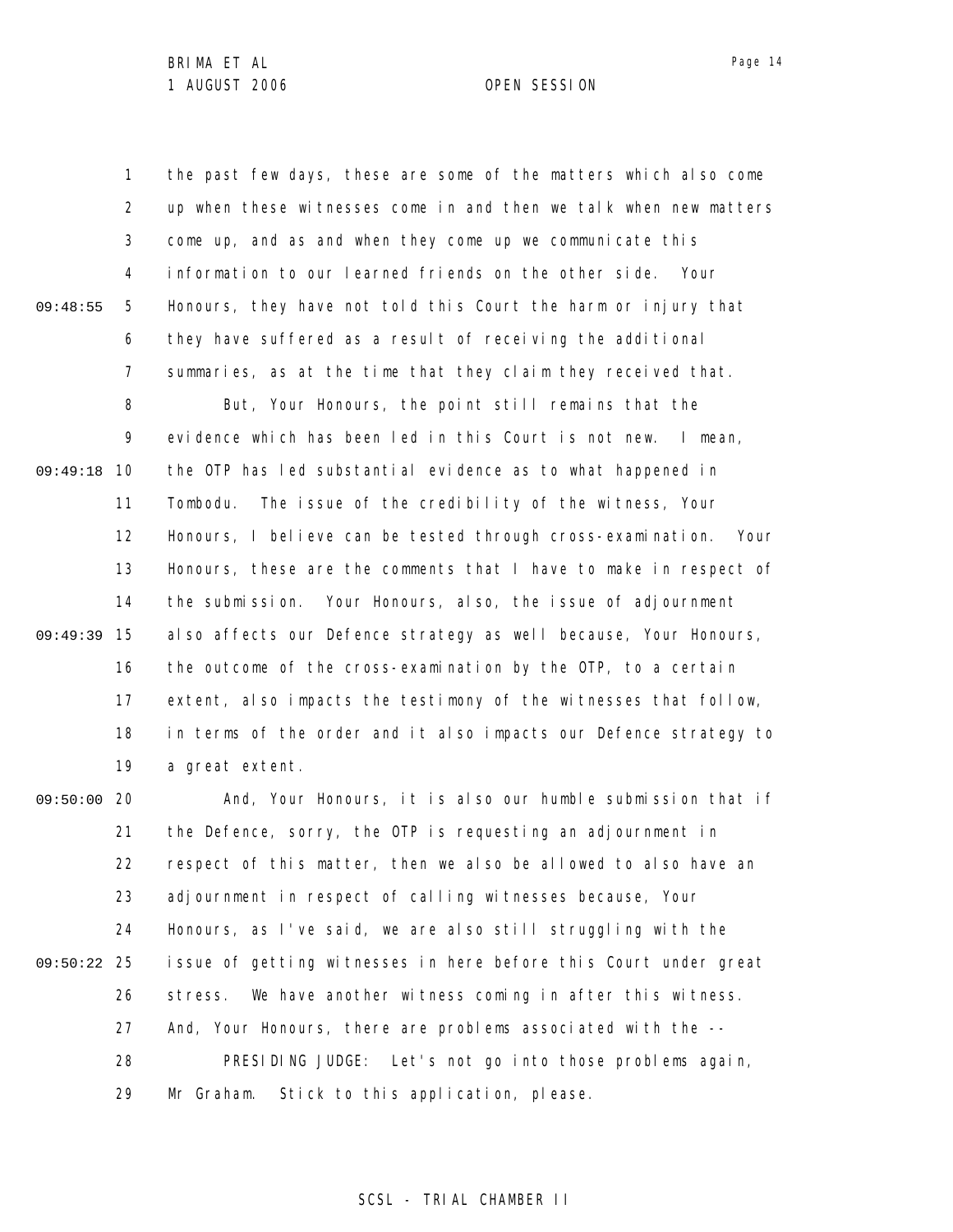1 2 3 4 5 6 7 8 9 09:49:18 10 11 12 13 14 15 09:49:39 16 17 18 19 09:50:00 20 21 22 23 24 25 09:50:22 26 27 28 29 09:48:55 the past few days, these are some of the matters which also come up when these witnesses come in and then we talk when new matters come up, and as and when they come up we communicate this information to our learned friends on the other side. Your Honours, they have not told this Court the harm or injury that they have suffered as a result of receiving the additional summaries, as at the time that they claim they received that. But, Your Honours, the point still remains that the evidence which has been led in this Court is not new. I mean, the OTP has led substantial evidence as to what happened in Tombodu. The issue of the credibility of the witness, Your Honours, I believe can be tested through cross-examination. Your Honours, these are the comments that I have to make in respect of the submission. Your Honours, also, the issue of adjournment also affects our Defence strategy as well because, Your Honours, the outcome of the cross-examination by the OTP, to a certain extent, also impacts the testimony of the witnesses that follow, in terms of the order and it also impacts our Defence strategy to a great extent. And, Your Honours, it is also our humble submission that if the Defence, sorry, the OTP is requesting an adjournment in respect of this matter, then we also be allowed to also have an adjournment in respect of calling witnesses because, Your Honours, as I've said, we are also still struggling with the issue of getting witnesses in here before this Court under great stress. We have another witness coming in after this witness. And, Your Honours, there are problems associated with the -- PRESIDING JUDGE: Let's not go into those problems again, Mr Graham. Stick to this application, please.

# SCSL - TRIAL CHAMBER II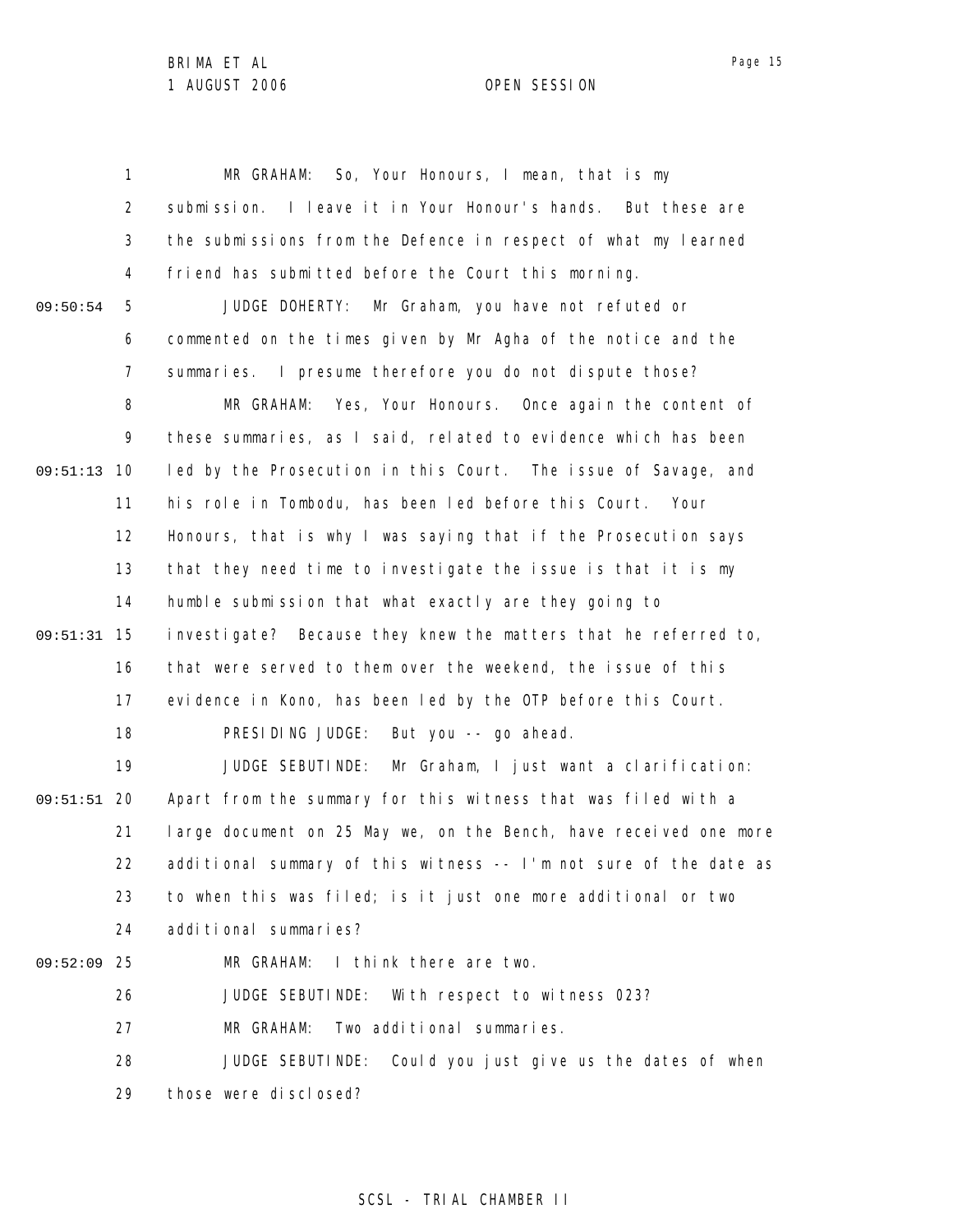1 2 3 4 5 6 7 8 9 09:51:13 10 11 12 13 14 15 09:51:31 16 17 18 19 09:51:51 20 21 22 23 24 25 09:52:09 26 27 28 29 09:50:54 MR GRAHAM: So, Your Honours, I mean, that is my submission. I leave it in Your Honour's hands. But these are the submissions from the Defence in respect of what my learned friend has submitted before the Court this morning. JUDGE DOHERTY: Mr Graham, you have not refuted or commented on the times given by Mr Agha of the notice and the summaries. I presume therefore you do not dispute those? MR GRAHAM: Yes, Your Honours. Once again the content of these summaries, as I said, related to evidence which has been led by the Prosecution in this Court. The issue of Savage, and his role in Tombodu, has been led before this Court. Your Honours, that is why I was saying that if the Prosecution says that they need time to investigate the issue is that it is my humble submission that what exactly are they going to investigate? Because they knew the matters that he referred to, that were served to them over the weekend, the issue of this evidence in Kono, has been led by the OTP before this Court. PRESIDING JUDGE: But you -- go ahead. JUDGE SEBUTINDE: Mr Graham, I just want a clarification: Apart from the summary for this witness that was filed with a large document on 25 May we, on the Bench, have received one more additional summary of this witness -- I'm not sure of the date as to when this was filed; is it just one more additional or two additional summaries? MR GRAHAM: I think there are two. JUDGE SEBUTINDE: With respect to witness 023? MR GRAHAM: Two additional summaries. JUDGE SEBUTINDE: Could you just give us the dates of when those were disclosed?

### SCSL - TRIAL CHAMBER II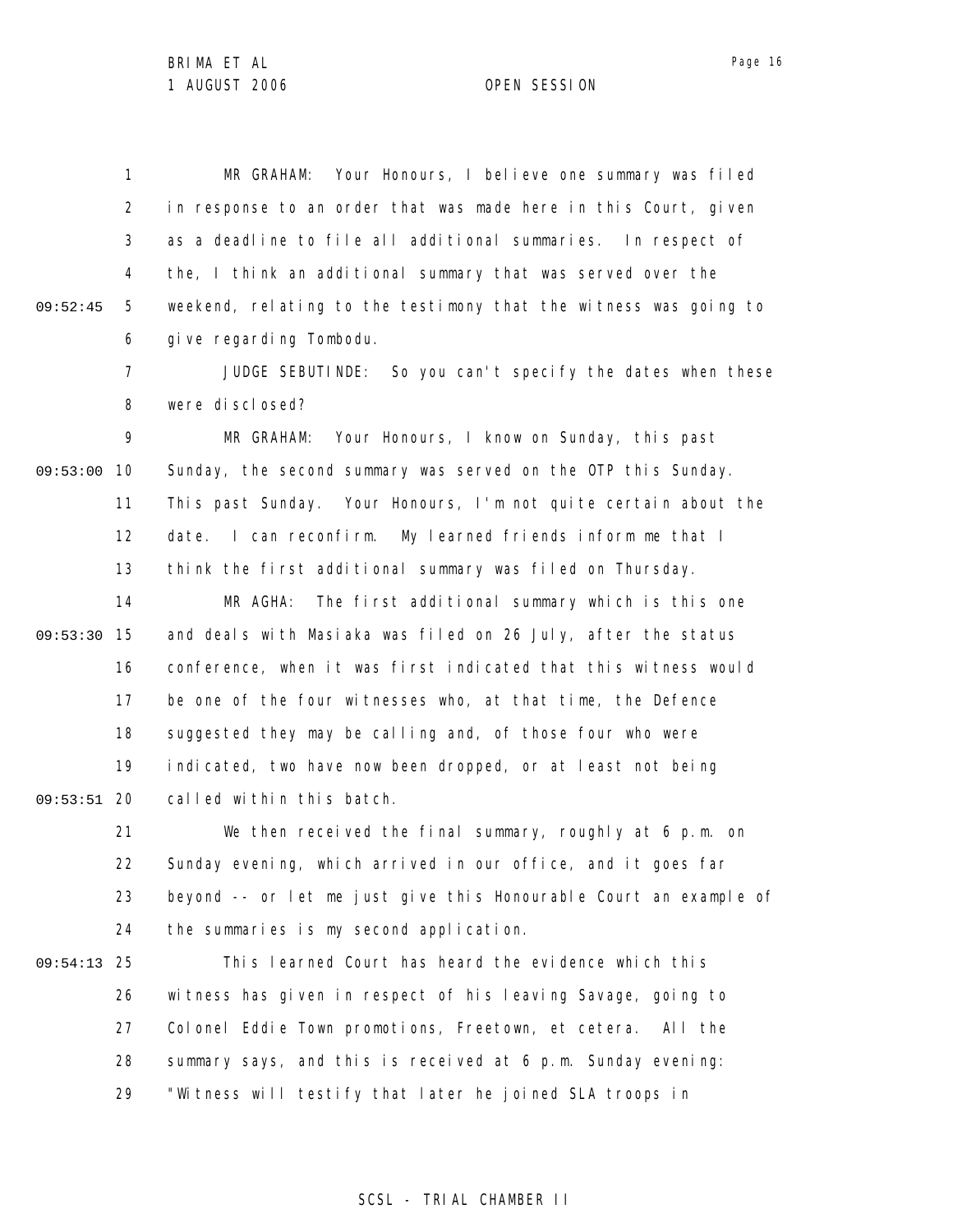1 2 3 4 5 6 09:52:45 MR GRAHAM: Your Honours, I believe one summary was filed in response to an order that was made here in this Court, given as a deadline to file all additional summaries. In respect of the, I think an additional summary that was served over the weekend, relating to the testimony that the witness was going to give regarding Tombodu.

> 7 8 JUDGE SEBUTINDE: So you can't specify the dates when these were disclosed?

9 09:53:00 10 11 12 13 MR GRAHAM: Your Honours, I know on Sunday, this past Sunday, the second summary was served on the OTP this Sunday. This past Sunday. Your Honours, I'm not quite certain about the date. I can reconfirm. My learned friends inform me that I think the first additional summary was filed on Thursday.

14 09:53:30 15 16 17 18 19 09:53:51 20 MR AGHA: The first additional summary which is this one and deals with Masiaka was filed on 26 July, after the status conference, when it was first indicated that this witness would be one of the four witnesses who, at that time, the Defence suggested they may be calling and, of those four who were indicated, two have now been dropped, or at least not being called within this batch.

21 22 23 24 We then received the final summary, roughly at 6 p.m. on Sunday evening, which arrived in our office, and it goes far beyond -- or let me just give this Honourable Court an example of the summaries is my second application.

25 09:54:13 26 27 28 29 This learned Court has heard the evidence which this witness has given in respect of his leaving Savage, going to Colonel Eddie Town promotions, Freetown, et cetera. All the summary says, and this is received at 6 p.m. Sunday evening: "Witness will testify that later he joined SLA troops in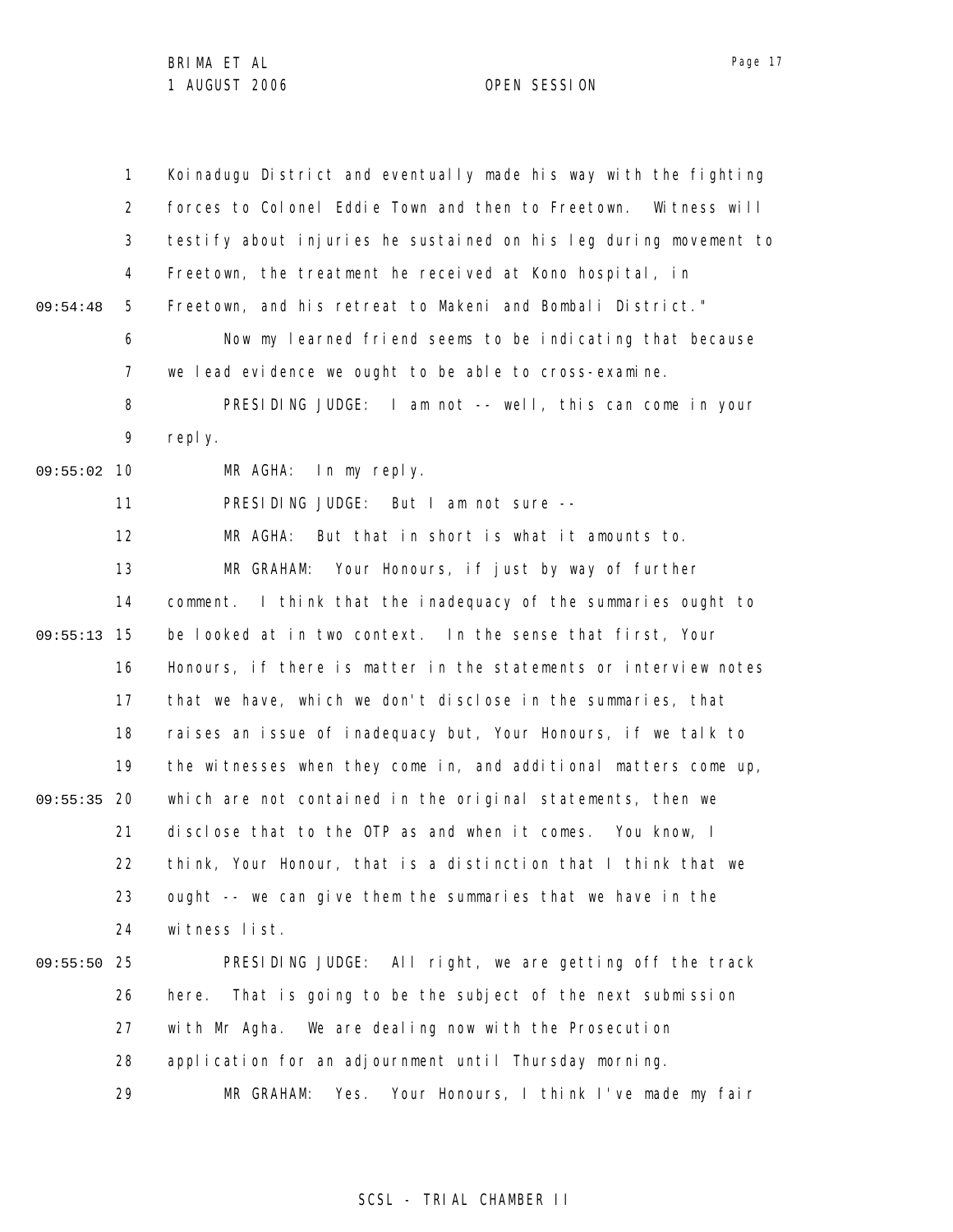|          | $\mathbf{1}$ | Koinadugu District and eventually made his way with the fighting   |
|----------|--------------|--------------------------------------------------------------------|
|          | 2            | forces to Colonel Eddie Town and then to Freetown.<br>Witness will |
|          | 3            | testify about injuries he sustained on his leg during movement to  |
|          | 4            | Freetown, the treatment he received at Kono hospital, in           |
| 09:54:48 | 5            | Freetown, and his retreat to Makeni and Bombali District."         |
|          | 6            | Now my learned friend seems to be indicating that because          |
|          | 7            | we lead evidence we ought to be able to cross-examine.             |
|          | 8            | PRESIDING JUDGE: I am not -- well, this can come in your           |
|          | 9            | reply.                                                             |
| 09:55:02 | 10           | MR AGHA:<br>In my reply.                                           |
|          | 11           | PRESIDING JUDGE: But I am not sure --                              |
|          | 12           | MR AGHA:<br>But that in short is what it amounts to.               |
|          | 13           | MR GRAHAM: Your Honours, if just by way of further                 |
|          | 14           | I think that the inadequacy of the summaries ought to<br>comment.  |
| 09:55:13 | 15           | be looked at in two context. In the sense that first, Your         |
|          | 16           | Honours, if there is matter in the statements or interview notes   |
|          | 17           | that we have, which we don't disclose in the summaries, that       |
|          | 18           | raises an issue of inadequacy but, Your Honours, if we talk to     |
|          | 19           | the witnesses when they come in, and additional matters come up,   |
| 09:55:35 | 20           | which are not contained in the original statements, then we        |
|          | 21           | disclose that to the OTP as and when it comes. You know, I         |
|          | 22           | think, Your Honour, that is a distinction that I think that we     |
|          | 23           | ought -- we can give them the summaries that we have in the        |
|          | 24           | witness list.                                                      |
| 09:55:50 | 25           | PRESIDING JUDGE: All right, we are getting off the track           |
|          | 26           | That is going to be the subject of the next submission<br>here.    |
|          | 27           | with Mr Agha. We are dealing now with the Prosecution              |
|          | 28           | application for an adjournment until Thursday morning.             |
|          | 29           | Your Honours, I think I've made my fair<br>MR GRAHAM:<br>Yes.      |

# SCSL - TRIAL CHAMBER II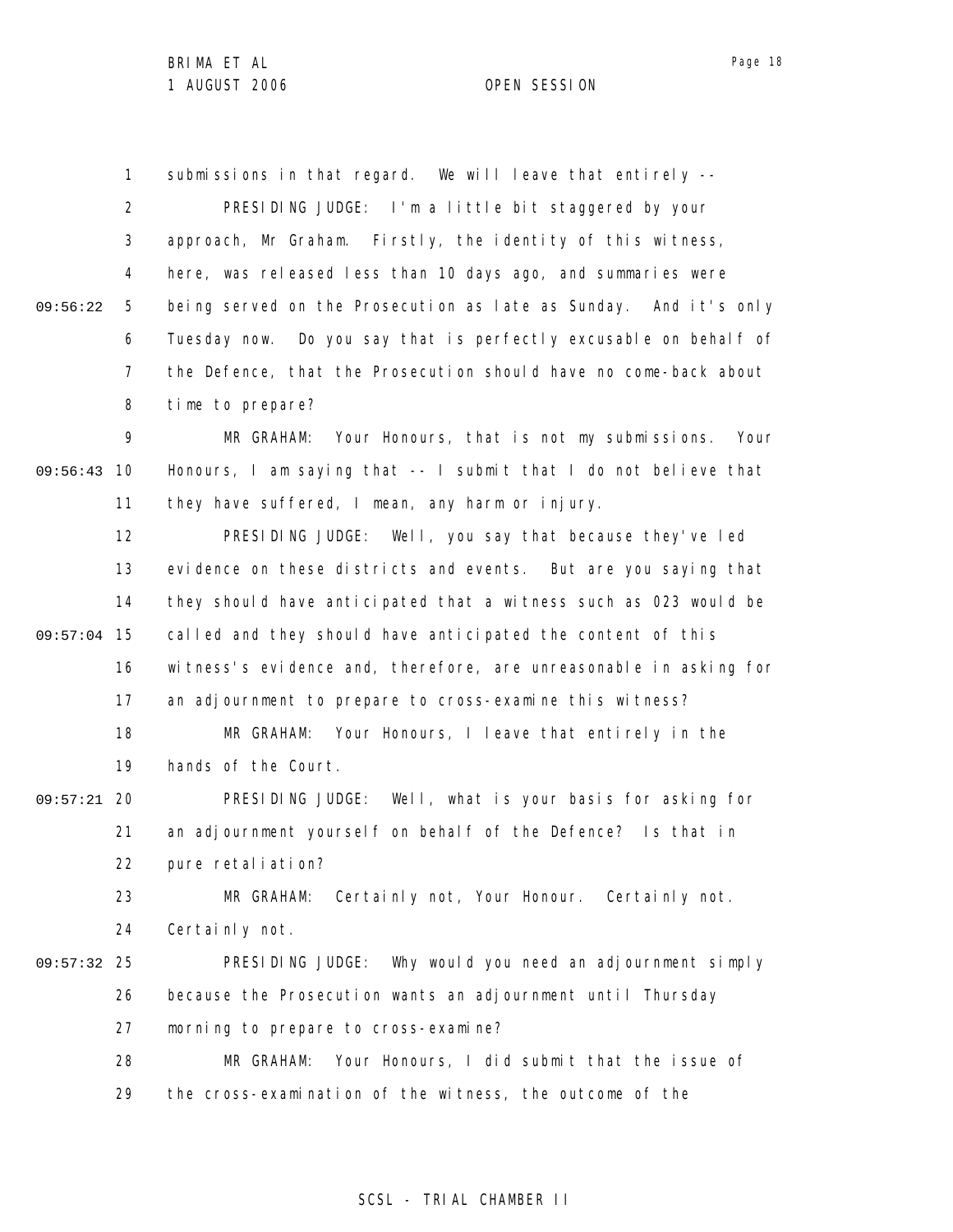1 2 3 4 5 6 7 8 9 09:56:43 10 11 12 13 14 09:57:04 15 16 17 18 19 09:57:21 20 21 22 23 24 09:57:32 25 26 27 28 29 09:56:22 submissions in that regard. We will leave that entirely --PRESIDING JUDGE: I'm a little bit staggered by your approach, Mr Graham. Firstly, the identity of this witness, here, was released less than 10 days ago, and summaries were being served on the Prosecution as late as Sunday. And it's only Tuesday now. Do you say that is perfectly excusable on behalf of the Defence, that the Prosecution should have no come-back about time to prepare? MR GRAHAM: Your Honours, that is not my submissions. Your Honours, I am saying that -- I submit that I do not believe that they have suffered, I mean, any harm or injury. PRESIDING JUDGE: Well, you say that because they've led evidence on these districts and events. But are you saying that they should have anticipated that a witness such as 023 would be called and they should have anticipated the content of this witness's evidence and, therefore, are unreasonable in asking for an adjournment to prepare to cross-examine this witness? MR GRAHAM: Your Honours, I leave that entirely in the hands of the Court. PRESIDING JUDGE: Well, what is your basis for asking for an adjournment yourself on behalf of the Defence? Is that in pure retaliation? MR GRAHAM: Certainly not, Your Honour. Certainly not. Certainly not. PRESIDING JUDGE: Why would you need an adjournment simply because the Prosecution wants an adjournment until Thursday morning to prepare to cross-examine? MR GRAHAM: Your Honours, I did submit that the issue of the cross-examination of the witness, the outcome of the

# SCSL - TRIAL CHAMBER II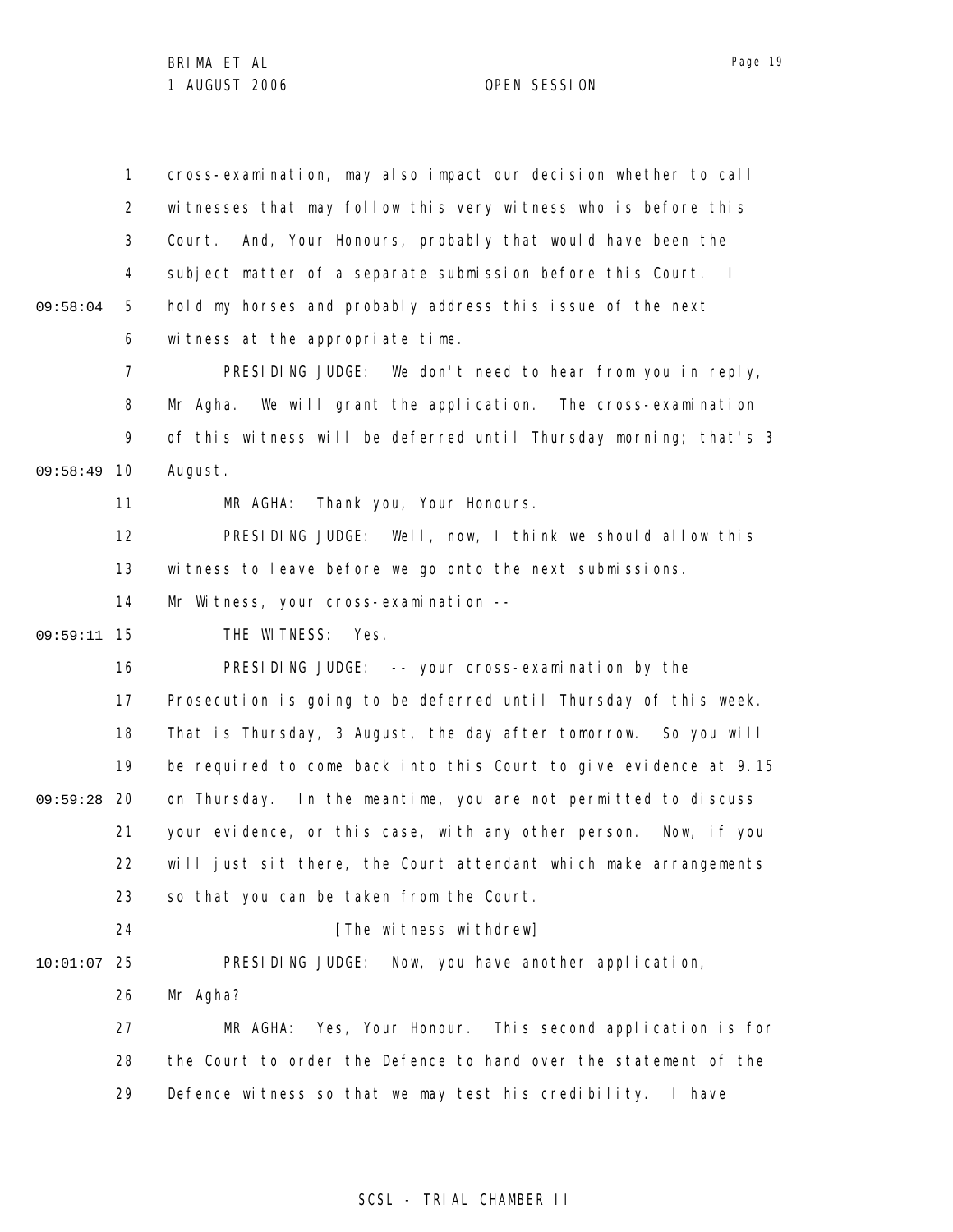1 2 3 4 5 6 7 8 9 09:58:49 10 11 12 13 14 15 09:59:11 16 17 18 19 09:59:28 20 21 22 23 24 25 10:01:07 26 27 28 29 09:58:04 cross-examination, may also impact our decision whether to call witnesses that may follow this very witness who is before this Court. And, Your Honours, probably that would have been the subject matter of a separate submission before this Court. I hold my horses and probably address this issue of the next witness at the appropriate time. PRESIDING JUDGE: We don't need to hear from you in reply, Mr Agha. We will grant the application. The cross-examination of this witness will be deferred until Thursday morning; that's 3 August. MR AGHA: Thank you, Your Honours. PRESIDING JUDGE: Well, now, I think we should allow this witness to leave before we go onto the next submissions. Mr Witness, your cross-examination --THE WITNESS: Yes. PRESIDING JUDGE: -- your cross-examination by the Prosecution is going to be deferred until Thursday of this week. That is Thursday, 3 August, the day after tomorrow. So you will be required to come back into this Court to give evidence at 9.15 on Thursday. In the meantime, you are not permitted to discuss your evidence, or this case, with any other person. Now, if you will just sit there, the Court attendant which make arrangements so that you can be taken from the Court. [The witness withdrew] PRESIDING JUDGE: Now, you have another application, Mr Agha? MR AGHA: Yes, Your Honour. This second application is for the Court to order the Defence to hand over the statement of the Defence witness so that we may test his credibility. I have

# SCSL - TRIAL CHAMBER II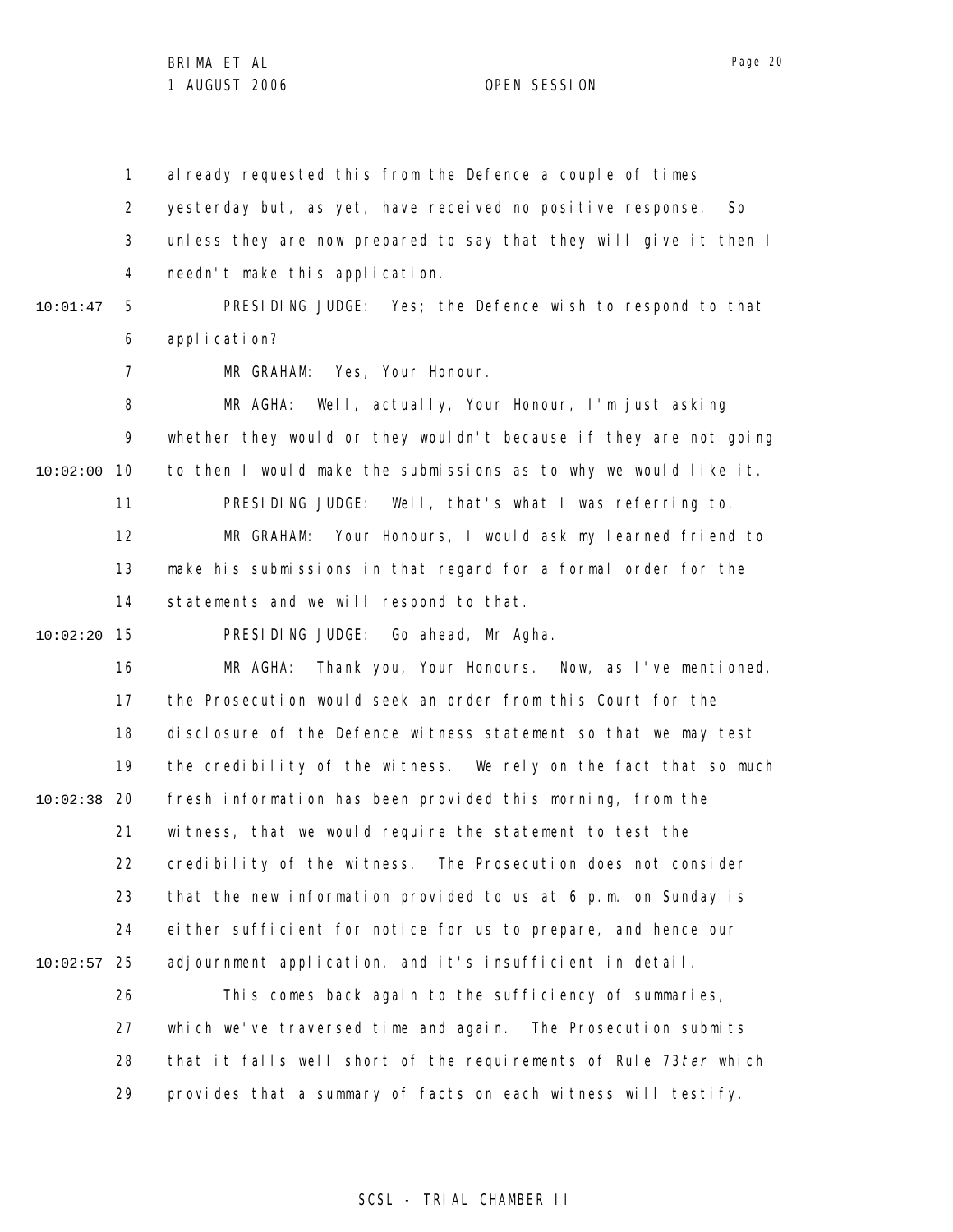1 2 3 4 al ready requested this from the Defence a couple of times yesterday but, as yet, have received no positive response. So unless they are now prepared to say that they will give it then I needn't make this application.

PRESIDING JUDGE: Yes; the Defence wish to respond to that

10:01:47

5

7

6 application?

MR GRAHAM: Yes, Your Honour.

8 9 10 10:02:00 11 12 13 14 MR AGHA: Well, actually, Your Honour, I'm just asking whether they would or they wouldn't because if they are not going to then I would make the submissions as to why we would like it. PRESIDING JUDGE: Well, that's what I was referring to. MR GRAHAM: Your Honours, I would ask my learned friend to make his submissions in that regard for a formal order for the statements and we will respond to that.

15 10:02:20

PRESIDING JUDGE: Go ahead, Mr Agha.

16 17 18 19 20 10:02:38 21 22 23 24 25 10:02:57 MR AGHA: Thank you, Your Honours. Now, as I've mentioned, the Prosecution would seek an order from this Court for the disclosure of the Defence witness statement so that we may test the credibility of the witness. We rely on the fact that so much fresh information has been provided this morning, from the witness, that we would require the statement to test the credibility of the witness. The Prosecution does not consider that the new information provided to us at 6 p.m. on Sunday is either sufficient for notice for us to prepare, and hence our adjournment application, and it's insufficient in detail.

26 27 28 29 This comes back again to the sufficiency of summaries, which we've traversed time and again. The Prosecution submits that it falls well short of the requirements of Rule 73ter which provides that a summary of facts on each witness will testify.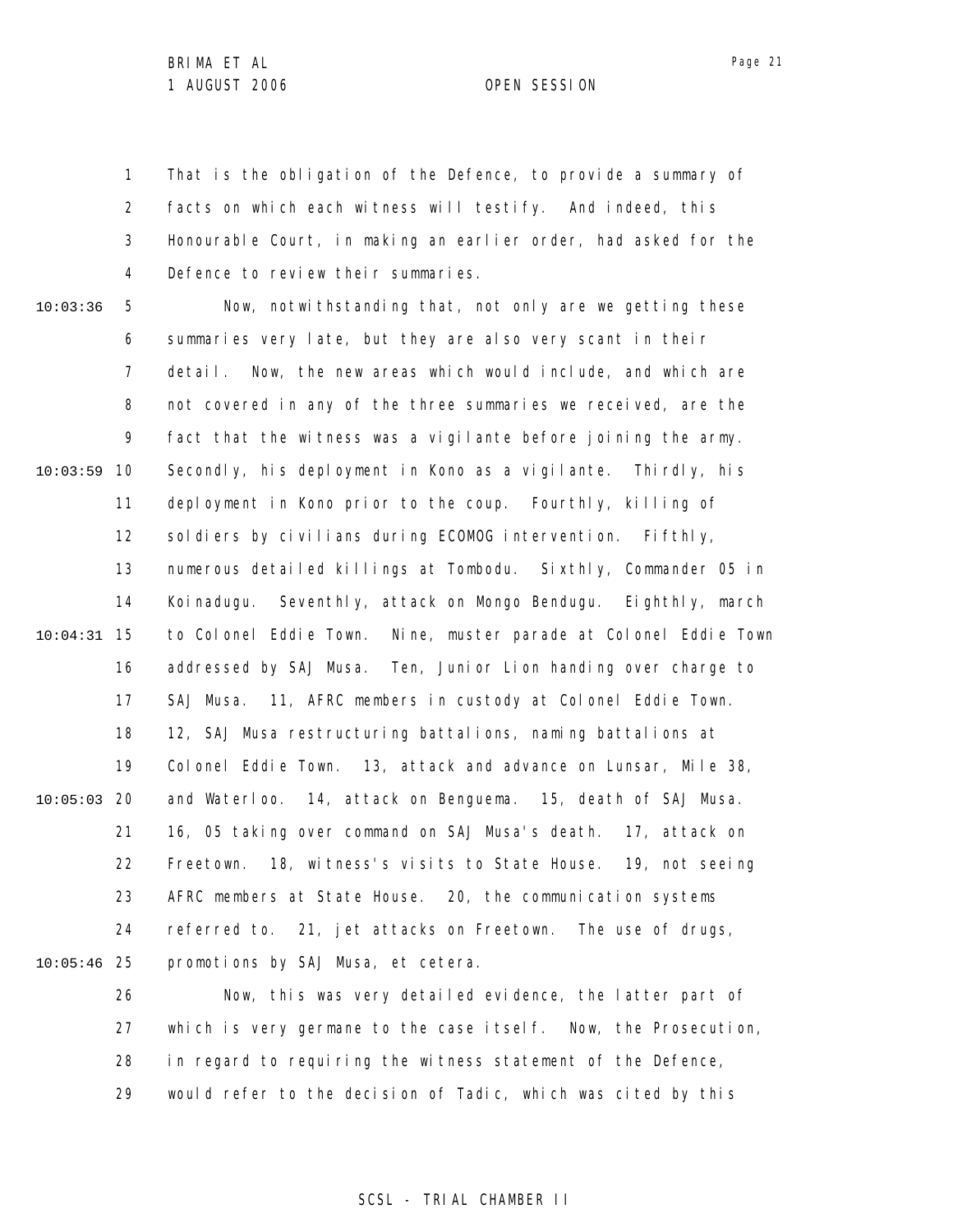Page 21

1 2 3 4 That is the obligation of the Defence, to provide a summary of facts on which each witness will testify. And indeed, this Honourable Court, in making an earlier order, had asked for the Defence to review their summaries.

10:03:36

5 6 7 8 9 10 10:03:59 11 12 13 14 15 10:04:31 16 17 18 19 20 10:05:03 21 22 23 24 25 10:05:46 Now, notwithstanding that, not only are we getting these summaries very late, but they are also very scant in their detail. Now, the new areas which would include, and which are not covered in any of the three summaries we received, are the fact that the witness was a vigilante before joining the army. Secondly, his deployment in Kono as a vigilante. Thirdly, his deployment in Kono prior to the coup. Fourthly, killing of soldiers by civilians during ECOMOG intervention. Fifthly, numerous detailed killings at Tombodu. Sixthly, Commander 05 in Koinadugu. Seventhly, attack on Mongo Bendugu. Eighthly, march to Colonel Eddie Town. Nine, muster parade at Colonel Eddie Town addressed by SAJ Musa. Ten, Junior Lion handing over charge to SAJ Musa. 11, AFRC members in custody at Colonel Eddie Town. 12, SAJ Musa restructuring battalions, naming battalions at Colonel Eddie Town. 13, attack and advance on Lunsar, Mile 38, and Waterloo. 14, attack on Benguema. 15, death of SAJ Musa. 16, 05 taking over command on SAJ Musa's death. 17, attack on Freetown. 18, witness's visits to State House. 19, not seeing AFRC members at State House. 20, the communication systems referred to. 21, jet attacks on Freetown. The use of drugs, promotions by SAJ Musa, et cetera.

26 27 28 29 Now, this was very detailed evidence, the latter part of which is very germane to the case itself. Now, the Prosecution, in regard to requiring the witness statement of the Defence, would refer to the decision of Tadic, which was cited by this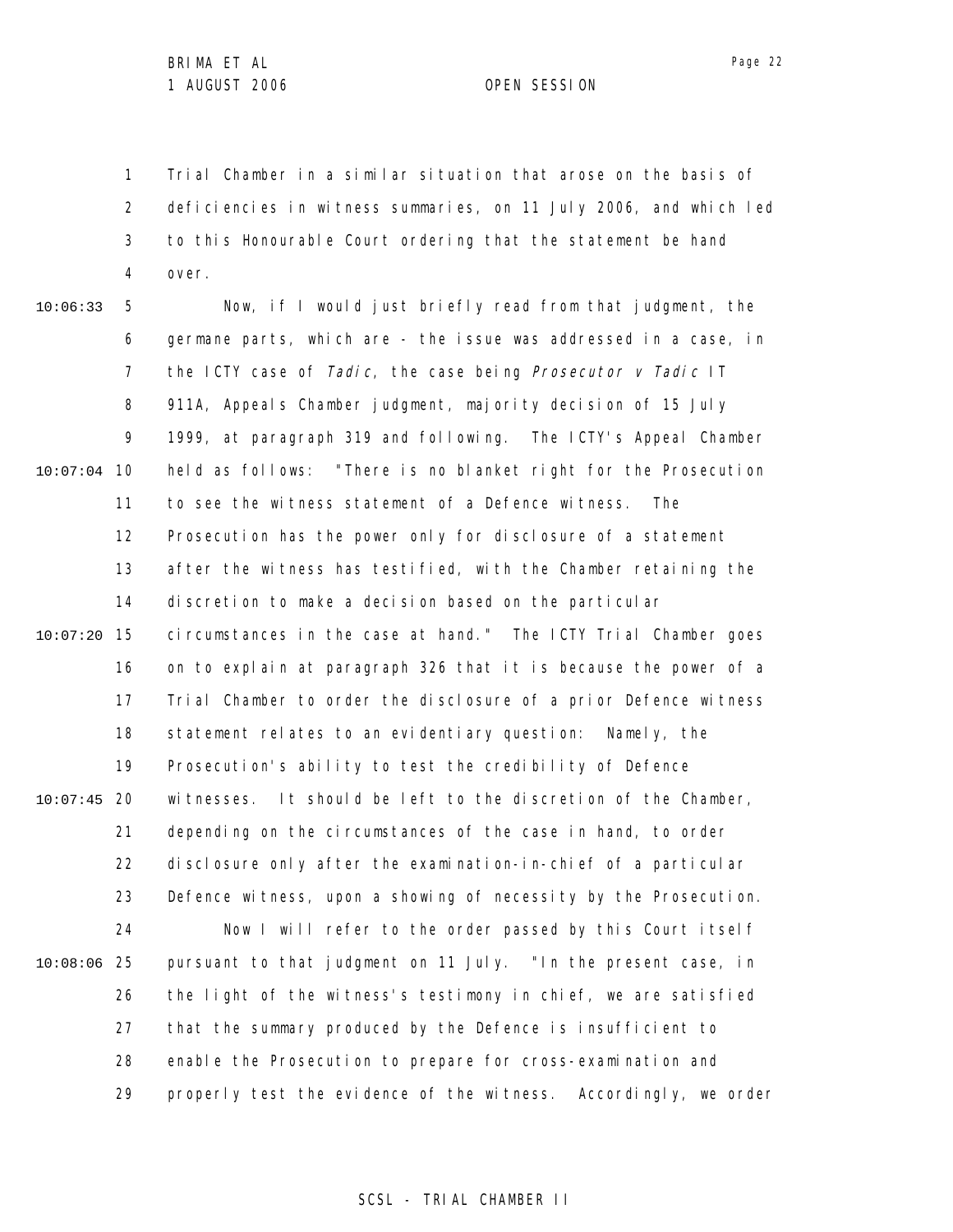1 2 3 4 Trial Chamber in a similar situation that arose on the basis of deficiencies in witness summaries, on 11 July 2006, and which led to this Honourable Court ordering that the statement be hand over.

5 6 7 8 9 10 10:07:04 11 12 13 14 15 10:07:20 16 17 18 19 20 10:07:45 21 22 23 24 25 10:08:06 26 27 28 29 10:06:33 Now, if I would just briefly read from that judgment, the germane parts, which are - the issue was addressed in a case, in the ICTY case of Tadic, the case being Prosecutor  $v$  Tadic IT 911A, Appeals Chamber judgment, majority decision of 15 July 1999, at paragraph 319 and following. The ICTY's Appeal Chamber held as follows: "There is no blanket right for the Prosecution to see the witness statement of a Defence witness. The Prosecution has the power only for disclosure of a statement after the witness has testified, with the Chamber retaining the discretion to make a decision based on the particular circumstances in the case at hand." The ICTY Trial Chamber goes on to explain at paragraph 326 that it is because the power of a Trial Chamber to order the disclosure of a prior Defence witness statement relates to an evidentiary question: Namely, the Prosecution's ability to test the credibility of Defence witnesses. It should be left to the discretion of the Chamber, depending on the circumstances of the case in hand, to order disclosure only after the examination-in-chief of a particular Defence witness, upon a showing of necessity by the Prosecution. Now I will refer to the order passed by this Court itself pursuant to that judgment on 11 July. "In the present case, in the light of the witness's testimony in chief, we are satisfied that the summary produced by the Defence is insufficient to enable the Prosecution to prepare for cross-examination and properly test the evidence of the witness. Accordingly, we order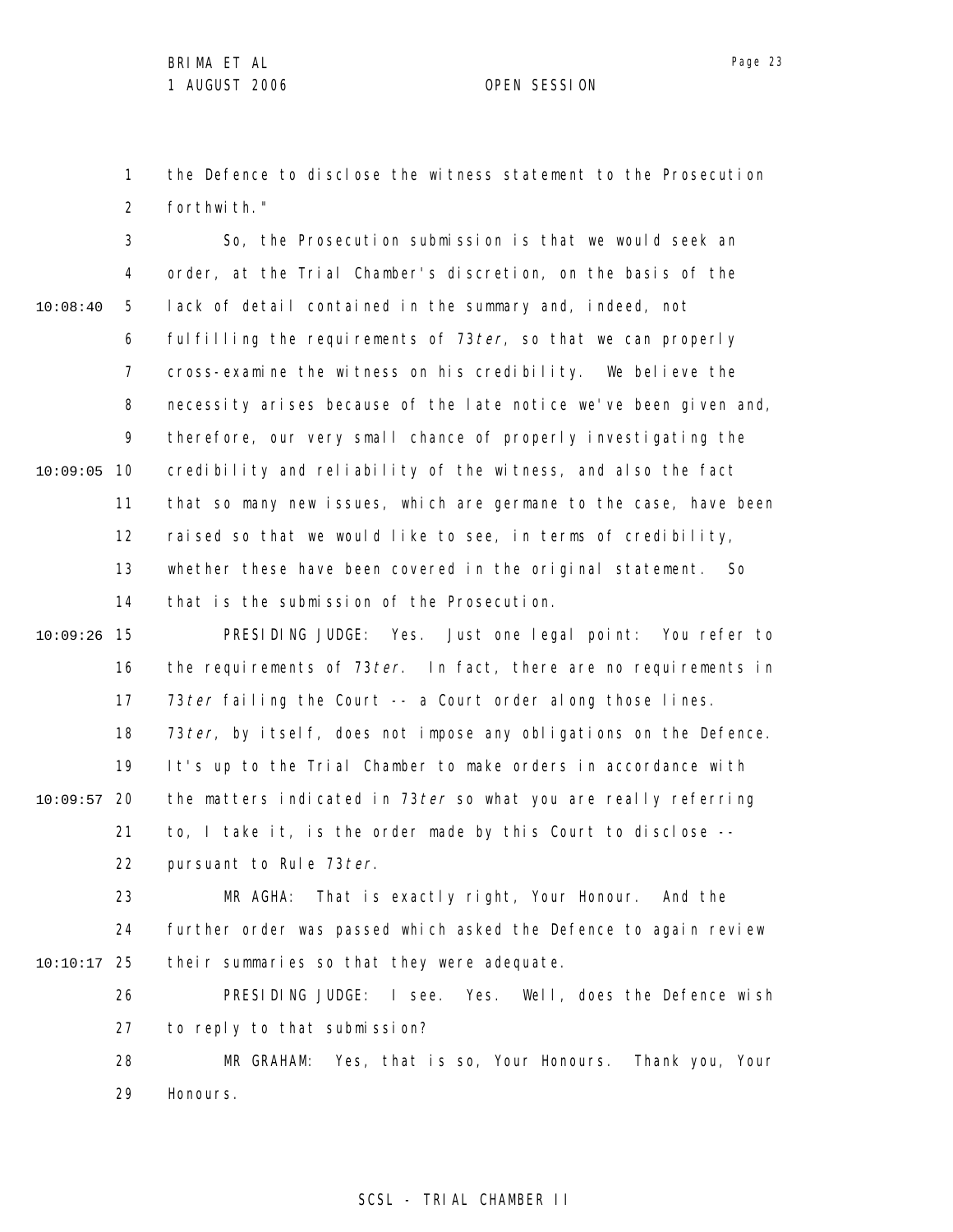1 2 the Defence to disclose the witness statement to the Prosecution forthwith."

3 4 5 6 7 8 9 10 10:09:05 11 12 13 14 15 10:09:26 16 17 18 19 20 10:09:57 21 22 23 24 25 10:10:17 26 27 28 29 10:08:40 So, the Prosecution submission is that we would seek an order, at the Trial Chamber's discretion, on the basis of the lack of detail contained in the summary and, indeed, not fulfilling the requirements of  $73 \text{ ter}$ , so that we can properly cross-examine the witness on his credibility. We believe the necessity arises because of the late notice we've been given and, therefore, our very small chance of properly investigating the credibility and reliability of the witness, and also the fact that so many new issues, which are germane to the case, have been raised so that we would like to see, in terms of credibility, whether these have been covered in the original statement. So that is the submission of the Prosecution. PRESIDING JUDGE: Yes. Just one legal point: You refer to the requirements of 73 ter. In fact, there are no requirements in 73 ter failing the Court -- a Court order along those lines. 73 ter, by itself, does not impose any obligations on the Defence. It's up to the Trial Chamber to make orders in accordance with the matters indicated in 73ter so what you are really referring to, I take it, is the order made by this Court to disclose - pursuant to Rule 73 ter. MR AGHA: That is exactly right, Your Honour. And the further order was passed which asked the Defence to again review their summaries so that they were adequate. PRESIDING JUDGE: I see. Yes. Well, does the Defence wish to reply to that submission? MR GRAHAM: Yes, that is so, Your Honours. Thank you, Your Honours.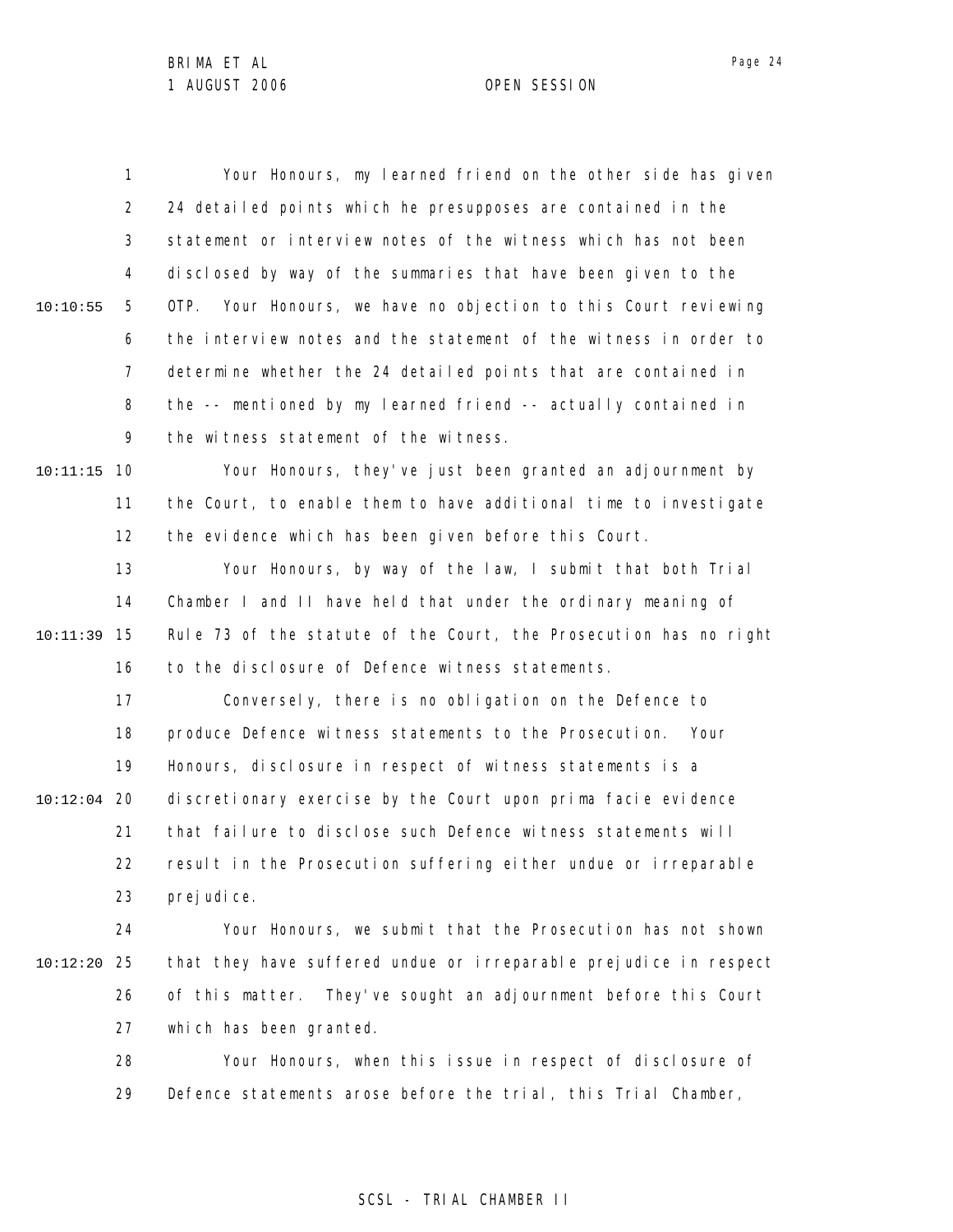1 2 3 4 5 6 7 8 9 10 10:11:15 11 12 13 14 15 10:11:39 16 17 18 19 20 10:12:04 21 22 23 24 25 10:12:20 26 27 28 29 10:10:55 Your Honours, my learned friend on the other side has given 24 detailed points which he presupposes are contained in the statement or interview notes of the witness which has not been disclosed by way of the summaries that have been given to the OTP. Your Honours, we have no objection to this Court reviewing the interview notes and the statement of the witness in order to determine whether the 24 detailed points that are contained in the -- mentioned by my learned friend -- actually contained in the witness statement of the witness. Your Honours, they've just been granted an adjournment by the Court, to enable them to have additional time to investigate the evidence which has been given before this Court. Your Honours, by way of the law, I submit that both Trial Chamber I and II have held that under the ordinary meaning of Rule 73 of the statute of the Court, the Prosecution has no right to the disclosure of Defence witness statements. Conversely, there is no obligation on the Defence to produce Defence witness statements to the Prosecution. Your Honours, disclosure in respect of witness statements is a discretionary exercise by the Court upon prima facie evidence that failure to disclose such Defence witness statements will result in the Prosecution suffering either undue or irreparable prej udi ce. Your Honours, we submit that the Prosecution has not shown that they have suffered undue or irreparable prejudice in respect of this matter. They've sought an adjournment before this Court which has been granted. Your Honours, when this issue in respect of disclosure of Defence statements arose before the trial, this Trial Chamber,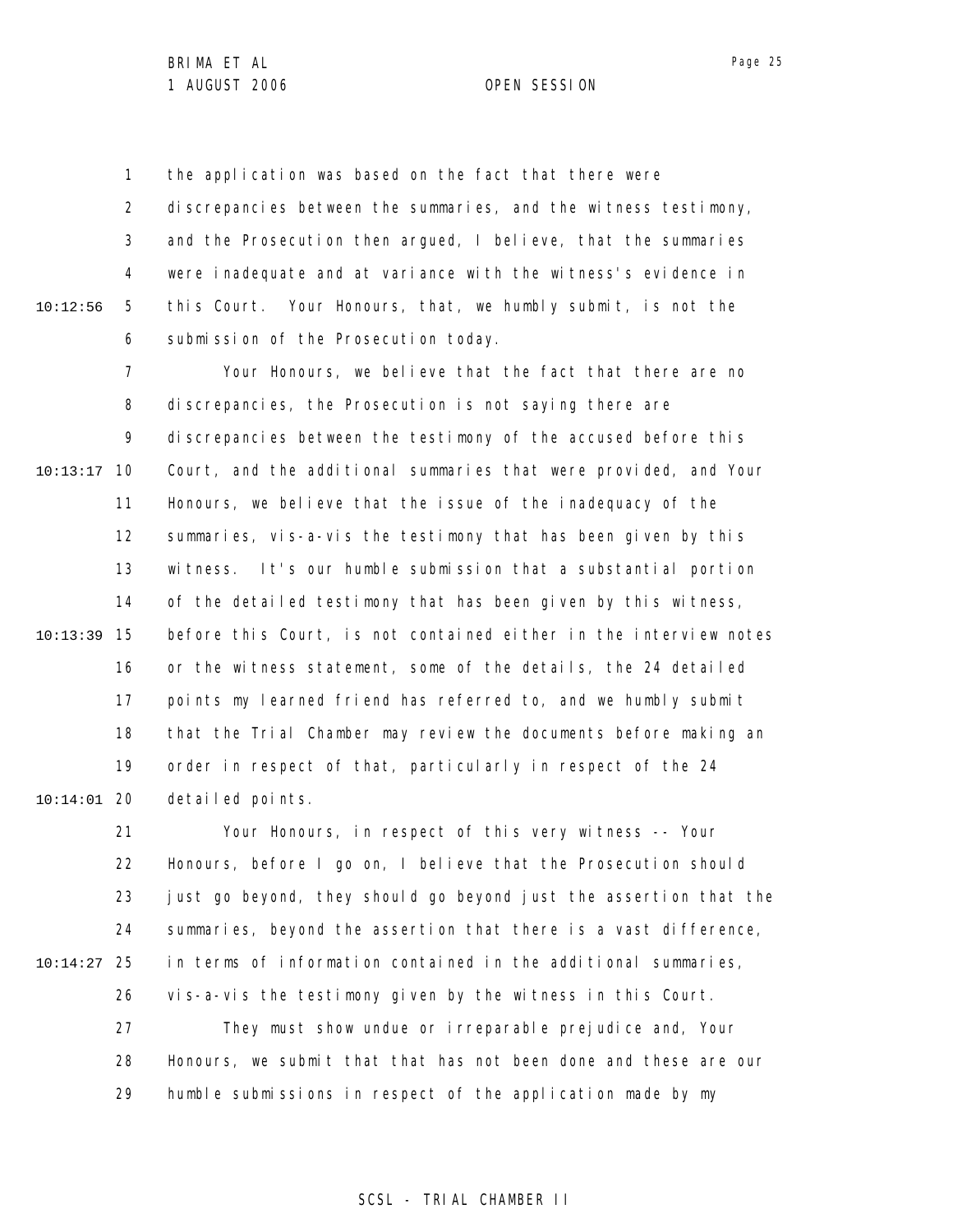1 2 3 4 5 6 10:12:56 the application was based on the fact that there were discrepancies between the summaries, and the witness testimony, and the Prosecution then argued, I believe, that the summaries were inadequate and at variance with the witness's evidence in this Court. Your Honours, that, we humbly submit, is not the submission of the Prosecution today.

7 8 9 10 10:13:17 11 12 13 14 15 10:13:39 16 17 18 19 20 10:14:01 Your Honours, we believe that the fact that there are no discrepancies, the Prosecution is not saying there are discrepancies between the testimony of the accused before this Court, and the additional summaries that were provided, and Your Honours, we believe that the issue of the inadequacy of the summaries, vis-a-vis the testimony that has been given by this witness. It's our humble submission that a substantial portion of the detailed testimony that has been given by this witness, before this Court, is not contained either in the interview notes or the witness statement, some of the details, the 24 detailed points my learned friend has referred to, and we humbly submit that the Trial Chamber may review the documents before making an order in respect of that, particularly in respect of the 24 detailed points.

21 22 23 24 25 10:14:27 26 27 28 29 Your Honours, in respect of this very witness -- Your Honours, before I go on, I believe that the Prosecution should just go beyond, they should go beyond just the assertion that the summaries, beyond the assertion that there is a vast difference, in terms of information contained in the additional summaries, vis-a-vis the testimony given by the witness in this Court. They must show undue or irreparable prejudice and, Your Honours, we submit that that has not been done and these are our humble submissions in respect of the application made by my

Page 25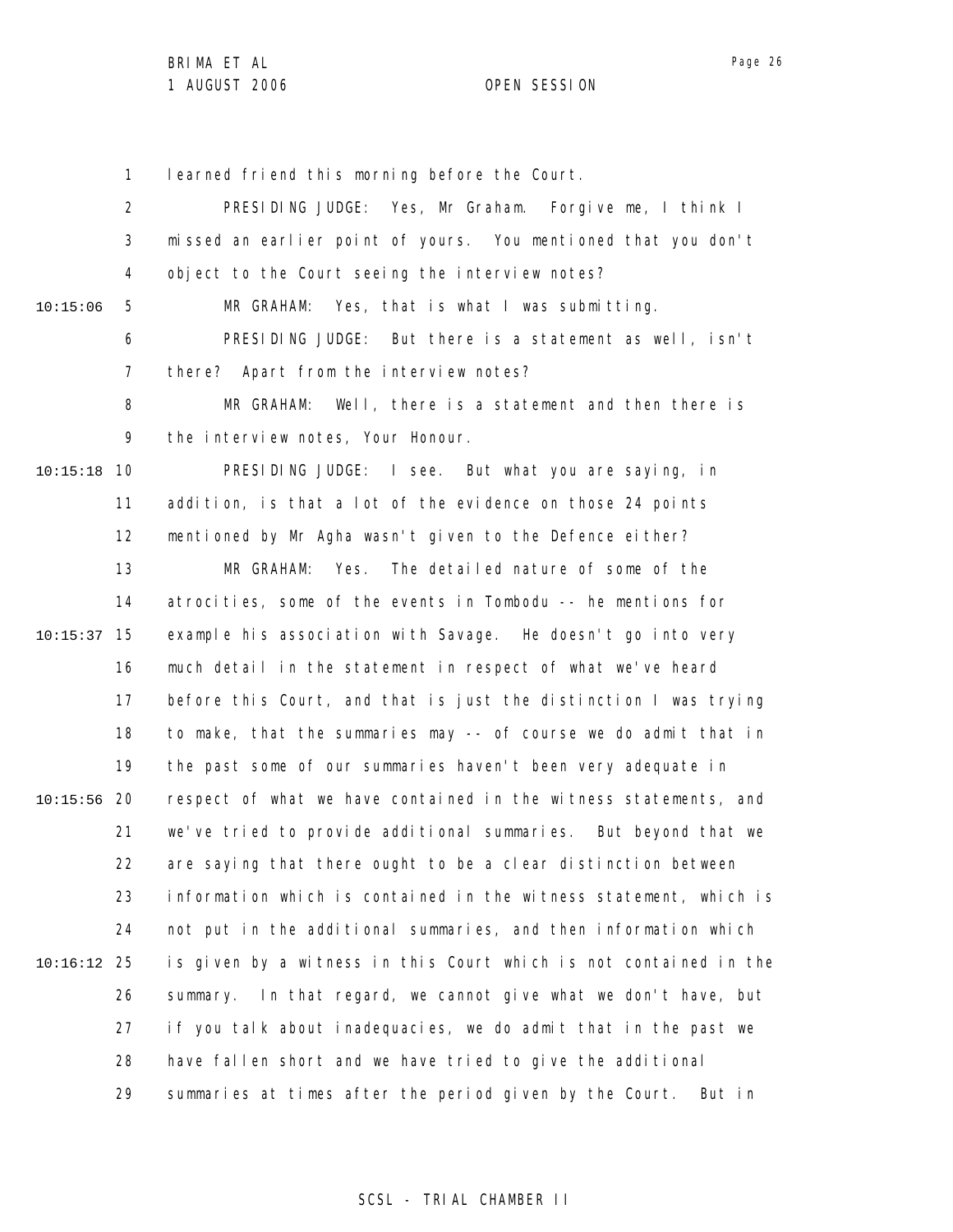1 learned friend this morning before the Court.

2 3 4 5 6 7 8 9 10 10:15:18 11 12 13 14 15 10:15:37 16 17 18 19 20 10:15:56 21 22 23 24 25 10:16:12 26 27 28 29 10:15:06 PRESIDING JUDGE: Yes, Mr Graham. Forgive me, I think I missed an earlier point of yours. You mentioned that you don't object to the Court seeing the interview notes? MR GRAHAM: Yes, that is what I was submitting. PRESIDING JUDGE: But there is a statement as well, isn't there? Apart from the interview notes? MR GRAHAM: Well, there is a statement and then there is the interview notes, Your Honour. PRESIDING JUDGE: I see. But what you are saying, in addition, is that a lot of the evidence on those 24 points mentioned by Mr Agha wasn't given to the Defence either? MR GRAHAM: Yes. The detailed nature of some of the atrocities, some of the events in Tombodu -- he mentions for example his association with Savage. He doesn't go into very much detail in the statement in respect of what we've heard before this Court, and that is just the distinction I was trying to make, that the summaries may -- of course we do admit that in the past some of our summaries haven't been very adequate in respect of what we have contained in the witness statements, and we've tried to provide additional summaries. But beyond that we are saying that there ought to be a clear distinction between information which is contained in the witness statement, which is not put in the additional summaries, and then information which is given by a witness in this Court which is not contained in the summary. In that regard, we cannot give what we don't have, but if you talk about inadequacies, we do admit that in the past we have fallen short and we have tried to give the additional summaries at times after the period given by the Court. But in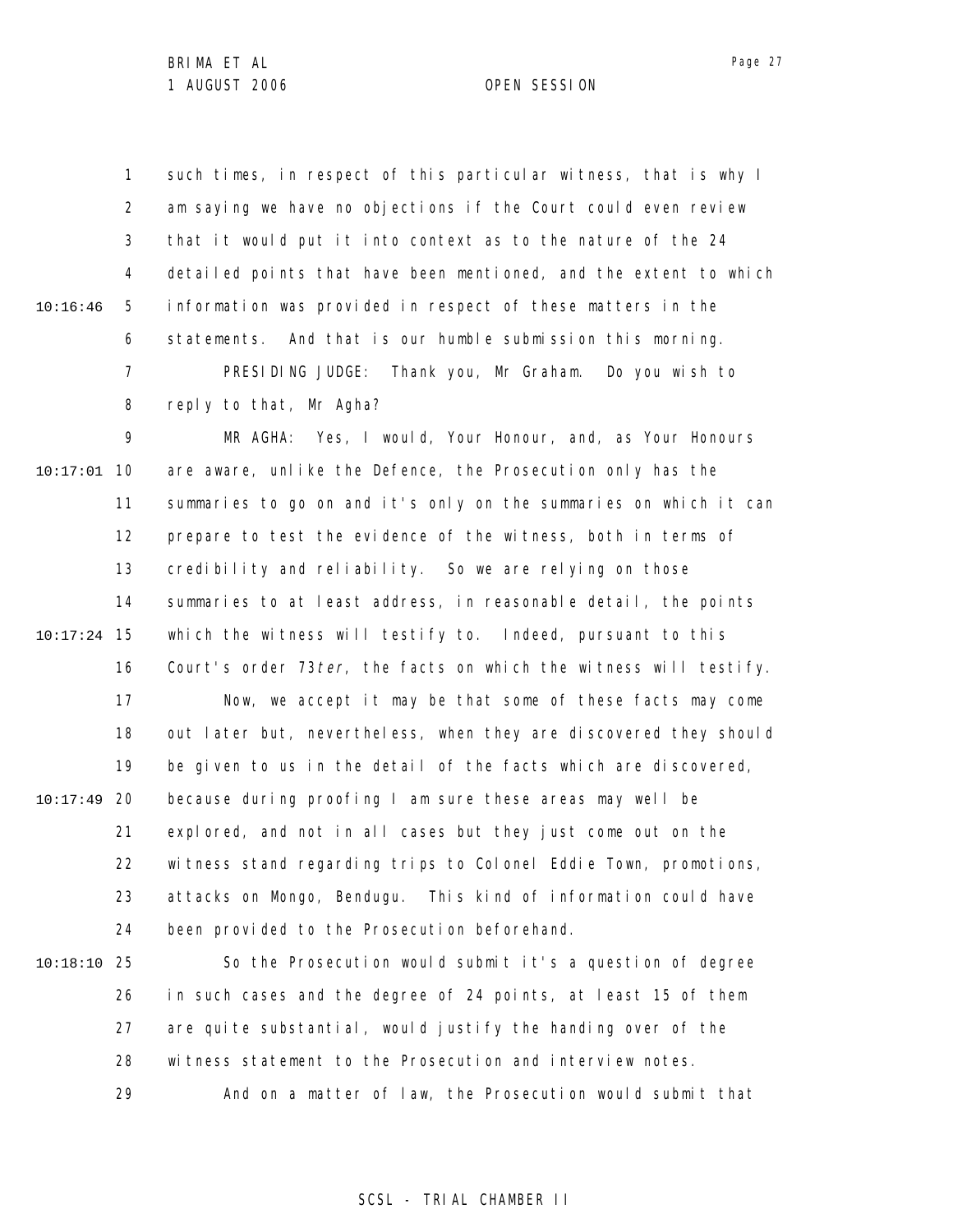1 2 3 4 5 6 7 8 10:16:46 such times, in respect of this particular witness, that is why I am saying we have no objections if the Court could even review that it would put it into context as to the nature of the 24 detailed points that have been mentioned, and the extent to which information was provided in respect of these matters in the statements. And that is our humble submission this morning. PRESIDING JUDGE: Thank you, Mr Graham. Do you wish to reply to that, Mr Agha?

9 10 10:17:01 11 12 13 14 15 10:17:24 16 17 18 19 20 10:17:49 21 22 23 24 MR AGHA: Yes, I would, Your Honour, and, as Your Honours are aware, unlike the Defence, the Prosecution only has the summaries to go on and it's only on the summaries on which it can prepare to test the evidence of the witness, both in terms of credibility and reliability. So we are relying on those summaries to at least address, in reasonable detail, the points which the witness will testify to. Indeed, pursuant to this Court's order 73 ter, the facts on which the witness will testify. Now, we accept it may be that some of these facts may come out later but, nevertheless, when they are discovered they should be given to us in the detail of the facts which are discovered, because during proofing I am sure these areas may well be explored, and not in all cases but they just come out on the witness stand regarding trips to Colonel Eddie Town, promotions, attacks on Mongo, Bendugu. This kind of information could have been provided to the Prosecution beforehand.

25 10:18:10 26 27 28 29 So the Prosecution would submit it's a question of degree in such cases and the degree of 24 points, at least 15 of them are quite substantial, would justify the handing over of the witness statement to the Prosecution and interview notes. And on a matter of law, the Prosecution would submit that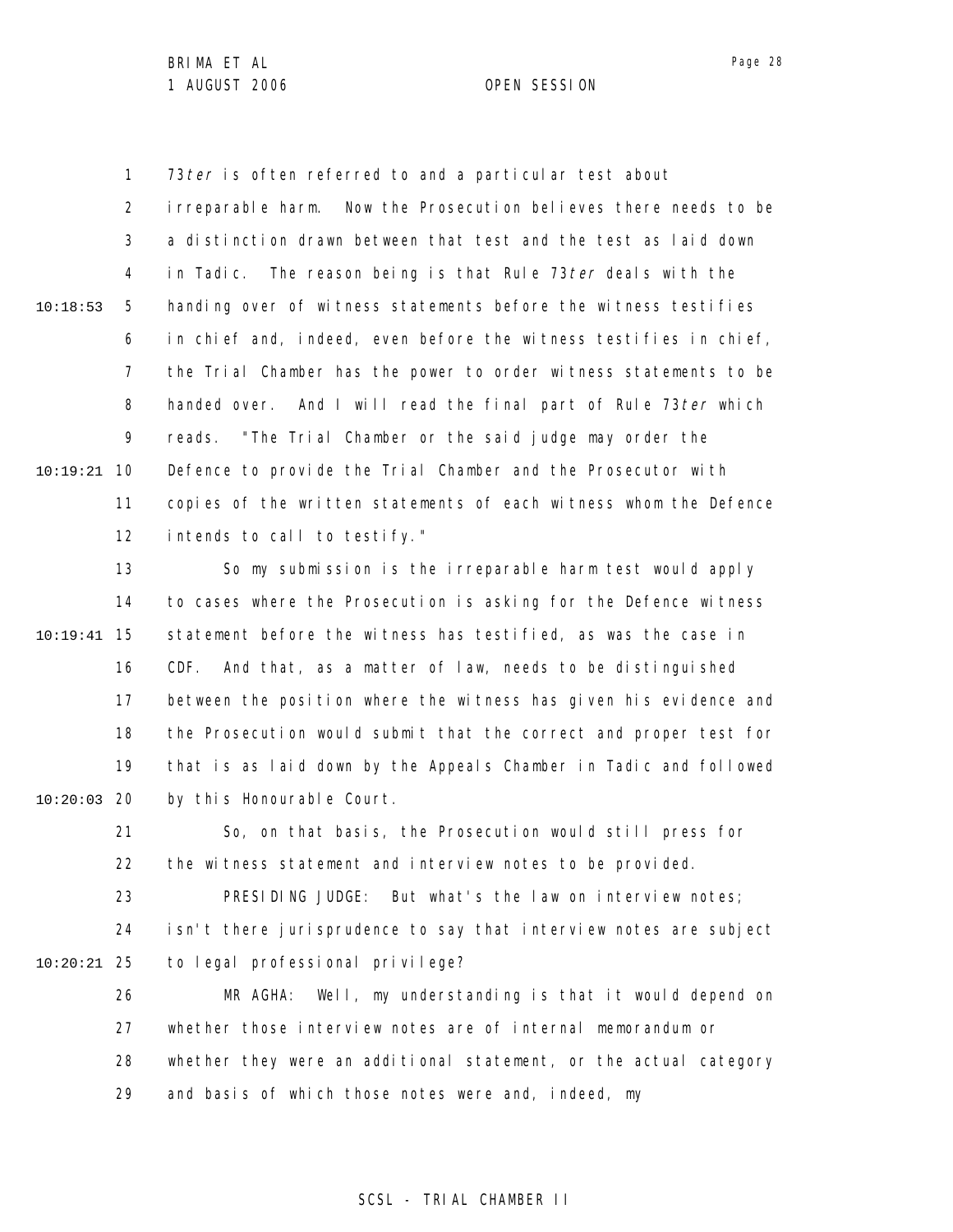1 2 3 4 5 6 7 8 9 10 10:19:21 11 12 10:18:53 73 ter is often referred to and a particular test about irreparable harm. Now the Prosecution believes there needs to be a distinction drawn between that test and the test as laid down in Tadic. The reason being is that Rule 73 ter deals with the handing over of witness statements before the witness testifies in chief and, indeed, even before the witness testifies in chief, the Trial Chamber has the power to order witness statements to be handed over. And I will read the final part of Rule 73 ter which reads. "The Trial Chamber or the said judge may order the Defence to provide the Trial Chamber and the Prosecutor with copies of the written statements of each witness whom the Defence intends to call to testify."

13 14 15 10:19:41 16 17 18 19 20 10:20:03 So my submission is the irreparable harm test would apply to cases where the Prosecution is asking for the Defence witness statement before the witness has testified, as was the case in CDF. And that, as a matter of law, needs to be distinguished between the position where the witness has given his evidence and the Prosecution would submit that the correct and proper test for that is as laid down by the Appeals Chamber in Tadic and followed by this Honourable Court.

21 22 23 24 25 10:20:21 26 27 28 29 So, on that basis, the Prosecution would still press for the witness statement and interview notes to be provided. PRESIDING JUDGE: But what's the law on interview notes; isn't there jurisprudence to say that interview notes are subject to legal professional privilege? MR AGHA: Well, my understanding is that it would depend on whether those interview notes are of internal memorandum or whether they were an additional statement, or the actual category and basis of which those notes were and, indeed, my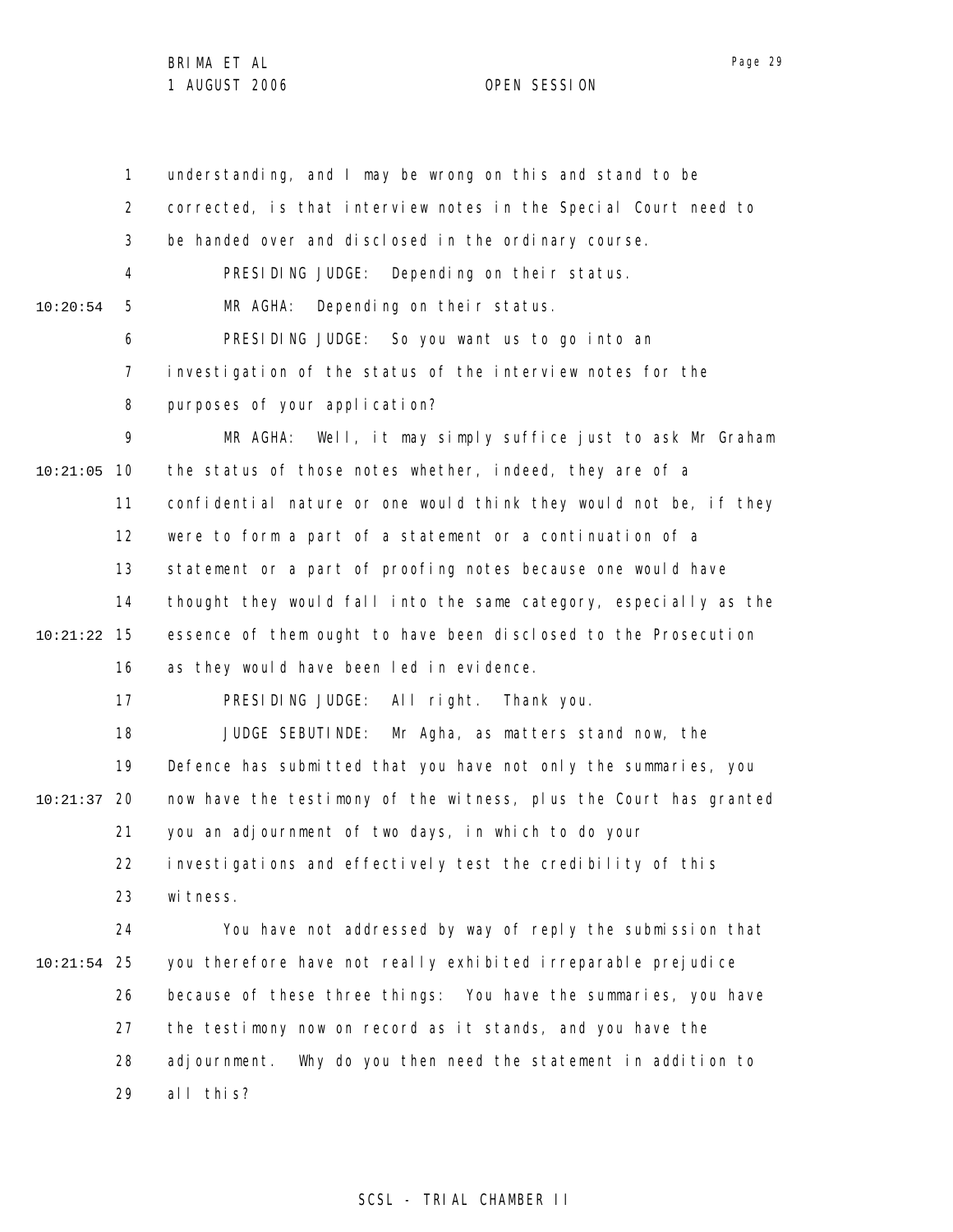1 2 3 4 5 6 7 8 9 10 10:21:05 11 12 13 14 15 10:21:22 16 17 18 19 20 10:21:37 21 22 23 24 25 10:21:54 26 27 28 29 10:20:54 understanding, and I may be wrong on this and stand to be corrected, is that interview notes in the Special Court need to be handed over and disclosed in the ordinary course. PRESIDING JUDGE: Depending on their status. MR AGHA: Depending on their status. PRESIDING JUDGE: So you want us to go into an investigation of the status of the interview notes for the purposes of your application? MR AGHA: Well, it may simply suffice just to ask Mr Graham the status of those notes whether, indeed, they are of a confidential nature or one would think they would not be, if they were to form a part of a statement or a continuation of a statement or a part of proofing notes because one would have thought they would fall into the same category, especially as the essence of them ought to have been disclosed to the Prosecution as they would have been led in evidence. PRESIDING JUDGE: All right. Thank you. JUDGE SEBUTINDE: Mr Agha, as matters stand now, the Defence has submitted that you have not only the summaries, you now have the testimony of the witness, plus the Court has granted you an adjournment of two days, in which to do your investigations and effectively test the credibility of this wi tness. You have not addressed by way of reply the submission that you therefore have not really exhibited irreparable prejudice because of these three things: You have the summaries, you have the testimony now on record as it stands, and you have the adjournment. Why do you then need the statement in addition to all this?

# SCSL - TRIAL CHAMBER II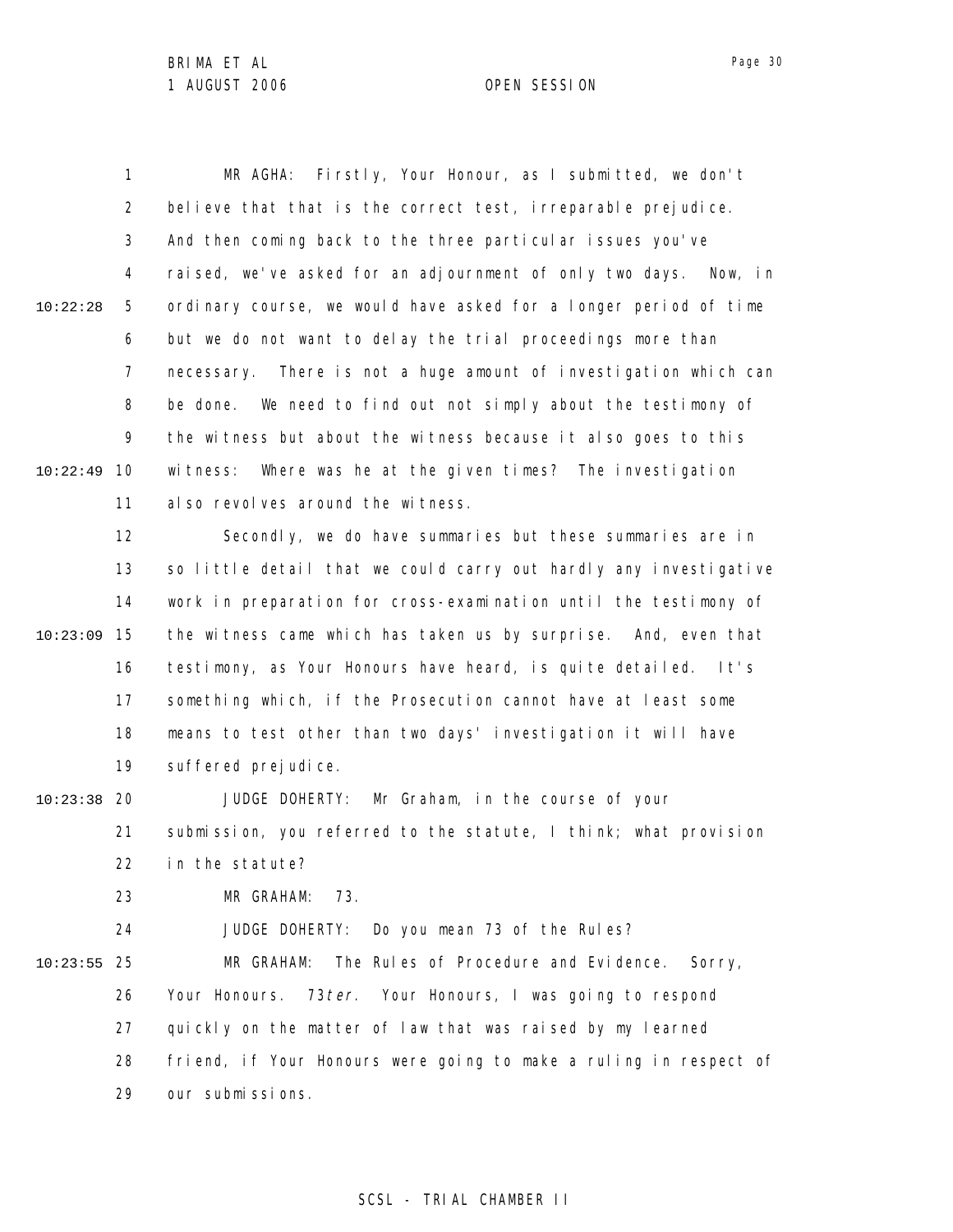1 2 3 4 5 6 7 8 9 10 10:22:49 11 12 13 14 15 10:23:09 16 17 18 19 20 10:23:38 21 22 23 24 25 10:23:55 26 27 28 29 10:22:28 MR AGHA: Firstly, Your Honour, as I submitted, we don't believe that that is the correct test, irreparable prejudice. And then coming back to the three particular issues you've raised, we've asked for an adjournment of only two days. Now, in ordinary course, we would have asked for a longer period of time but we do not want to delay the trial proceedings more than necessary. There is not a huge amount of investigation which can be done. We need to find out not simply about the testimony of the witness but about the witness because it also goes to this witness: Where was he at the given times? The investigation also revolves around the witness. Secondly, we do have summaries but these summaries are in so little detail that we could carry out hardly any investigative work in preparation for cross-examination until the testimony of the witness came which has taken us by surprise. And, even that testimony, as Your Honours have heard, is quite detailed. It's something which, if the Prosecution cannot have at least some means to test other than two days' investigation it will have suffered prejudice. JUDGE DOHERTY: Mr Graham, in the course of your submission, you referred to the statute, I think; what provision in the statute? MR GRAHAM: 73. JUDGE DOHERTY: Do you mean 73 of the Rules? MR GRAHAM: The Rules of Procedure and Evidence. Sorry, Your Honours. 73 ter. Your Honours, I was going to respond quickly on the matter of law that was raised by my learned friend, if Your Honours were going to make a ruling in respect of our submissions.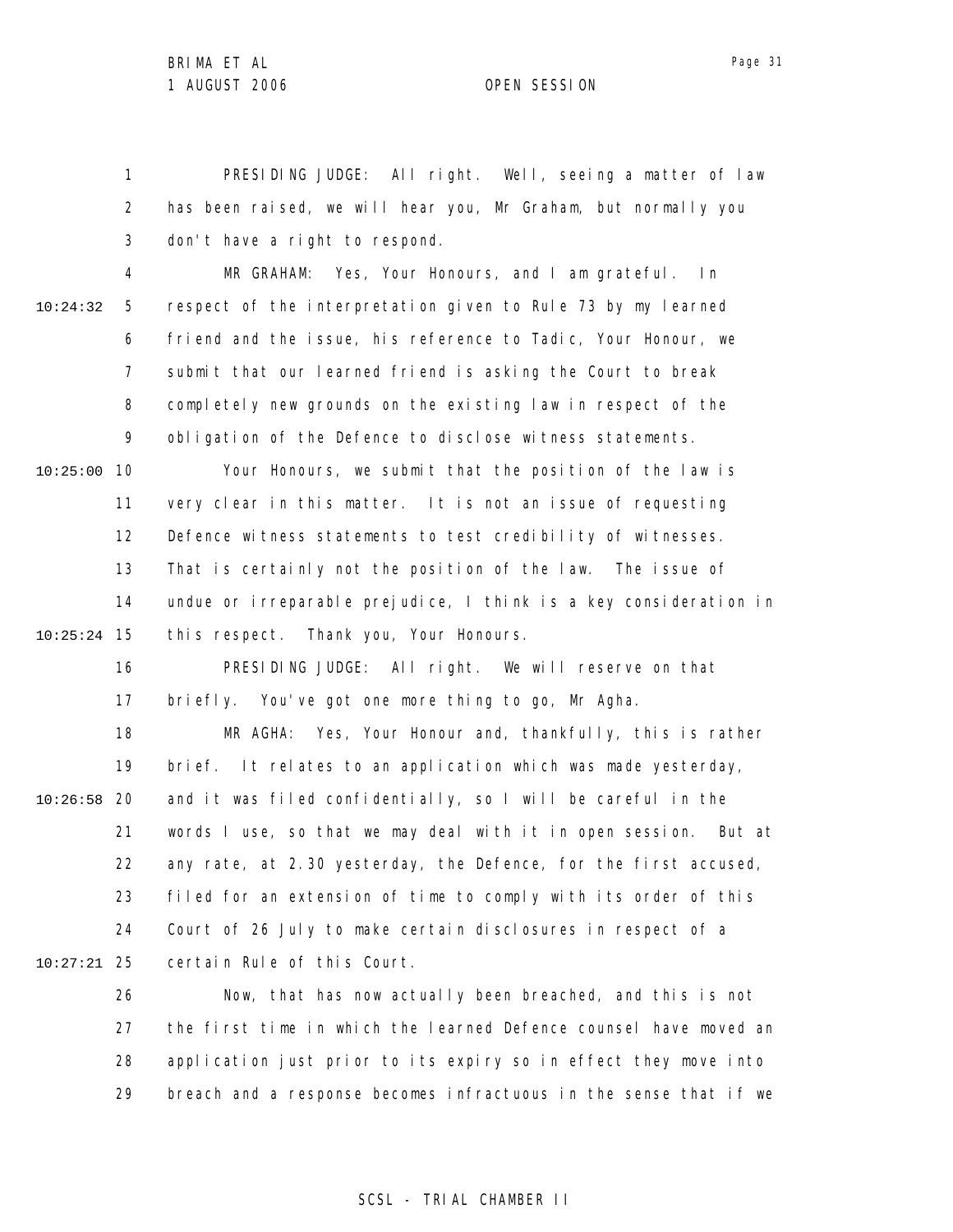Page 31

1 2 3 PRESIDING JUDGE: All right. Well, seeing a matter of law has been raised, we will hear you, Mr Graham, but normally you don't have a right to respond.

4 5 6 7 8 9 10:24:32 MR GRAHAM: Yes, Your Honours, and I am grateful. In respect of the interpretation given to Rule 73 by my learned friend and the issue, his reference to Tadic, Your Honour, we submit that our learned friend is asking the Court to break completely new grounds on the existing law in respect of the obligation of the Defence to disclose witness statements.

10 10:25:00 11 12 13 14 15 10:25:24 Your Honours, we submit that the position of the law is very clear in this matter. It is not an issue of requesting Defence witness statements to test credibility of witnesses. That is certainly not the position of the law. The issue of undue or irreparable prejudice, I think is a key consideration in this respect. Thank you, Your Honours.

16 17 18 19 20 10:26:58 21 22 23 24 25 10:27:21 PRESIDING JUDGE: All right. We will reserve on that briefly. You've got one more thing to go, Mr Agha. MR AGHA: Yes, Your Honour and, thankfully, this is rather brief. It relates to an application which was made yesterday, and it was filed confidentially, so I will be careful in the words I use, so that we may deal with it in open session. But at any rate, at 2.30 yesterday, the Defence, for the first accused, filed for an extension of time to comply with its order of this Court of 26 July to make certain disclosures in respect of a certain Rule of this Court.

26 27 28 29 Now, that has now actually been breached, and this is not the first time in which the learned Defence counsel have moved an application just prior to its expiry so in effect they move into breach and a response becomes infractuous in the sense that if we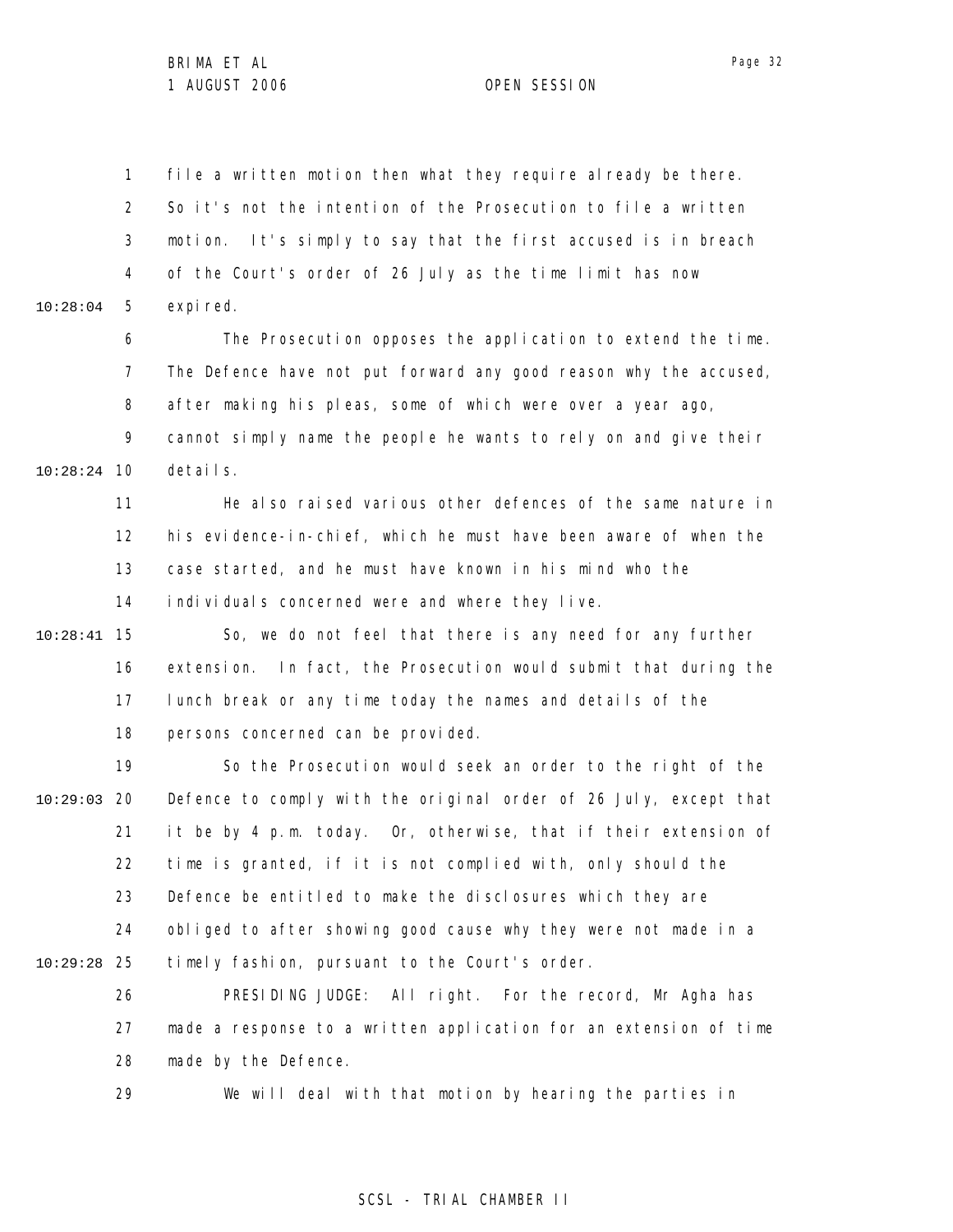1 2 3 4 5 10:28:04 file a written motion then what they require already be there. So it's not the intention of the Prosecution to file a written motion. It's simply to say that the first accused is in breach of the Court's order of 26 July as the time limit has now expi red.

6 7 8 9 10 10:28:24 The Prosecution opposes the application to extend the time. The Defence have not put forward any good reason why the accused, after making his pleas, some of which were over a year ago, cannot simply name the people he wants to rely on and give their details.

> 11 12 13 14 He also raised various other defences of the same nature in his evidence-in-chief, which he must have been aware of when the case started, and he must have known in his mind who the individuals concerned were and where they live.

15 10:28:41 16 17 18 So, we do not feel that there is any need for any further extension. In fact, the Prosecution would submit that during the lunch break or any time today the names and details of the persons concerned can be provided.

19 20 10:29:03 21 22 23 24 25 10:29:28 So the Prosecution would seek an order to the right of the Defence to comply with the original order of 26 July, except that it be by 4 p.m. today. Or, otherwise, that if their extension of time is granted, if it is not complied with, only should the Defence be entitled to make the disclosures which they are obliged to after showing good cause why they were not made in a timely fashion, pursuant to the Court's order.

26 27 28 PRESIDING JUDGE: All right. For the record, Mr Agha has made a response to a written application for an extension of time made by the Defence.

29 We will deal with that motion by hearing the parties in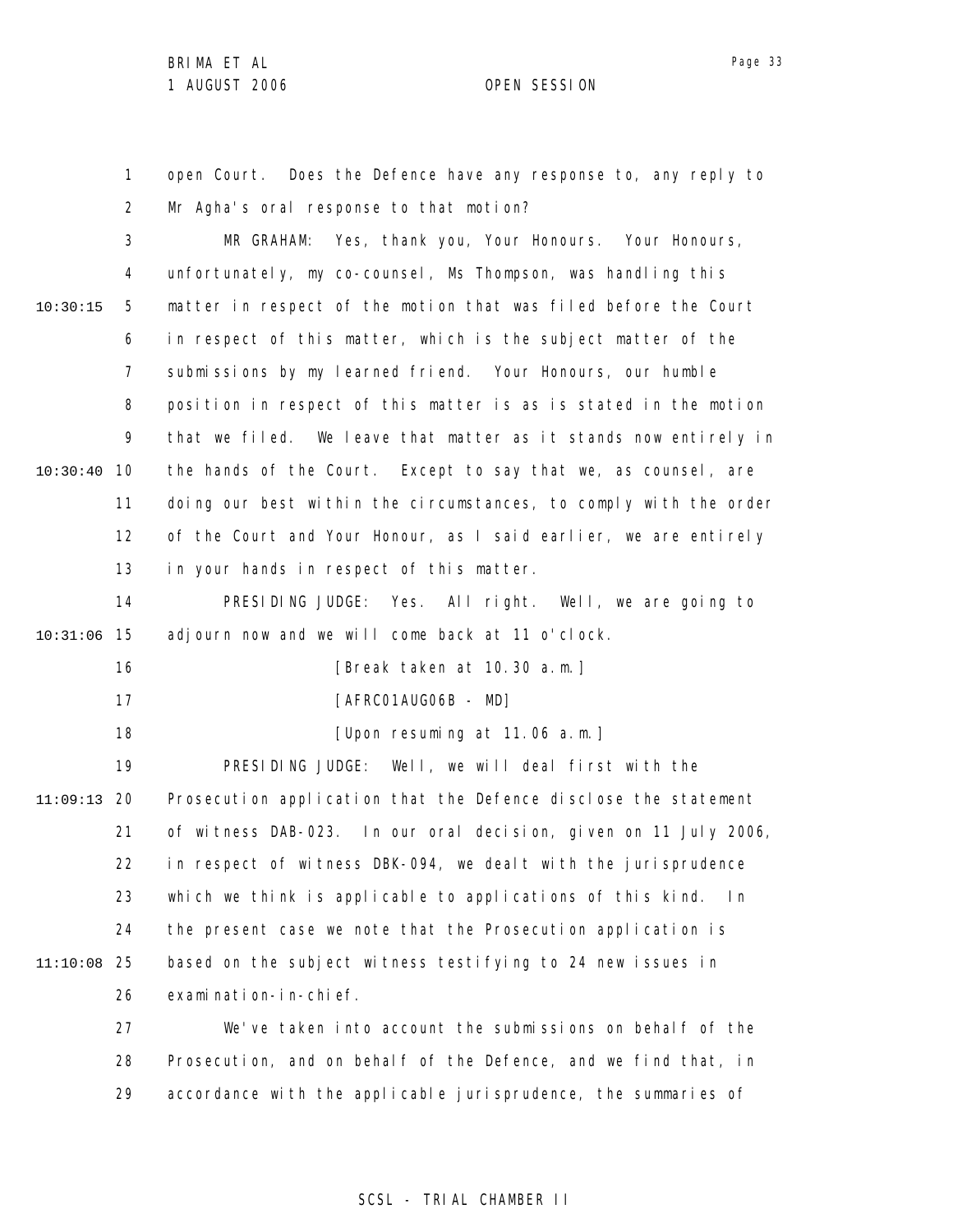1 2 3 4 5 6 7 8 9 10 10:30:40 11 12 13 14 15 10:31:06 16 17 18 19 20 11:09:13 21 22 23 24 25 11:10:08 26 27 28 29 10:30:15 open Court. Does the Defence have any response to, any reply to Mr Agha's oral response to that motion? MR GRAHAM: Yes, thank you, Your Honours. Your Honours, unfortunately, my co-counsel, Ms Thompson, was handling this matter in respect of the motion that was filed before the Court in respect of this matter, which is the subject matter of the submissions by my learned friend. Your Honours, our humble position in respect of this matter is as is stated in the motion that we filed. We leave that matter as it stands now entirely in the hands of the Court. Except to say that we, as counsel, are doing our best within the circumstances, to comply with the order of the Court and Your Honour, as I said earlier, we are entirely in your hands in respect of this matter. PRESIDING JUDGE: Yes. All right. Well, we are going to adjourn now and we will come back at 11 o'clock. [Break taken at 10.30 a.m.] [AFRC01AUG06B - MD] [Upon resuming at 11.06 a.m.] PRESIDING JUDGE: Well, we will deal first with the Prosecution application that the Defence disclose the statement of witness DAB-023. In our oral decision, given on 11 July 2006, in respect of witness DBK-094, we dealt with the jurisprudence which we think is applicable to applications of this kind. In the present case we note that the Prosecution application is based on the subject witness testifying to 24 new issues in examination-in-chief. We've taken into account the submissions on behalf of the Prosecution, and on behalf of the Defence, and we find that, in accordance with the applicable jurisprudence, the summaries of

# SCSL - TRIAL CHAMBER II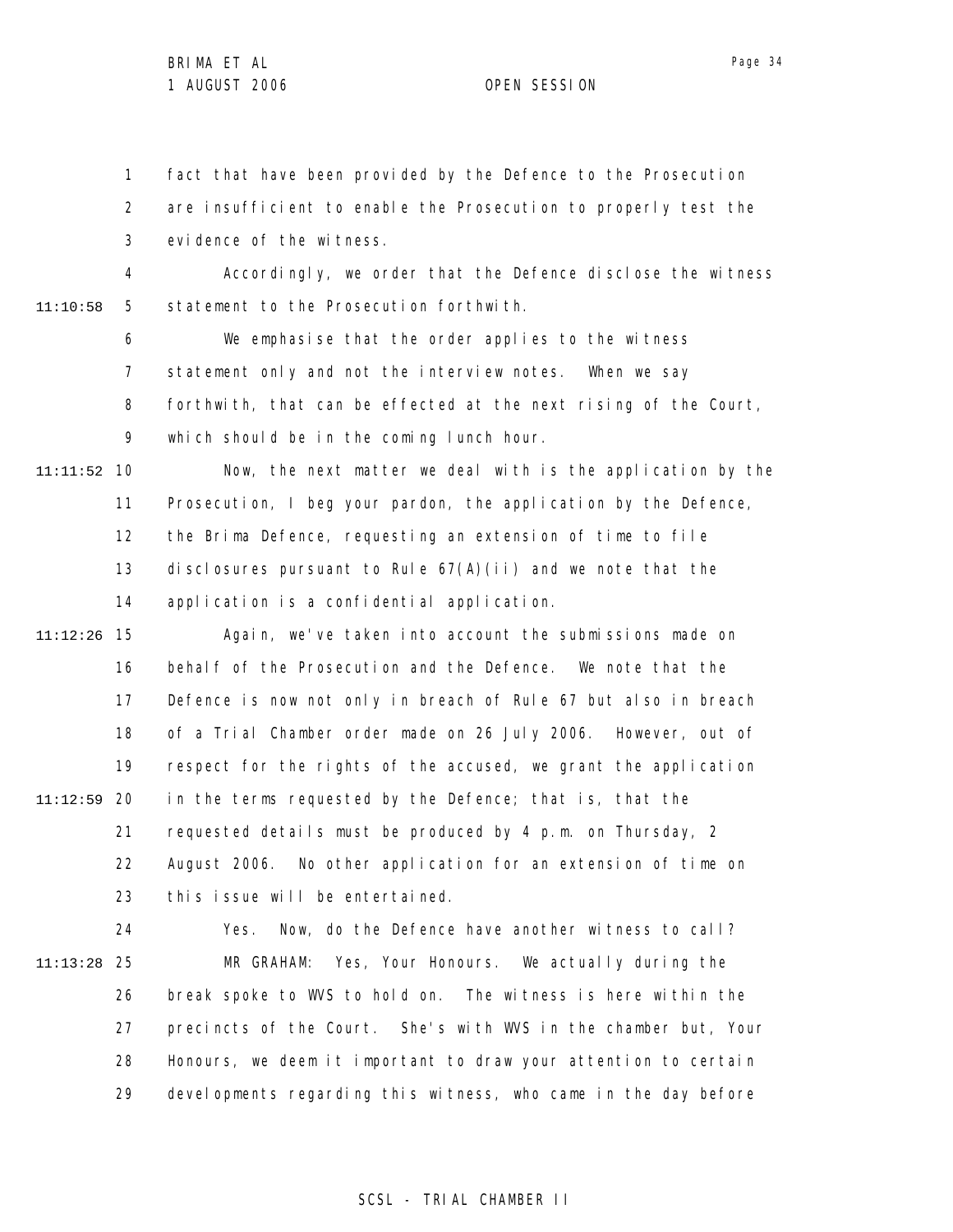1 2 3 fact that have been provided by the Defence to the Prosecution are insufficient to enable the Prosecution to properly test the evidence of the witness.

4 5 11:10:58 Accordingly, we order that the Defence disclose the witness statement to the Prosecution forthwith.

> 6 7 8 9 We emphasise that the order applies to the witness statement only and not the interview notes. When we say forthwith, that can be effected at the next rising of the Court, which should be in the coming lunch hour.

10 11:11:52 11 12 13 14 Now, the next matter we deal with is the application by the Prosecution, I beg your pardon, the application by the Defence, the Brima Defence, requesting an extension of time to file disclosures pursuant to Rule  $67(A)(i)$  and we note that the application is a confidential application.

15 11:12:26 16 17 18 19 20 11:12:59 21 22 23 Again, we've taken into account the submissions made on behalf of the Prosecution and the Defence. We note that the Defence is now not only in breach of Rule 67 but also in breach of a Trial Chamber order made on 26 July 2006. However, out of respect for the rights of the accused, we grant the application in the terms requested by the Defence; that is, that the requested details must be produced by 4 p.m. on Thursday, 2 August 2006. No other application for an extension of time on this issue will be entertained.

24 25 11:13:28 26 27 28 29 Yes. Now, do the Defence have another witness to call? MR GRAHAM: Yes, Your Honours. We actually during the break spoke to WVS to hold on. The witness is here within the precincts of the Court. She's with WVS in the chamber but, Your Honours, we deem it important to draw your attention to certain devel opments regarding this witness, who came in the day before

# Page 34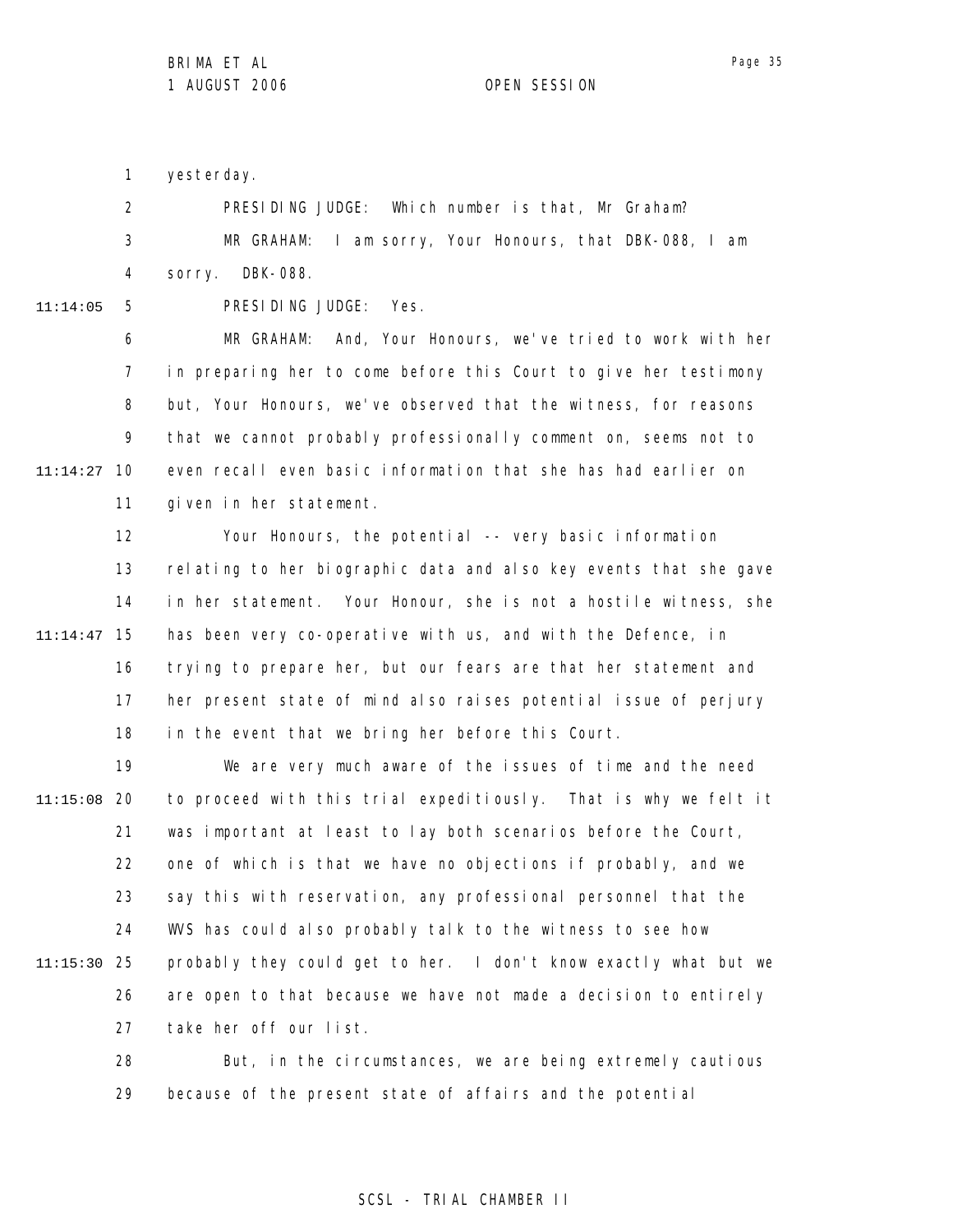Page 35

1 yesterday.

| $\overline{2}$ |                   | PRESIDING JUDGE: Which number is that, Mr Graham?       |
|----------------|-------------------|---------------------------------------------------------|
| 3 <sup>1</sup> |                   | MR GRAHAM: I am sorry, Your Honours, that DBK-088, I am |
|                | 4 sorry. DBK-088. |                                                         |

11:14:05

5

PRESIDING JUDGE: Yes.

6 7 8 9 10 11:14:27 11 MR GRAHAM: And, Your Honours, we've tried to work with her in preparing her to come before this Court to give her testimony but, Your Honours, we've observed that the witness, for reasons that we cannot probably professionally comment on, seems not to even recall even basic information that she has had earlier on given in her statement.

12 13 14 15 11:14:47 16 17 18 Your Honours, the potential -- very basic information relating to her biographic data and also key events that she gave in her statement. Your Honour, she is not a hostile witness, she has been very co-operative with us, and with the Defence, in trying to prepare her, but our fears are that her statement and her present state of mind also raises potential issue of perjury in the event that we bring her before this Court.

19 20 11:15:08 21 22 23 24 25 11:15:30 26 27 We are very much aware of the issues of time and the need to proceed with this trial expeditiously. That is why we felt it was important at least to lay both scenarios before the Court, one of which is that we have no objections if probably, and we say this with reservation, any professional personnel that the WVS has could also probably talk to the witness to see how probably they could get to her. I don't know exactly what but we are open to that because we have not made a decision to entirely take her off our list.

> 28 29 But, in the circumstances, we are being extremely cautious because of the present state of affairs and the potential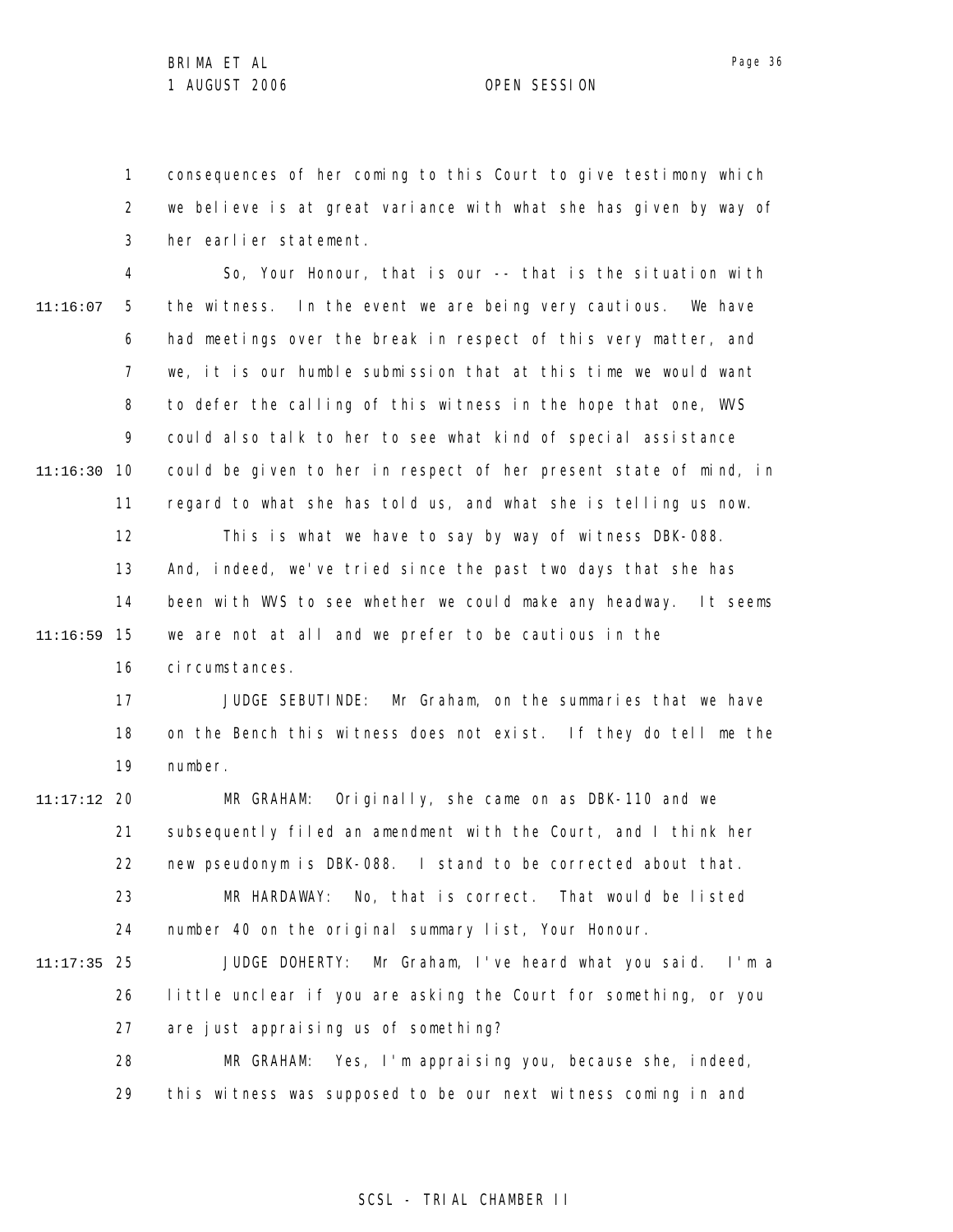1 2 3 consequences of her coming to this Court to give testimony which we believe is at great variance with what she has given by way of her earlier statement.

4 5 6 7 8 9 10 11:16:30 11 12 13 14 15 11:16:59 16 11:16:07 So, Your Honour, that is our -- that is the situation with the witness. In the event we are being very cautious. We have had meetings over the break in respect of this very matter, and we, it is our humble submission that at this time we would want to defer the calling of this witness in the hope that one, WVS could also talk to her to see what kind of special assistance could be given to her in respect of her present state of mind, in regard to what she has told us, and what she is telling us now. This is what we have to say by way of witness DBK-088. And, indeed, we've tried since the past two days that she has been with WVS to see whether we could make any headway. It seems we are not at all and we prefer to be cautious in the ci rcumstances.

> 17 18 19 JUDGE SEBUTINDE: Mr Graham, on the summaries that we have on the Bench this witness does not exist. If they do tell me the number.

20 11:17:12 21 22 23 24 MR GRAHAM: Originally, she came on as DBK-110 and we subsequently filed an amendment with the Court, and I think her new pseudonym is DBK-088. I stand to be corrected about that. MR HARDAWAY: No, that is correct. That would be listed number 40 on the original summary list, Your Honour.

25 11:17:35 26 27 JUDGE DOHERTY: Mr Graham, I've heard what you said. I'm a little unclear if you are asking the Court for something, or you are just appraising us of something?

> 28 29 MR GRAHAM: Yes, I'm appraising you, because she, indeed, this witness was supposed to be our next witness coming in and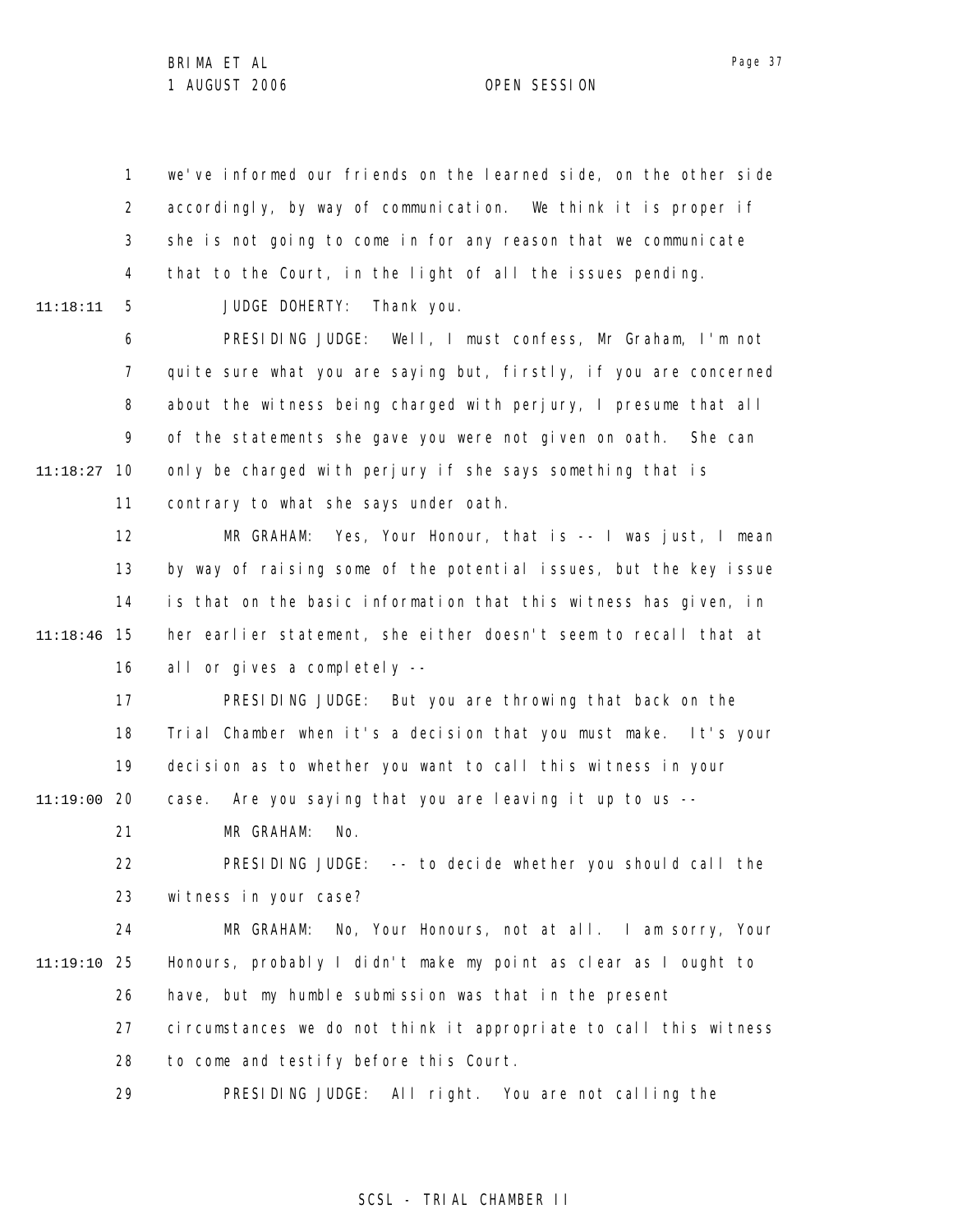1 2 3 4 5 we've informed our friends on the learned side, on the other side accordingly, by way of communication. We think it is proper if she is not going to come in for any reason that we communicate that to the Court, in the light of all the issues pending.

11:18:11

JUDGE DOHERTY: Thank you.

6 7 8 9 10 11:18:27 11 PRESIDING JUDGE: Well, I must confess, Mr Graham, I'm not quite sure what you are saying but, firstly, if you are concerned about the witness being charged with perjury, I presume that all of the statements she gave you were not given on oath. She can only be charged with perjury if she says something that is contrary to what she says under oath.

12 13 14 15 11:18:46 16 MR GRAHAM: Yes, Your Honour, that is -- I was just, I mean by way of raising some of the potential issues, but the key issue is that on the basic information that this witness has given, in her earlier statement, she either doesn't seem to recall that at all or gives a completely --

17 18 19 20 11:19:00 PRESIDING JUDGE: But you are throwing that back on the Trial Chamber when it's a decision that you must make. It's your decision as to whether you want to call this witness in your case. Are you saying that you are leaving it up to us --

> 21 MR GRAHAM: No.

22 23 PRESIDING JUDGE: -- to decide whether you should call the witness in your case?

24 25 11:19:10 26 27 28 MR GRAHAM: No, Your Honours, not at all. I am sorry, Your Honours, probably I didn't make my point as clear as I ought to have, but my humble submission was that in the present circumstances we do not think it appropriate to call this witness to come and testify before this Court.

> 29 PRESIDING JUDGE: All right. You are not calling the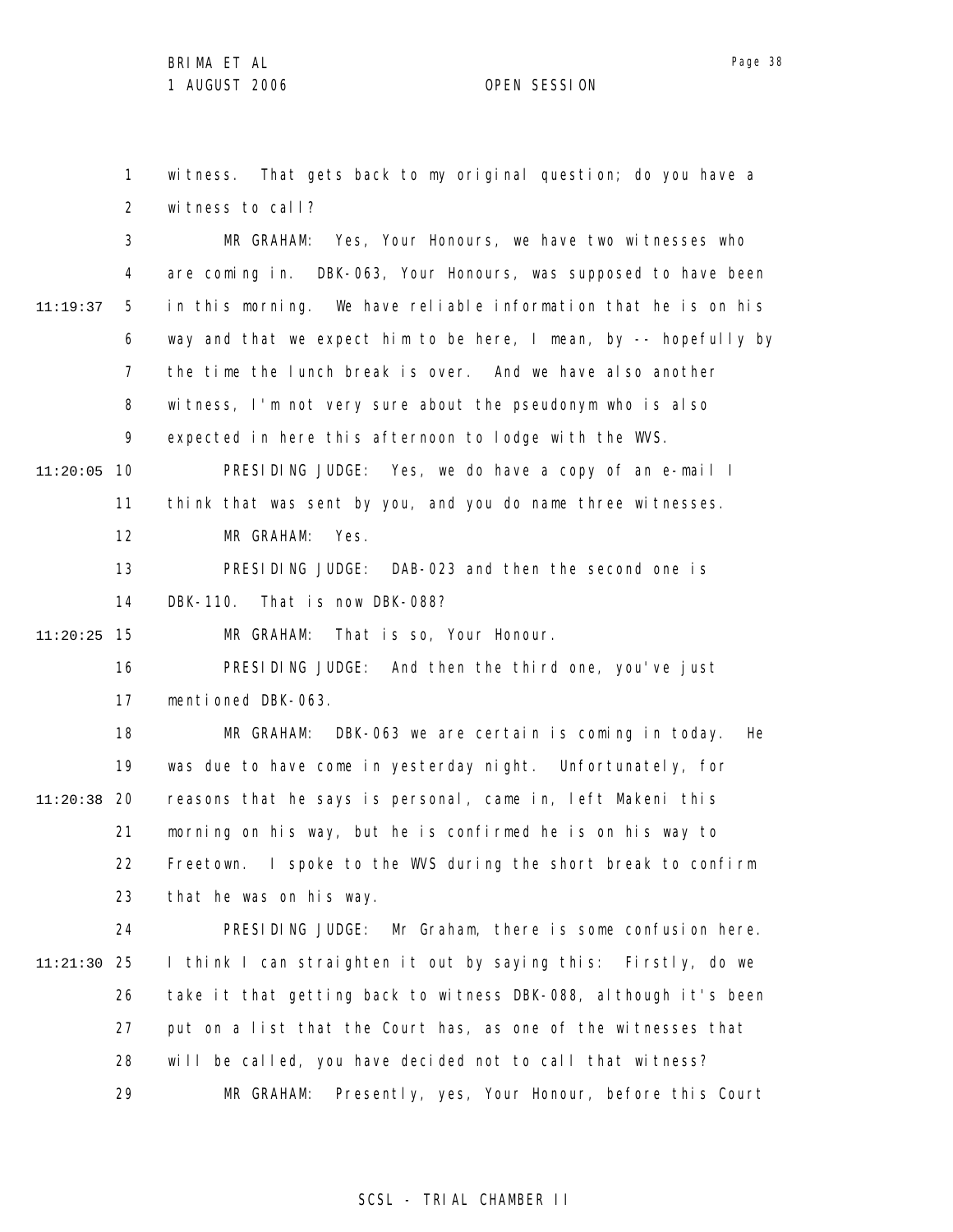witness to call?

1

2

3

witness. That gets back to my original question; do you have a

MR GRAHAM: Yes, Your Honours, we have two witnesses who

4 5 6 7 8 9 11:20:05 10 11 12 13 14 15 11:20:25 16 17 18 19 20 11:20:38 21 22 23 24 25 11:21:30 26 27 28 29 11:19:37 are coming in. DBK-063, Your Honours, was supposed to have been in this morning. We have reliable information that he is on his way and that we expect him to be here, I mean, by -- hopefully by the time the lunch break is over. And we have also another witness, I'm not very sure about the pseudonym who is also expected in here this afternoon to lodge with the WVS. PRESIDING JUDGE: Yes, we do have a copy of an e-mail I think that was sent by you, and you do name three witnesses. MR GRAHAM: Yes. PRESIDING JUDGE: DAB-023 and then the second one is DBK-110. That is now DBK-088? MR GRAHAM: That is so, Your Honour. PRESIDING JUDGE: And then the third one, you've just mentioned DBK-063. MR GRAHAM: DBK-063 we are certain is coming in today. He was due to have come in yesterday night. Unfortunately, for reasons that he says is personal, came in, left Makeni this morning on his way, but he is confirmed he is on his way to Freetown. I spoke to the WVS during the short break to confirm that he was on his way. PRESIDING JUDGE: Mr Graham, there is some confusion here. I think I can straighten it out by saying this: Firstly, do we take it that getting back to witness DBK-088, although it's been put on a list that the Court has, as one of the witnesses that will be called, you have decided not to call that witness? MR GRAHAM: Presently, yes, Your Honour, before this Court

Page 38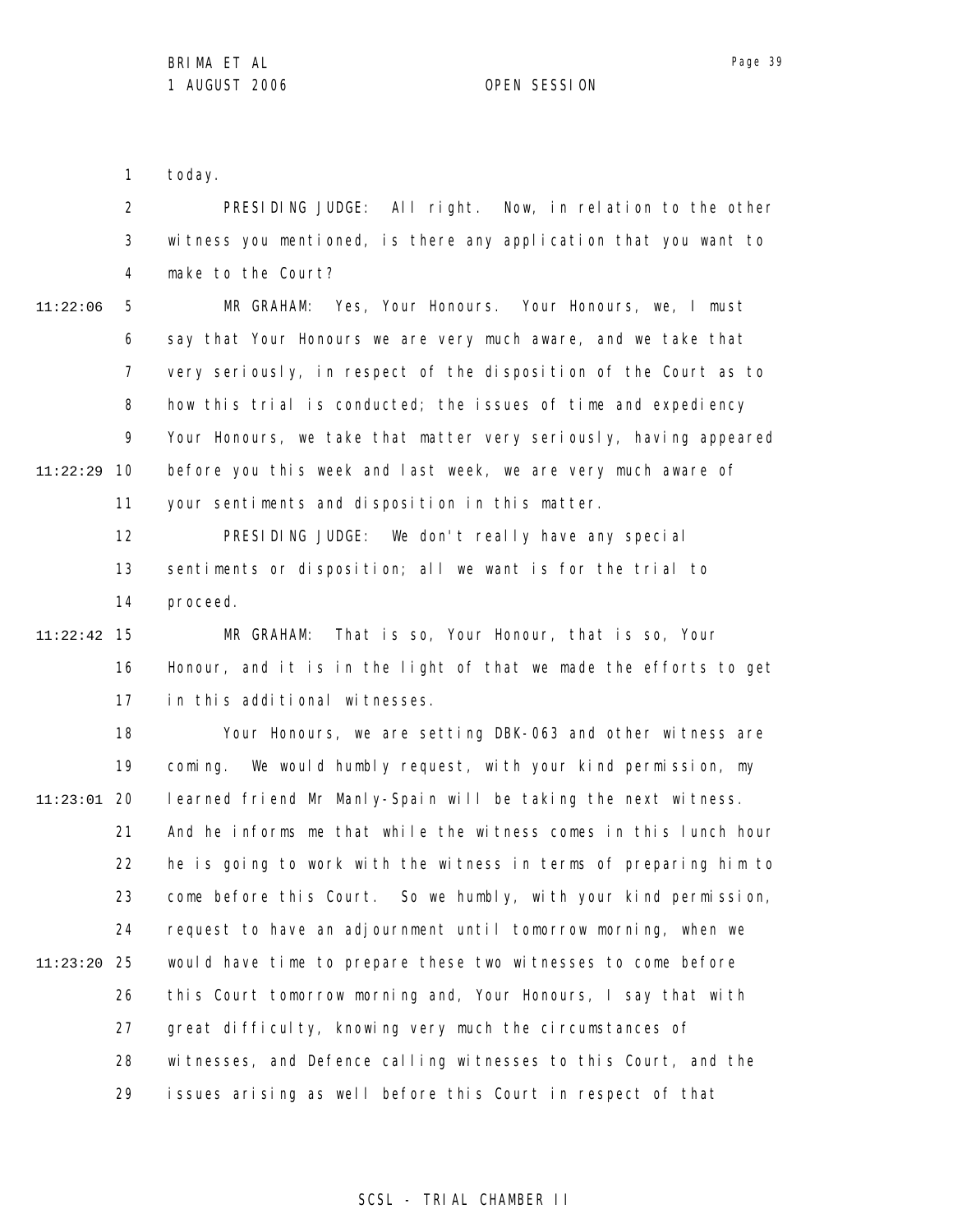Page 39

1 today.

2 3 4 PRESIDING JUDGE: All right. Now, in relation to the other witness you mentioned, is there any application that you want to make to the Court?

5 6 7 8 9 10 11:22:29 11 11:22:06 MR GRAHAM: Yes, Your Honours. Your Honours, we, I must say that Your Honours we are very much aware, and we take that very seriously, in respect of the disposition of the Court as to how this trial is conducted; the issues of time and expediency Your Honours, we take that matter very seriously, having appeared before you this week and last week, we are very much aware of your sentiments and disposition in this matter.

> 12 13 14 PRESIDING JUDGE: We don't really have any special sentiments or disposition; all we want is for the trial to proceed.

15 11:22:42 16 17 MR GRAHAM: That is so, Your Honour, that is so, Your Honour, and it is in the light of that we made the efforts to get in this additional witnesses.

18 19 20 11:23:01 21 22 23 24 25 11:23:20 26 27 28 29 Your Honours, we are setting DBK-063 and other witness are coming. We would humbly request, with your kind permission, my learned friend Mr Manly-Spain will be taking the next witness. And he informs me that while the witness comes in this lunch hour he is going to work with the witness in terms of preparing him to come before this Court. So we humbly, with your kind permission, request to have an adjournment until tomorrow morning, when we would have time to prepare these two witnesses to come before this Court tomorrow morning and, Your Honours, I say that with great difficulty, knowing very much the circumstances of witnesses, and Defence calling witnesses to this Court, and the issues arising as well before this Court in respect of that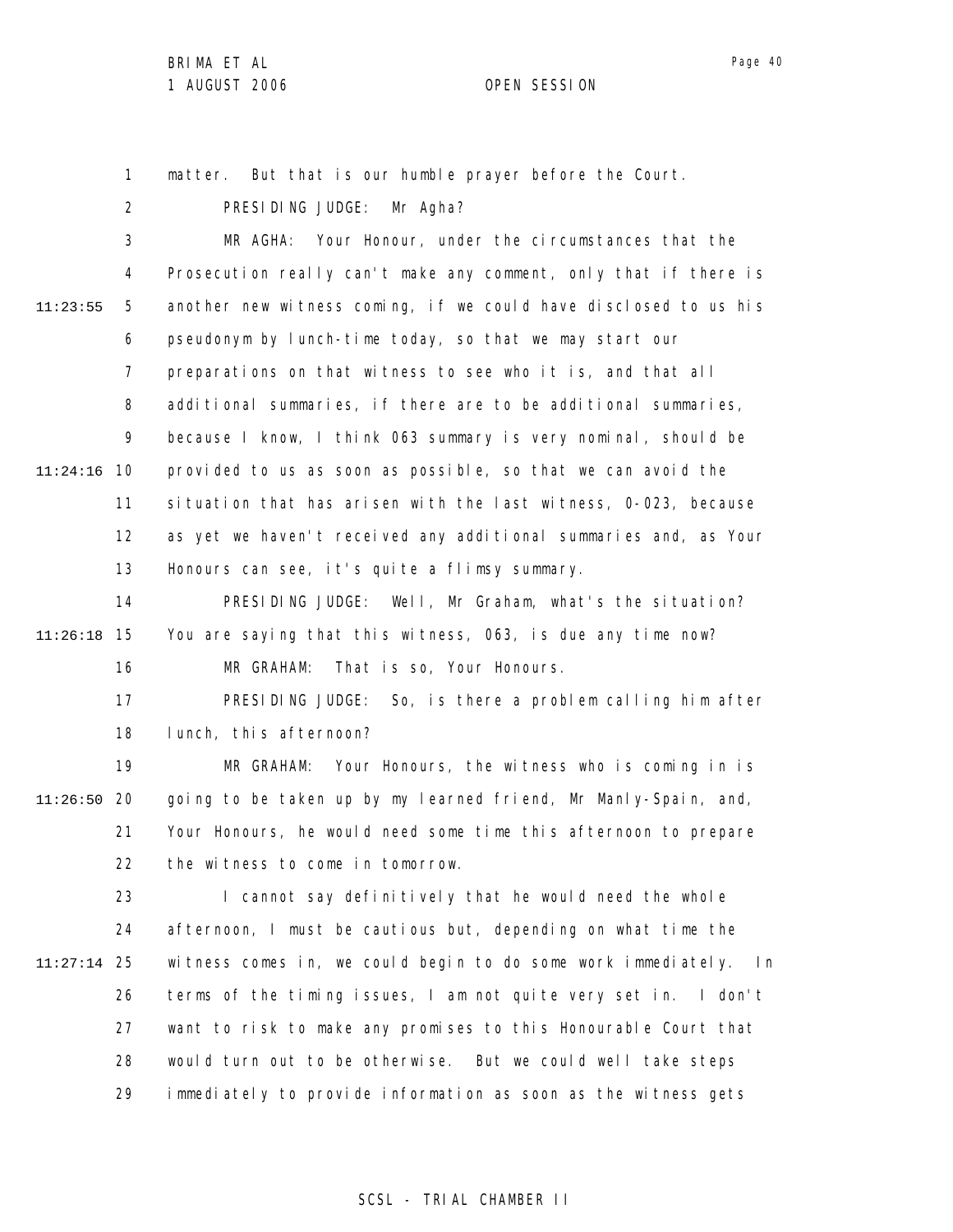1 matter. But that is our humble prayer before the Court.

2 3 4 5 6 7 8 9 10 11:24:16 11 12 13 14 15 11:26:18 16 17 18 19 20 11:26:50 21 22 23 24 25 11:27:14 26 27 28 29 11:23:55 PRESIDING JUDGE: Mr Agha? MR AGHA: Your Honour, under the circumstances that the Prosecution really can't make any comment, only that if there is another new witness coming, if we could have disclosed to us his pseudonym by lunch-time today, so that we may start our preparations on that witness to see who it is, and that all additional summaries, if there are to be additional summaries, because I know, I think 063 summary is very nominal, should be provided to us as soon as possible, so that we can avoid the situation that has arisen with the last witness, 0-023, because as yet we haven't received any additional summaries and, as Your Honours can see, it's quite a flimsy summary. PRESIDING JUDGE: Well, Mr Graham, what's the situation? You are saying that this witness, 063, is due any time now? MR GRAHAM: That is so, Your Honours. PRESIDING JUDGE: So, is there a problem calling him after lunch, this afternoon? MR GRAHAM: Your Honours, the witness who is coming in is going to be taken up by my learned friend, Mr Manly-Spain, and, Your Honours, he would need some time this afternoon to prepare the witness to come in tomorrow. I cannot say definitively that he would need the whole afternoon, I must be cautious but, depending on what time the witness comes in, we could begin to do some work immediately. In terms of the timing issues, I am not quite very set in. I don't want to risk to make any promises to this Honourable Court that would turn out to be otherwise. But we could well take steps immediately to provide information as soon as the witness gets

### SCSL - TRIAL CHAMBER II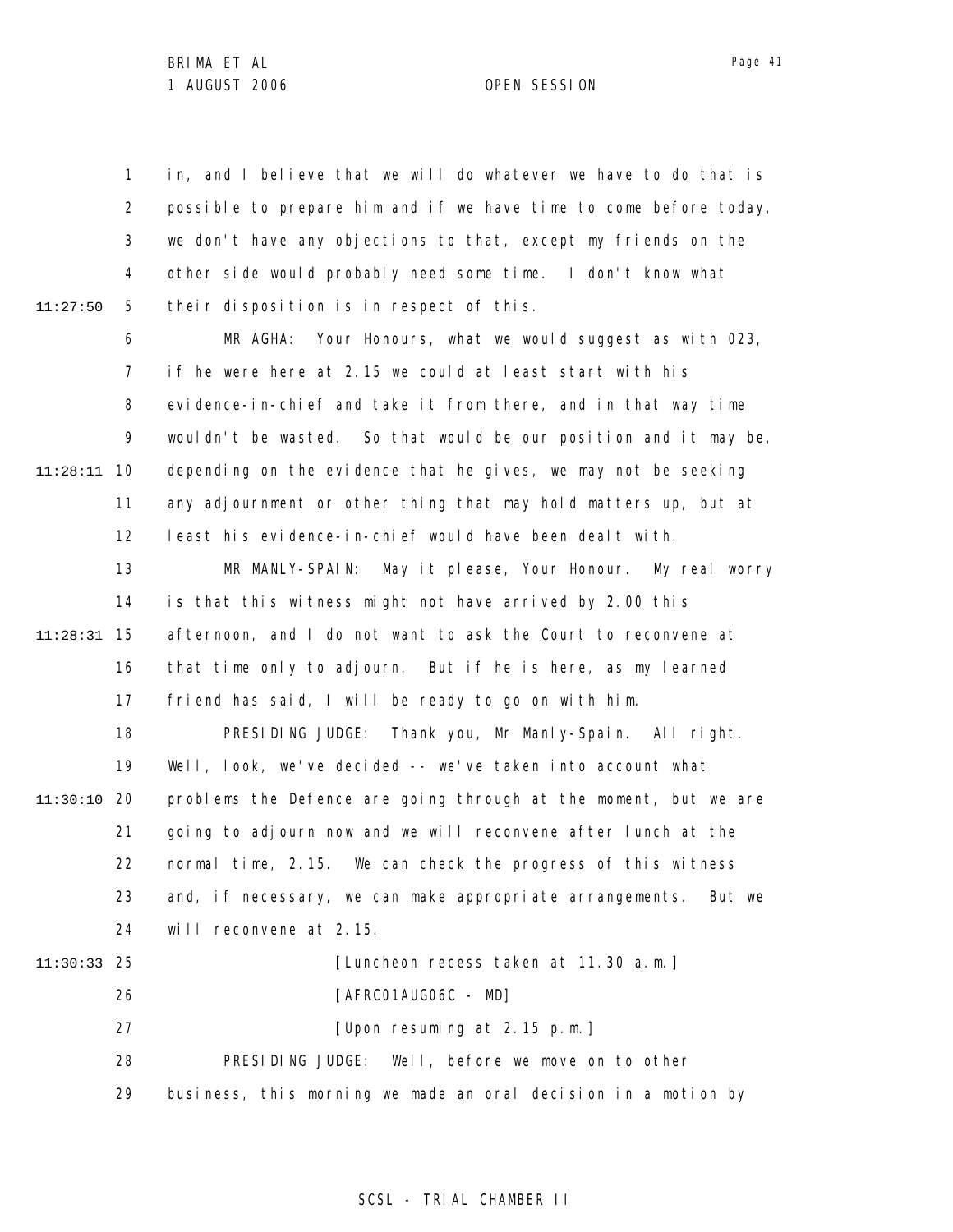1 2 3 4 5 6 7 8 9 10 11:28:11 11 12 13 14 15 11:28:31 16 17 18 19 20 11:30:10 21 22 23 24 25 11:30:33 26 27 28 29 11:27:50 in, and I believe that we will do whatever we have to do that is possible to prepare him and if we have time to come before today, we don't have any objections to that, except my friends on the other side would probably need some time. I don't know what their disposition is in respect of this. MR AGHA: Your Honours, what we would suggest as with 023, if he were here at 2.15 we could at least start with his evidence-in-chief and take it from there, and in that way time wouldn't be wasted. So that would be our position and it may be, depending on the evidence that he gives, we may not be seeking any adjournment or other thing that may hold matters up, but at least his evidence-in-chief would have been dealt with. MR MANLY-SPAIN: May it please, Your Honour. My real worry is that this witness might not have arrived by 2.00 this afternoon, and I do not want to ask the Court to reconvene at that time only to adjourn. But if he is here, as my learned friend has said, I will be ready to go on with him. PRESIDING JUDGE: Thank you, Mr Manly-Spain. All right. Well, look, we've decided -- we've taken into account what problems the Defence are going through at the moment, but we are going to adjourn now and we will reconvene after lunch at the normal time, 2.15. We can check the progress of this witness and, if necessary, we can make appropriate arrangements. But we will reconvene at 2.15. [Luncheon recess taken at 11.30 a.m.] [AFRC01AUG06C - MD] [Upon resuming at 2.15 p.m.] PRESIDING JUDGE: Well, before we move on to other business, this morning we made an oral decision in a motion by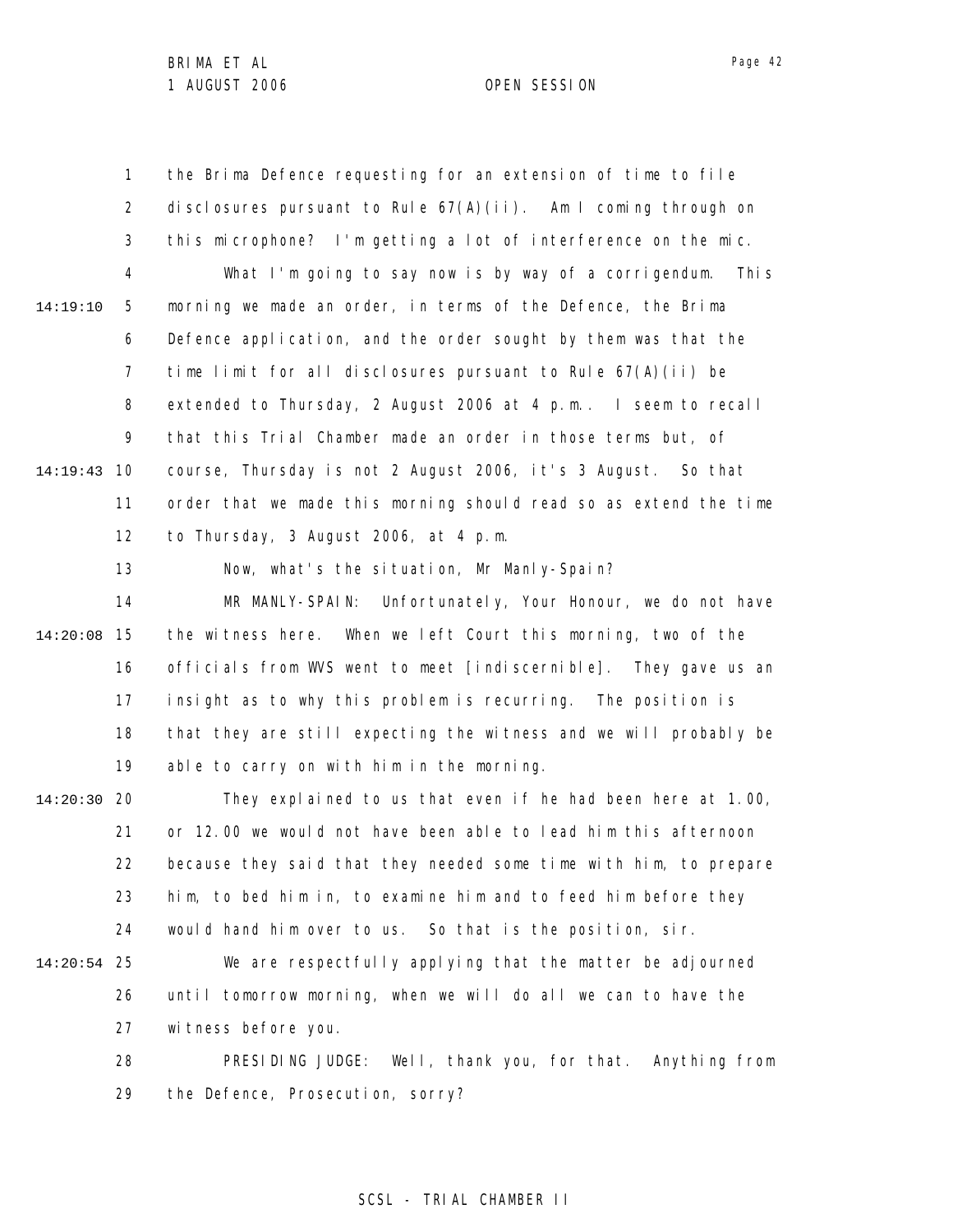1 2 3 4 5 6 7 8 9 10 14:19:43 11 12 13 14 14:19:10 the Brima Defence requesting for an extension of time to file disclosures pursuant to Rule  $67(A)(i)$ . Am I coming through on this microphone? I'm getting a lot of interference on the mic. What I'm going to say now is by way of a corrigendum. This morning we made an order, in terms of the Defence, the Brima Defence application, and the order sought by them was that the time limit for all disclosures pursuant to Rule 67(A)(ii) be extended to Thursday, 2 August 2006 at 4 p.m.. I seem to recall that this Trial Chamber made an order in those terms but, of course, Thursday is not 2 August 2006, it's 3 August. So that order that we made this morning should read so as extend the time to Thursday, 3 August 2006, at 4 p.m. Now, what's the situation, Mr Manly-Spain? MR MANLY-SPAIN: Unfortunately, Your Honour, we do not have

15 14:20:08 16 17 18 19 the witness here. When we left Court this morning, two of the officials from WVS went to meet [indiscernible]. They gave us an insight as to why this problem is recurring. The position is that they are still expecting the witness and we will probably be able to carry on with him in the morning.

20 14:20:30 21 22 23 24 They explained to us that even if he had been here at 1.00, or 12.00 we would not have been able to lead him this afternoon because they said that they needed some time with him, to prepare him, to bed him in, to examine him and to feed him before they would hand him over to us. So that is the position, sir.

25 14:20:54 26 27 We are respectfully applying that the matter be adjourned until tomorrow morning, when we will do all we can to have the witness before you.

> 28 29 PRESIDING JUDGE: Well, thank you, for that. Anything from the Defence, Prosecution, sorry?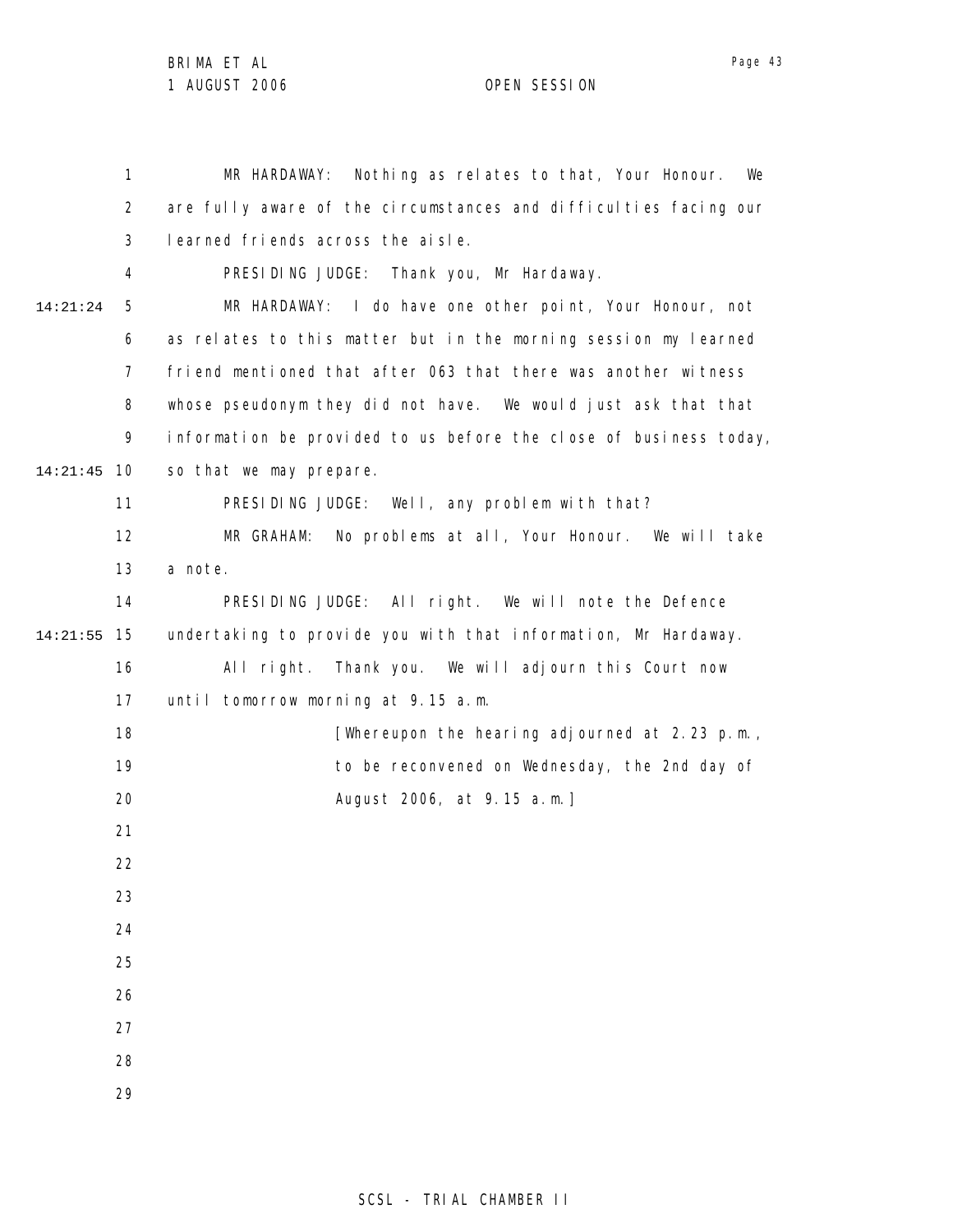1 2 3 4 5 6 7 8 9 10 14:21:45 11 12 13 14 15 14:21:55 16 17 18 19 20 21 22 23 24 25 26 27 28 29 14:21:24 MR HARDAWAY: Nothing as relates to that, Your Honour. We are fully aware of the circumstances and difficulties facing our learned friends across the aisle. PRESIDING JUDGE: Thank you, Mr Hardaway. MR HARDAWAY: I do have one other point, Your Honour, not as relates to this matter but in the morning session my learned friend mentioned that after 063 that there was another witness whose pseudonym they did not have. We would just ask that that information be provided to us before the close of business today, so that we may prepare. PRESIDING JUDGE: Well, any problem with that? MR GRAHAM: No problems at all, Your Honour. We will take a note. PRESIDING JUDGE: All right. We will note the Defence undertaking to provide you with that information, Mr Hardaway. All right. Thank you. We will adjourn this Court now until tomorrow morning at 9.15 a.m. [Whereupon the hearing adjourned at 2.23 p.m., to be reconvened on Wednesday, the 2nd day of August 2006, at 9.15 a.m.]